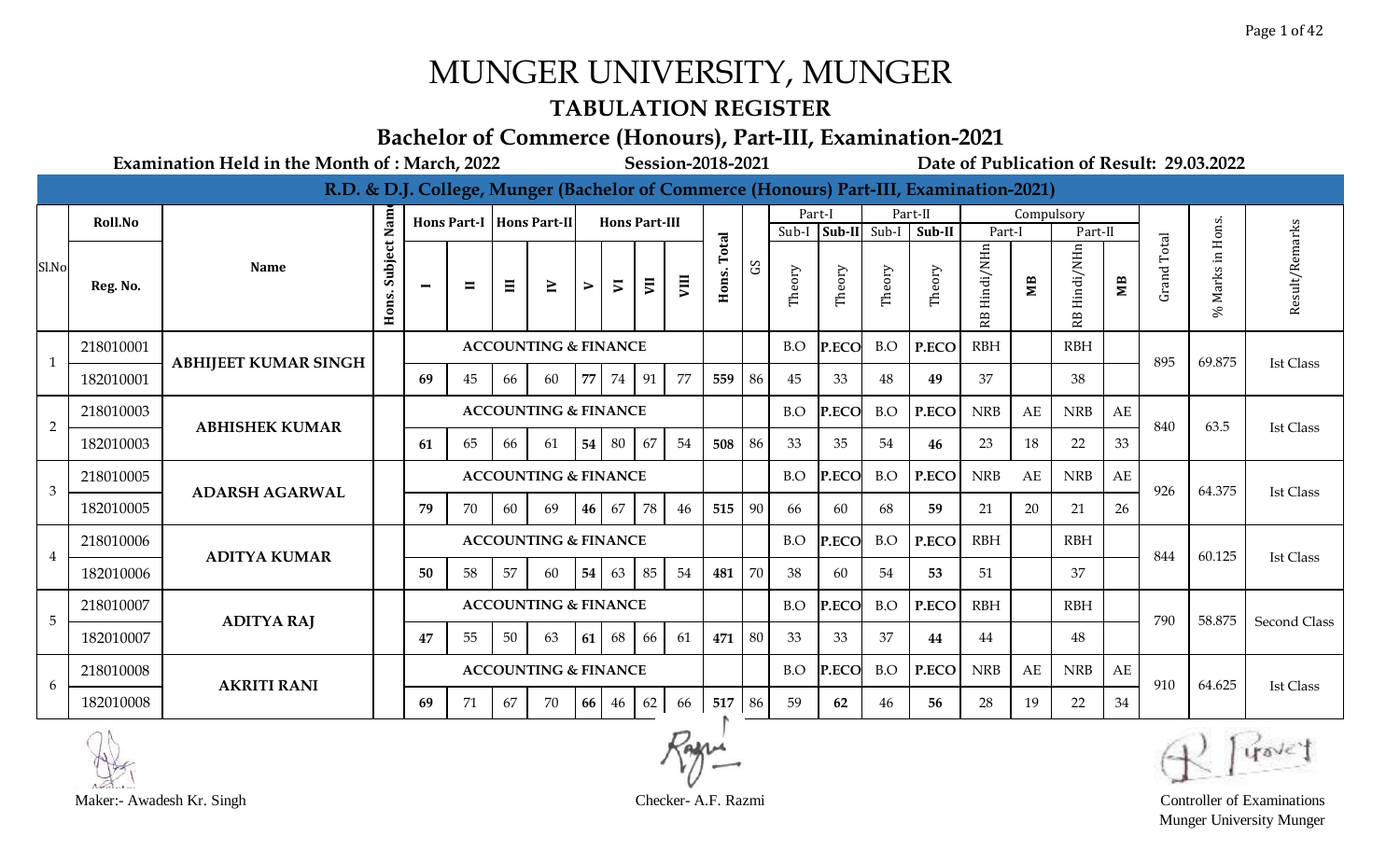### **TABULATION REGISTER**

#### **Bachelor of Commerce (Honours), Part-III, Examination-2021**

|                |           |                             |                  |                |                |    |                                 |    |                          |    |    |        |              |        |        |              | R.D. & D.J. College, Munger (Bachelor of Commerce (Honours) Part-III, Examination-2021) |                 |            |            |                |                    |                  |                     |
|----------------|-----------|-----------------------------|------------------|----------------|----------------|----|---------------------------------|----|--------------------------|----|----|--------|--------------|--------|--------|--------------|-----------------------------------------------------------------------------------------|-----------------|------------|------------|----------------|--------------------|------------------|---------------------|
|                | Roll.No   |                             | Nam              |                |                |    | Hons Part-I   Hons Part-II      |    | <b>Hons Part-III</b>     |    |    |        |              | Part-I |        |              | Part-II                                                                                 |                 | Compulsory |            |                |                    |                  |                     |
|                |           |                             |                  |                |                |    |                                 |    |                          |    |    | Total  |              | Sub-I  |        | Sub-II Sub-I | Sub-II                                                                                  | Part-1          |            | Part-II    |                | Total              |                  | arks                |
| Sl.No          | Reg. No.  | <b>Name</b>                 | Subject<br>Hons. | $\blacksquare$ | $\blacksquare$ | Ξ  | $\geq$                          | ⋗  | $\overline{\phantom{a}}$ | E  | ym | Hons.  | $\mathbf{S}$ | Theory | Theory | Theory       | Theory                                                                                  | Hindi/NHn<br>RB | ЯM         | Hindi/NHn  | M <sub>B</sub> | Grand <sup>'</sup> | % Marks in Hons. | Result/Re           |
| $\mathbf{1}$   | 218010001 | <b>ABHIJEET KUMAR SINGH</b> |                  |                |                |    | <b>ACCOUNTING &amp; FINANCE</b> |    |                          |    |    |        |              | B.O    | P.ECO  | B.O          | P.ECO                                                                                   | <b>RBH</b>      |            | <b>RBH</b> |                | 895                | 69.875           | <b>Ist Class</b>    |
|                | 182010001 |                             |                  | 69             | 45             | 66 | 60                              | 77 | 74                       | 91 | 77 | 559    | 86           | 45     | 33     | 48           | 49                                                                                      | 37              |            | 38         |                |                    |                  |                     |
| $\overline{2}$ | 218010003 | <b>ABHISHEK KUMAR</b>       |                  |                |                |    | <b>ACCOUNTING &amp; FINANCE</b> |    |                          |    |    |        |              | B.O    | P.ECO  | B.O          | P.ECO                                                                                   | <b>NRB</b>      | AE         | <b>NRB</b> | AE             | 840                | 63.5             | <b>Ist Class</b>    |
|                | 182010003 |                             |                  | 61             | 65             | 66 | 61                              | 54 | 80                       | 67 | 54 | 508    | 86           | -33    | 35     | 54           | 46                                                                                      | 23              | 18         | 22         | 33             |                    |                  |                     |
| 3              | 218010005 | <b>ADARSH AGARWAL</b>       |                  |                |                |    | <b>ACCOUNTING &amp; FINANCE</b> |    |                          |    |    |        |              | B.O    | P.ECO  | B.O          | P.ECO                                                                                   | <b>NRB</b>      | AE         | <b>NRB</b> | AE             | 926                | 64.375           | <b>Ist Class</b>    |
|                | 182010005 |                             |                  | 79             | 70             | 60 | 69                              | 46 | 67                       | 78 | 46 | 515    | 90           | 66     | 60     | 68           | 59                                                                                      | 21              | 20         | 21         | 26             |                    |                  |                     |
| $\overline{4}$ | 218010006 | <b>ADITYA KUMAR</b>         |                  |                |                |    | <b>ACCOUNTING &amp; FINANCE</b> |    |                          |    |    |        |              | B.O    | P.ECO  | B.O          | P.ECO                                                                                   | <b>RBH</b>      |            | <b>RBH</b> |                | 844                | 60.125           | <b>Ist Class</b>    |
|                | 182010006 |                             |                  | 50             | 58             | 57 | 60                              | 54 | 63                       | 85 | 54 | 481    | 70           | 38     | 60     | 54           | 53                                                                                      | 51              |            | 37         |                |                    |                  |                     |
| 5              | 218010007 |                             |                  |                |                |    | <b>ACCOUNTING &amp; FINANCE</b> |    |                          |    |    |        |              | B.O    | P.ECO  | B.O          | P.ECO                                                                                   | <b>RBH</b>      |            | <b>RBH</b> |                | 790                | 58.875           | <b>Second Class</b> |
|                | 182010007 | <b>ADITYA RAJ</b>           |                  | 47             | 55             | 50 | 63                              | 61 | 68                       | 66 | 61 | 471    | 80           | 33     | 33     | 37           | 44                                                                                      | 44              |            | 48         |                |                    |                  |                     |
| 6              | 218010008 | <b>AKRITI RANI</b>          |                  |                |                |    | <b>ACCOUNTING &amp; FINANCE</b> |    |                          |    |    |        |              | B.O    | P.ECO  | B.O          | P.ECO                                                                                   | <b>NRB</b>      | AE         | <b>NRB</b> | AE             | 910                | 64.625           | <b>Ist Class</b>    |
|                | 182010008 |                             |                  | 69             | 71             | 67 | 70                              | 66 | 46                       | 62 | 66 | 517 86 |              | 59     | 62     | 46           | 56                                                                                      | 28              | 19         | 22         | 34             |                    |                  |                     |



Maker:- Awadesh Kr. Singh Checker- A.F. Razmi Controller of Examinations Munger University Munger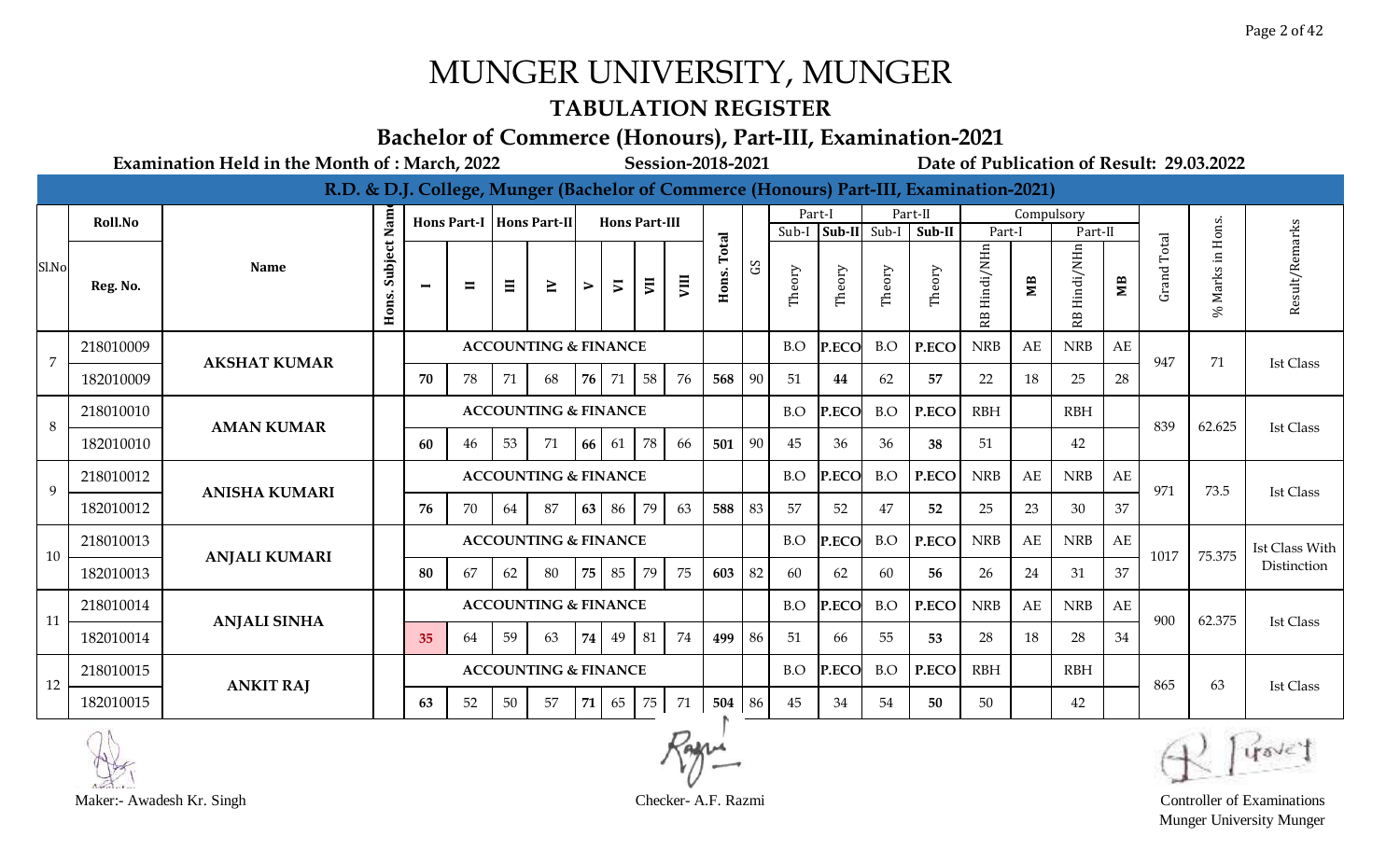#### **TABULATION REGISTER**

#### **Bachelor of Commerce (Honours), Part-III, Examination-2021**

**Examination Held in the Month of : March, 2022 Session-2018-2021 Date of Publication of Result: 29.03.2022**

|                |           |                      |                  |                |                |    |                                 |      |                          |                |      |        |                                 |        |        |              | R.D. & D.J. College, Munger (Bachelor of Commerce (Honours) Part-III, Examination-2021) |                        |            |            |    |       |                        |                  |
|----------------|-----------|----------------------|------------------|----------------|----------------|----|---------------------------------|------|--------------------------|----------------|------|--------|---------------------------------|--------|--------|--------------|-----------------------------------------------------------------------------------------|------------------------|------------|------------|----|-------|------------------------|------------------|
|                | Roll.No   |                      | Nam              |                |                |    | Hons Part-I   Hons Part-II      |      | <b>Hons Part-III</b>     |                |      |        |                                 | Part-I |        |              | Part-II                                                                                 |                        | Compulsory |            |    |       |                        |                  |
|                |           |                      |                  |                |                |    |                                 |      |                          |                |      | Total  |                                 | Sub-I  |        | Sub-II Sub-I | Sub-II                                                                                  | Part-l                 |            | Part-II    |    | Total |                        |                  |
| Sl.No          | Reg. No.  | <b>Name</b>          | Subject<br>Hons. | $\blacksquare$ | $\blacksquare$ | Ξ  | $\geq$                          | ⋗    | $\overline{\phantom{a}}$ | $\overline{5}$ | VIII | Hons.  | $\mathop{\mathrm{SO}}\nolimits$ | Theory | Theory | Theory       | Theory                                                                                  | Hindi/NHn<br><b>RB</b> | MВ         | Hindi/NHn  | МB | Grand | Marks in Hons.<br>$\%$ | Result/Remarks   |
| $\overline{7}$ | 218010009 | <b>AKSHAT KUMAR</b>  |                  |                |                |    | <b>ACCOUNTING &amp; FINANCE</b> |      |                          |                |      |        |                                 | B.O    | P.ECO  | B.O          | P.ECO                                                                                   | <b>NRB</b>             | AE         | <b>NRB</b> | AE | 947   | 71                     | <b>Ist Class</b> |
|                | 182010009 |                      |                  | 70             | 78             | 71 | 68                              | 76 I | 71                       | 58             | 76   | 568    | 90                              | 51     | 44     | 62           | 57                                                                                      | 22                     | 18         | 25         | 28 |       |                        |                  |
| 8              | 218010010 | <b>AMAN KUMAR</b>    |                  |                |                |    | <b>ACCOUNTING &amp; FINANCE</b> |      |                          |                |      |        |                                 | B.O    | P.ECO  | B.O          | P.ECO                                                                                   | <b>RBH</b>             |            | <b>RBH</b> |    | 839   | 62.625                 | <b>Ist Class</b> |
|                | 182010010 |                      |                  | 60             | 46             | 53 | 71                              | 66   | 61                       | 78             | 66   | 501    | 90                              | 45     | 36     | 36           | 38                                                                                      | 51                     |            | 42         |    |       |                        |                  |
| 9              | 218010012 | <b>ANISHA KUMARI</b> |                  |                |                |    | <b>ACCOUNTING &amp; FINANCE</b> |      |                          |                |      |        |                                 | B.O    | P.ECO  | B.O          | P.ECO                                                                                   | <b>NRB</b>             | AE         | <b>NRB</b> | AE | 971   | 73.5                   | Ist Class        |
|                | 182010012 |                      |                  | 76             | 70             | 64 | 87                              | 63   | 86                       | 79             | 63   | 588    | 83                              | 57     | 52     | 47           | 52                                                                                      | 25                     | 23         | 30         | 37 |       |                        |                  |
| 10             | 218010013 | <b>ANJALI KUMARI</b> |                  |                |                |    | <b>ACCOUNTING &amp; FINANCE</b> |      |                          |                |      |        |                                 | B.O    | P.ECO  | B.O          | P.ECO                                                                                   | <b>NRB</b>             | AE         | <b>NRB</b> | AE | 1017  | 75.375                 | Ist Class With   |
|                | 182010013 |                      |                  | 80             | 67             | 62 | 80                              | 75   | 85                       | 79             | 75   | 603    | 82                              | 60     | 62     | 60           | 56                                                                                      | 26                     | 24         | 31         | 37 |       |                        | Distinction      |
| 11             | 218010014 | <b>ANJALI SINHA</b>  |                  |                |                |    | <b>ACCOUNTING &amp; FINANCE</b> |      |                          |                |      |        |                                 | B.O    | P.ECO  | B.O          | P.ECO                                                                                   | <b>NRB</b>             | AE         | <b>NRB</b> | AE | 900   | 62.375                 | Ist Class        |
|                | 182010014 |                      |                  | 35             | 64             | 59 | 63                              | 74   | 49                       | 81             | 74   | 499    | 86                              | 51     | 66     | 55           | 53                                                                                      | 28                     | 18         | 28         | 34 |       |                        |                  |
| 12             | 218010015 | <b>ANKIT RAJ</b>     |                  |                |                |    | <b>ACCOUNTING &amp; FINANCE</b> |      |                          |                |      |        |                                 | B.O    | P.ECO  | B.O          | P.ECO                                                                                   | <b>RBH</b>             |            | <b>RBH</b> |    | 865   | 63                     | Ist Class        |
|                | 182010015 |                      |                  | 63             | 52             | 50 | 57                              | 71   | 65                       | 75             | 71   | 504 86 |                                 | 45     | 34     | 54           | 50                                                                                      | 50                     |            | 42         |    |       |                        |                  |





Munger University Munger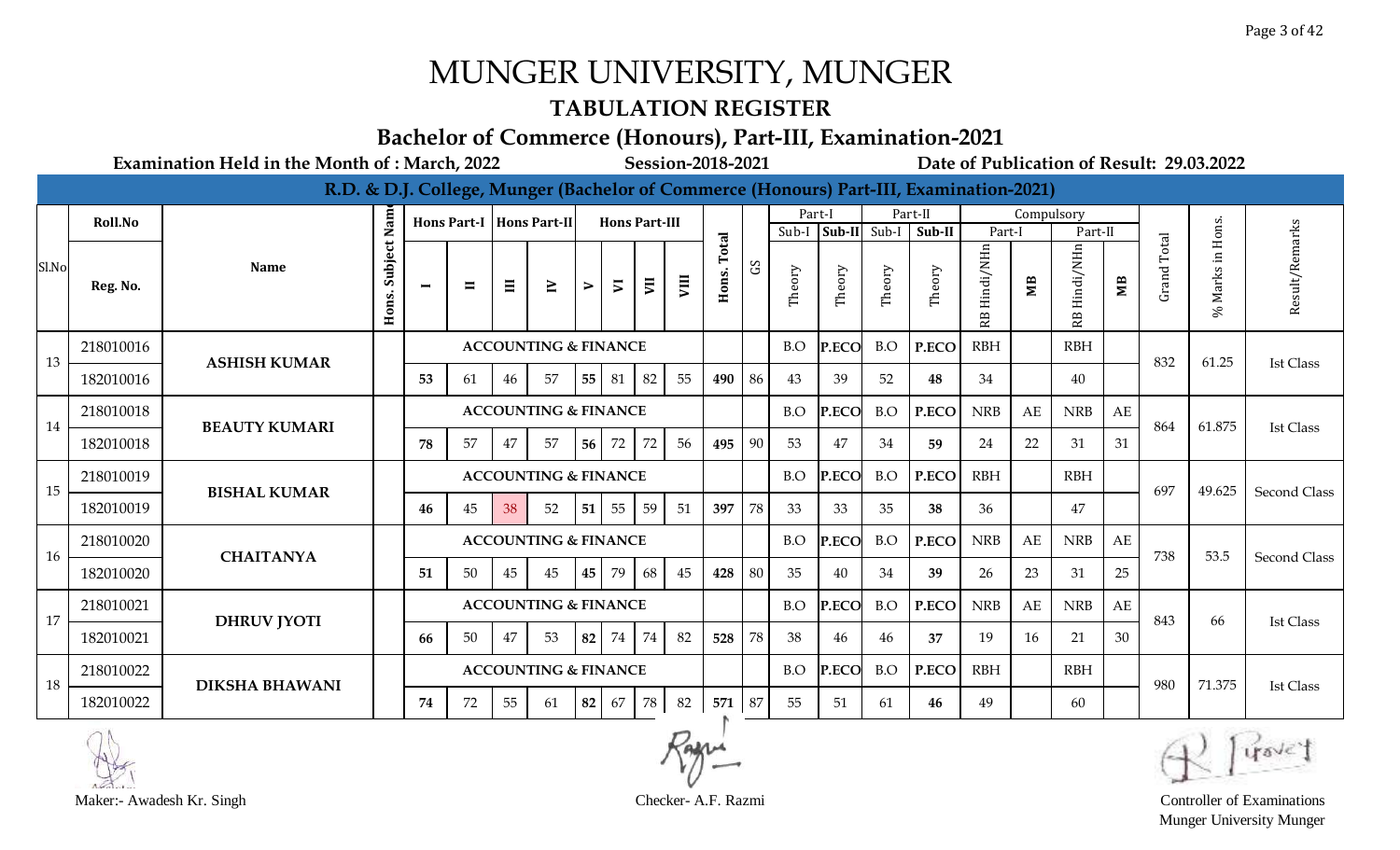#### **TABULATION REGISTER**

#### **Bachelor of Commerce (Honours), Part-III, Examination-2021**

**Examination Held in the Month of : March, 2022 Session-2018-2021 Date of Publication of Result: 29.03.2022**

|       |           |                       |                  |                |                |    |                                 |    |                          |    |    |        |              |        |        |              | R.D. & D.J. College, Munger (Bachelor of Commerce (Honours) Part-III, Examination-2021) |                 |            |            |                |                    |                  |                     |
|-------|-----------|-----------------------|------------------|----------------|----------------|----|---------------------------------|----|--------------------------|----|----|--------|--------------|--------|--------|--------------|-----------------------------------------------------------------------------------------|-----------------|------------|------------|----------------|--------------------|------------------|---------------------|
|       | Roll.No   |                       | Nam              |                |                |    | Hons Part-I   Hons Part-II      |    | <b>Hons Part-III</b>     |    |    |        |              |        | Part-I |              | Part-II                                                                                 |                 | Compulsory |            |                |                    |                  |                     |
|       |           |                       |                  |                |                |    |                                 |    |                          |    |    | Total  |              | Sub-I  |        | Sub-II Sub-I | Sub-II                                                                                  | Part-1          |            | Part-II    |                | Total              |                  |                     |
| Sl.No | Reg. No.  | <b>Name</b>           | Subject<br>Hons. | $\blacksquare$ | $\blacksquare$ | Ξ  | $\geq$                          | ⋗  | $\overline{\phantom{a}}$ | E  | ym | Hons.  | $\mathbf{S}$ | Theory | Theory | Theory       | Theory                                                                                  | Hindi/NHn<br>RB | ЯM         | Hindi/NHn  | M <sub>B</sub> | Grand <sup>'</sup> | % Marks in Hons. | Result/Remarks      |
| 13    | 218010016 | <b>ASHISH KUMAR</b>   |                  |                |                |    | <b>ACCOUNTING &amp; FINANCE</b> |    |                          |    |    |        |              | B.O    | P.ECO  | B.O          | P.ECO                                                                                   | <b>RBH</b>      |            | <b>RBH</b> |                | 832                | 61.25            | <b>Ist Class</b>    |
|       | 182010016 |                       |                  | 53             | 61             | 46 | 57                              | 55 | 81                       | 82 | 55 | 490    | 86           | 43     | 39     | 52           | 48                                                                                      | 34              |            | 40         |                |                    |                  |                     |
| 14    | 218010018 | <b>BEAUTY KUMARI</b>  |                  |                |                |    | <b>ACCOUNTING &amp; FINANCE</b> |    |                          |    |    |        |              | B.O    | P.ECO  | B.O          | P.ECO                                                                                   | <b>NRB</b>      | AE         | <b>NRB</b> | AE             | 864                | 61.875           | <b>Ist Class</b>    |
|       | 182010018 |                       |                  | 78             | 57             | 47 | 57                              | 56 | 72                       | 72 | 56 | 495    | 90           | 53     | 47     | 34           | 59                                                                                      | 24              | 22         | 31         | 31             |                    |                  |                     |
| 15    | 218010019 | <b>BISHAL KUMAR</b>   |                  |                |                |    | <b>ACCOUNTING &amp; FINANCE</b> |    |                          |    |    |        |              | B.O    | P.ECO  | B.O          | P.ECO                                                                                   | <b>RBH</b>      |            | <b>RBH</b> |                | 697                | 49.625           | <b>Second Class</b> |
|       | 182010019 |                       |                  | 46             | 45             | 38 | 52                              | 51 | 55                       | 59 | 51 | 397    | 78           | 33     | 33     | 35           | 38                                                                                      | 36              |            | 47         |                |                    |                  |                     |
| 16    | 218010020 | <b>CHAITANYA</b>      |                  |                |                |    | <b>ACCOUNTING &amp; FINANCE</b> |    |                          |    |    |        |              | B.O    | P.ECO  | B.O          | P.ECO                                                                                   | <b>NRB</b>      | AE         | <b>NRB</b> | AE             | 738                | 53.5             | <b>Second Class</b> |
|       | 182010020 |                       |                  | 51             | 50             | 45 | 45                              | 45 | 79                       | 68 | 45 | 428    | 80           | 35     | 40     | 34           | 39                                                                                      | 26              | 23         | 31         | 25             |                    |                  |                     |
| 17    | 218010021 |                       |                  |                |                |    | <b>ACCOUNTING &amp; FINANCE</b> |    |                          |    |    |        |              | B.O    | P.ECO  | B.O          | P.ECO                                                                                   | <b>NRB</b>      | AE         | <b>NRB</b> | AE             | 843                | 66               | Ist Class           |
|       | 182010021 | <b>DHRUV JYOTI</b>    |                  | 66             | 50             | 47 | 53                              | 82 | 74                       | 74 | 82 | 528    | 78           | -38    | 46     | 46           | 37                                                                                      | 19              | 16         | 21         | 30             |                    |                  |                     |
| 18    | 218010022 | <b>DIKSHA BHAWANI</b> |                  |                |                |    | <b>ACCOUNTING &amp; FINANCE</b> |    |                          |    |    |        |              | B.O    | P.ECO  | B.O          | P.ECO                                                                                   | <b>RBH</b>      |            | <b>RBH</b> |                | 980                | 71.375           | <b>Ist Class</b>    |
|       | 182010022 |                       |                  | 74             | 72             | 55 | 61                              | 82 | 67                       | 78 | 82 | 571 87 |              | 55     | 51     | -61          | 46                                                                                      | 49              |            | 60         |                |                    |                  |                     |





Munger University Munger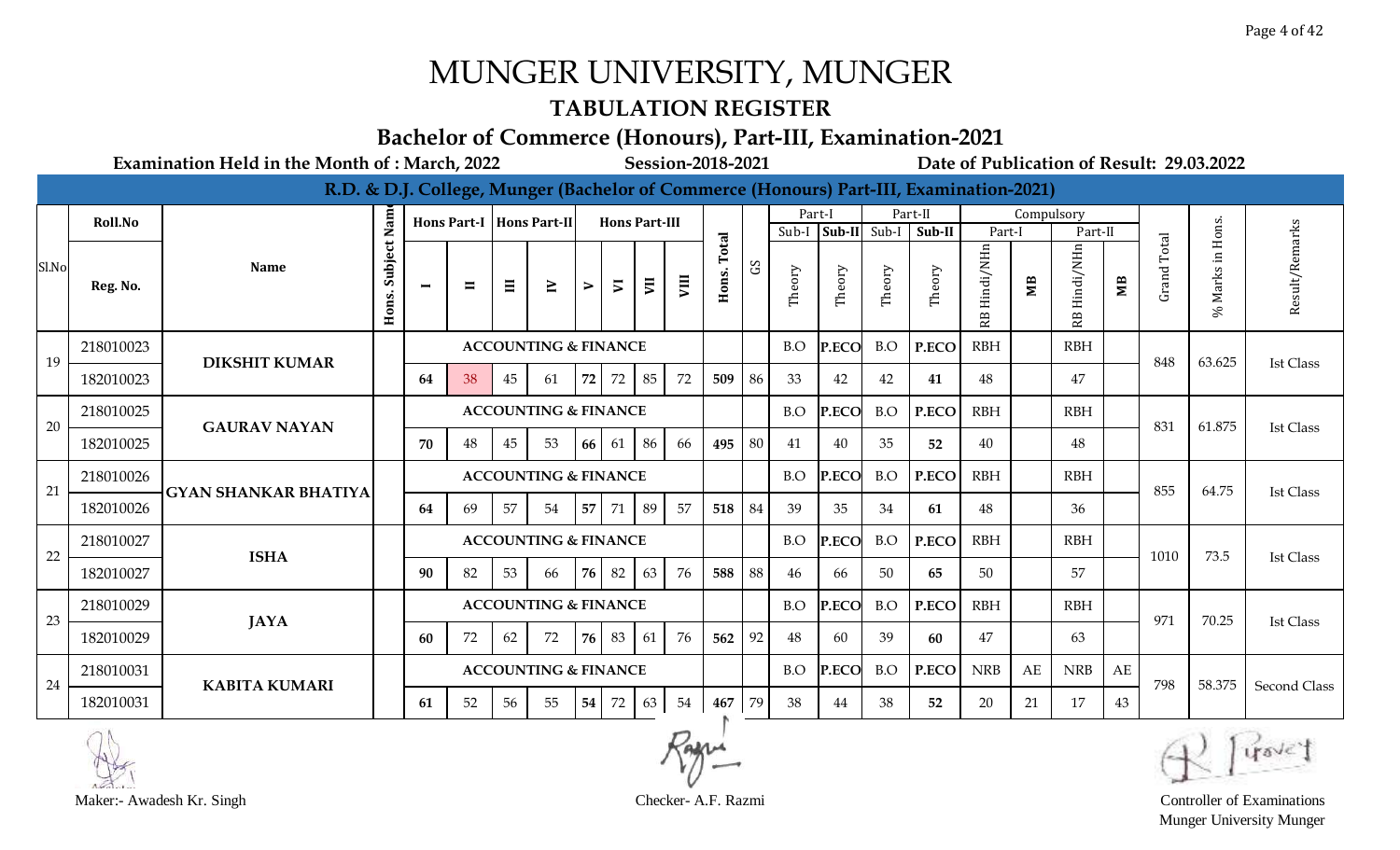### **TABULATION REGISTER**

#### **Bachelor of Commerce (Honours), Part-III, Examination-2021**

**Examination Held in the Month of : March, 2022 Session-2018-2021 Date of Publication of Result: 29.03.2022**

|       |           |                             |                  |                |                |    |                                 |    |                      |          |      |                |              |        |        |              | R.D. & D.J. College, Munger (Bachelor of Commerce (Honours) Part-III, Examination-2021) |                 |            |                 |                |                    |                  |                     |
|-------|-----------|-----------------------------|------------------|----------------|----------------|----|---------------------------------|----|----------------------|----------|------|----------------|--------------|--------|--------|--------------|-----------------------------------------------------------------------------------------|-----------------|------------|-----------------|----------------|--------------------|------------------|---------------------|
|       | Roll.No   |                             | Nam              |                |                |    | Hons Part-I   Hons Part-II      |    | <b>Hons Part-III</b> |          |      |                |              | Part-I |        |              | Part-II                                                                                 |                 | Compulsory |                 |                |                    |                  |                     |
|       |           |                             |                  |                |                |    |                                 |    |                      |          |      |                |              | Sub-I  |        | Sub-II Sub-I | Sub-II                                                                                  | Part-I          |            | Part-II         |                | Total              |                  |                     |
| Sl.No | Reg. No.  | <b>Name</b>                 | Subject<br>Hons. | $\blacksquare$ | $\blacksquare$ | Ξ  | $\geq$                          | ⋗  | $\overline{v}$       | <b>E</b> | VIII | Total<br>Hons. | $\mathbf{S}$ | Theory | Theory | Theory       | Theory                                                                                  | Hindi/NHn<br>В. | МB         | Hindi/NHn<br>RB | M <sub>B</sub> | Grand <sup>-</sup> | % Marks in Hons. | Result/Remarks      |
| 19    | 218010023 | <b>DIKSHIT KUMAR</b>        |                  |                |                |    | <b>ACCOUNTING &amp; FINANCE</b> |    |                      |          |      |                |              | B.O    | P.ECO  | B.O          | P.ECO                                                                                   | <b>RBH</b>      |            | <b>RBH</b>      |                | 848                | 63.625           | <b>Ist Class</b>    |
|       | 182010023 |                             |                  | 64             | 38             | 45 | 61                              | 72 | 72                   | 85       | 72   | 509            | 86           | 33     | 42     | 42           | 41                                                                                      | 48              |            | 47              |                |                    |                  |                     |
| 20    | 218010025 | <b>GAURAV NAYAN</b>         |                  |                |                |    | <b>ACCOUNTING &amp; FINANCE</b> |    |                      |          |      |                |              | B.O    | P.ECO  | B.O          | P.ECO                                                                                   | <b>RBH</b>      |            | <b>RBH</b>      |                | 831                | 61.875           | <b>Ist Class</b>    |
|       | 182010025 |                             |                  | 70             | 48             | 45 | 53                              | 66 | 61                   | 86       | 66   | 495            | 80           | 41     | 40     | 35           | 52                                                                                      | 40              |            | 48              |                |                    |                  |                     |
| 21    | 218010026 | <b>GYAN SHANKAR BHATIYA</b> |                  |                |                |    | <b>ACCOUNTING &amp; FINANCE</b> |    |                      |          |      |                |              | B.O    | P.ECO  | B.O          | P.ECO                                                                                   | <b>RBH</b>      |            | <b>RBH</b>      |                | 855                | 64.75            | Ist Class           |
|       | 182010026 |                             |                  | 64             | 69             | 57 | 54                              | 57 | 71                   | 89       | 57   | 518            | 84           | 39     | 35     | 34           | 61                                                                                      | 48              |            | 36              |                |                    |                  |                     |
| 22    | 218010027 | <b>ISHA</b>                 |                  |                |                |    | <b>ACCOUNTING &amp; FINANCE</b> |    |                      |          |      |                |              | B.O    | P.ECO  | B.O          | P.ECO                                                                                   | <b>RBH</b>      |            | <b>RBH</b>      |                | 1010               | 73.5             | <b>Ist Class</b>    |
|       | 182010027 |                             |                  | 90             | 82             | 53 | 66                              |    | 76 82                | 63       | 76   | 588            | 88           | 46     | 66     | 50           | 65                                                                                      | 50              |            | 57              |                |                    |                  |                     |
| 23    | 218010029 | <b>JAYA</b>                 |                  |                |                |    | <b>ACCOUNTING &amp; FINANCE</b> |    |                      |          |      |                |              | B.O    | P.ECO  | B.O          | P.ECO                                                                                   | <b>RBH</b>      |            | <b>RBH</b>      |                | 971                | 70.25            | <b>Ist Class</b>    |
|       | 182010029 |                             |                  | 60             | 72             | 62 | 72                              |    | 76 83                | 61       | 76   | 562            | 92           | 48     | 60     | 39           | 60                                                                                      | 47              |            | 63              |                |                    |                  |                     |
| 24    | 218010031 | <b>KABITA KUMARI</b>        |                  |                |                |    | <b>ACCOUNTING &amp; FINANCE</b> |    |                      |          |      |                |              | B.O    | P.ECO  | B.O          | P.ECO                                                                                   | <b>NRB</b>      | AE         | <b>NRB</b>      | AE             | 798                | 58.375           | <b>Second Class</b> |
|       | 182010031 |                             |                  | 61             | 52             | 56 | 55                              | 54 | 72                   | 63       | 54   | 467 79         |              | 38     | 44     | 38           | 52                                                                                      | 20              | 21         | 17              | 43             |                    |                  |                     |



Munger University Munger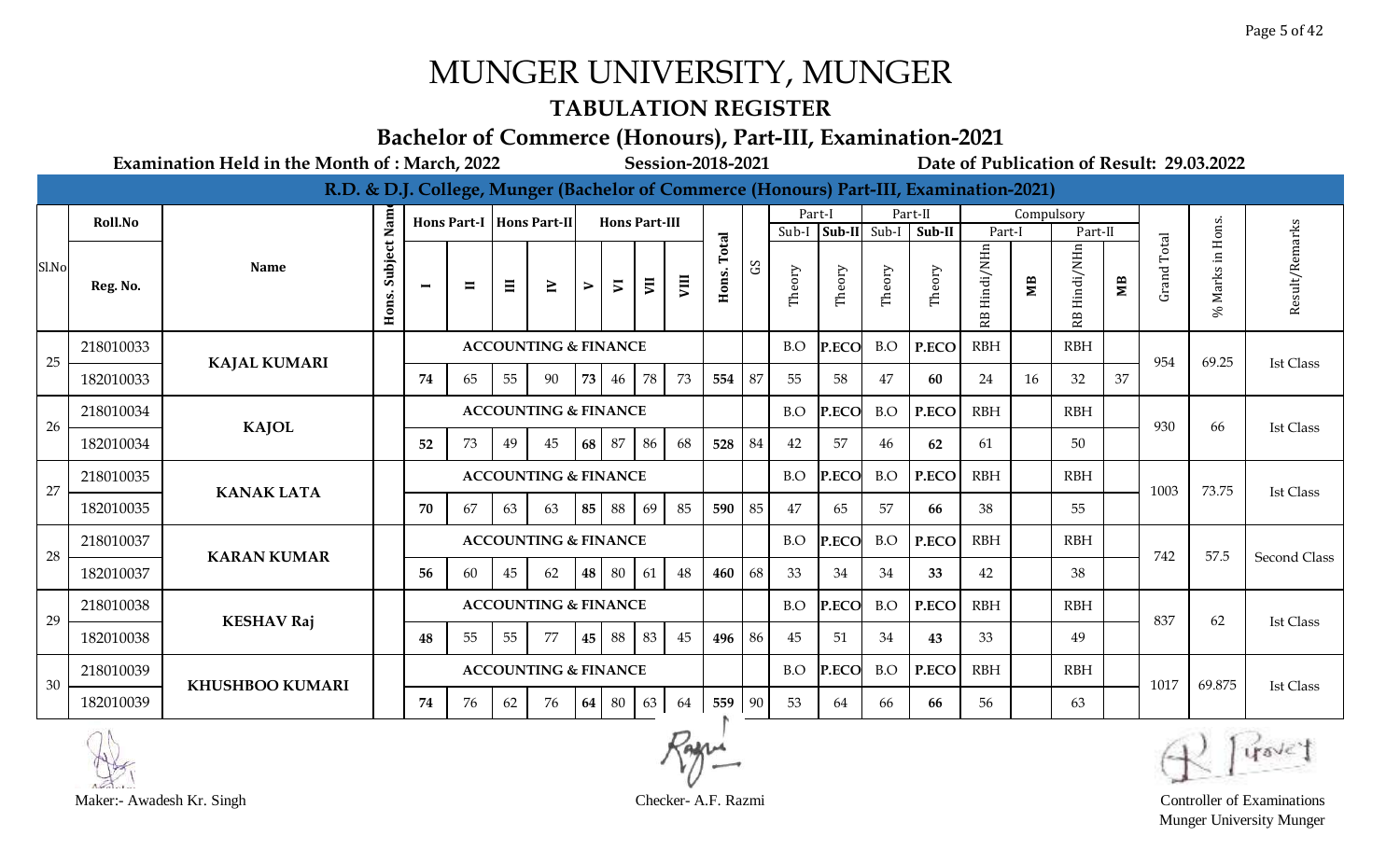### **TABULATION REGISTER**

#### **Bachelor of Commerce (Honours), Part-III, Examination-2021**

**Examination Held in the Month of : March, 2022 Session-2018-2021 Date of Publication of Result: 29.03.2022**

|       |           |                        |                  |                |                |    |                                 |    |                          |                |      |        |              |        |        |              | R.D. & D.J. College, Munger (Bachelor of Commerce (Honours) Part-III, Examination-2021) |                             |            |            |                |                    |                  |                     |
|-------|-----------|------------------------|------------------|----------------|----------------|----|---------------------------------|----|--------------------------|----------------|------|--------|--------------|--------|--------|--------------|-----------------------------------------------------------------------------------------|-----------------------------|------------|------------|----------------|--------------------|------------------|---------------------|
|       | Roll.No   |                        | Nam              |                |                |    | Hons Part-I   Hons Part-II      |    | <b>Hons Part-III</b>     |                |      |        |              | Part-I |        |              | Part-II                                                                                 |                             | Compulsory |            |                |                    |                  |                     |
|       |           |                        |                  |                |                |    |                                 |    |                          |                |      | Total  |              | Sub-I  |        | Sub-II Sub-I | Sub-II                                                                                  | Part-l                      |            | Part-II    |                | Total              |                  |                     |
| Sl.No | Reg. No.  | <b>Name</b>            | Subject<br>Hons. | $\blacksquare$ | $\blacksquare$ | Ξ  | $\geq$                          | ⋗  | $\overline{\phantom{a}}$ | $\overline{a}$ | VIII | Hons.  | $\mathbf{S}$ | Theory | Theory | Theory       | Theory                                                                                  | Hindi/NHn<br>R <sub>B</sub> | MВ         | Hindi/NHn  | M <sub>B</sub> | Grand <sup>'</sup> | % Marks in Hons. | Result/Remarks      |
| 25    | 218010033 | <b>KAJAL KUMARI</b>    |                  |                |                |    | <b>ACCOUNTING &amp; FINANCE</b> |    |                          |                |      |        |              | B.O    | P.ECO  | B.O          | P.ECO                                                                                   | <b>RBH</b>                  |            | <b>RBH</b> |                | 954                | 69.25            | <b>Ist Class</b>    |
|       | 182010033 |                        |                  | 74             | 65             | 55 | 90                              | 73 | 46                       | 78             | 73   | 554    | 87           | 55     | 58     | 47           | 60                                                                                      | 24                          | 16         | 32         | 37             |                    |                  |                     |
| 26    | 218010034 | <b>KAJOL</b>           |                  |                |                |    | <b>ACCOUNTING &amp; FINANCE</b> |    |                          |                |      |        |              | B.O    | P.ECO  | B.O          | P.ECO                                                                                   | <b>RBH</b>                  |            | <b>RBH</b> |                | 930                | 66               | <b>Ist Class</b>    |
|       | 182010034 |                        |                  | 52             | 73             | 49 | 45                              | 68 | 87                       | 86             | 68   | 528    | 84           | 42     | 57     | 46           | 62                                                                                      | 61                          |            | 50         |                |                    |                  |                     |
| 27    | 218010035 | <b>KANAK LATA</b>      |                  |                |                |    | <b>ACCOUNTING &amp; FINANCE</b> |    |                          |                |      |        |              | B.O    | P.ECO  | B.O          | P.ECO                                                                                   | <b>RBH</b>                  |            | <b>RBH</b> |                | 1003               | 73.75            | <b>Ist Class</b>    |
|       | 182010035 |                        |                  | 70             | 67             | 63 | 63                              | 85 | 88                       | 69             | 85   | 590    | 85           | 47     | 65     | 57           | 66                                                                                      | 38                          |            | 55         |                |                    |                  |                     |
| 28    | 218010037 | <b>KARAN KUMAR</b>     |                  |                |                |    | <b>ACCOUNTING &amp; FINANCE</b> |    |                          |                |      |        |              | B.O    | P.ECO  | B.O          | P.ECO                                                                                   | <b>RBH</b>                  |            | <b>RBH</b> |                | 742                | 57.5             | <b>Second Class</b> |
|       | 182010037 |                        |                  | 56             | 60             | 45 | 62                              |    | 48 80                    | 61             | 48   | 460    | 68           | 33     | 34     | 34           | 33                                                                                      | 42                          |            | 38         |                |                    |                  |                     |
| 29    | 218010038 |                        |                  |                |                |    | <b>ACCOUNTING &amp; FINANCE</b> |    |                          |                |      |        |              | B.O    | P.ECO  | B.O          | P.ECO                                                                                   | <b>RBH</b>                  |            | <b>RBH</b> |                | 837                | 62               | Ist Class           |
|       | 182010038 | <b>KESHAV Raj</b>      |                  | 48             | 55             | 55 | 77                              |    | 45 88                    | 83             | 45   | 496 86 |              | 45     | 51     | 34           | 43                                                                                      | 33                          |            | 49         |                |                    |                  |                     |
| 30    | 218010039 | <b>KHUSHBOO KUMARI</b> |                  |                |                |    | <b>ACCOUNTING &amp; FINANCE</b> |    |                          |                |      |        |              | B.O    | P.ECO  | B.O          | P.ECO                                                                                   | <b>RBH</b>                  |            | <b>RBH</b> |                | 1017               | 69.875           | <b>Ist Class</b>    |
|       | 182010039 |                        |                  | 74             | 76             | 62 | 76                              | 64 | 80                       | 63             | 64   | 559 90 |              | 53     | 64     | 66           | 66                                                                                      | 56                          |            | 63         |                |                    |                  |                     |





Munger University Munger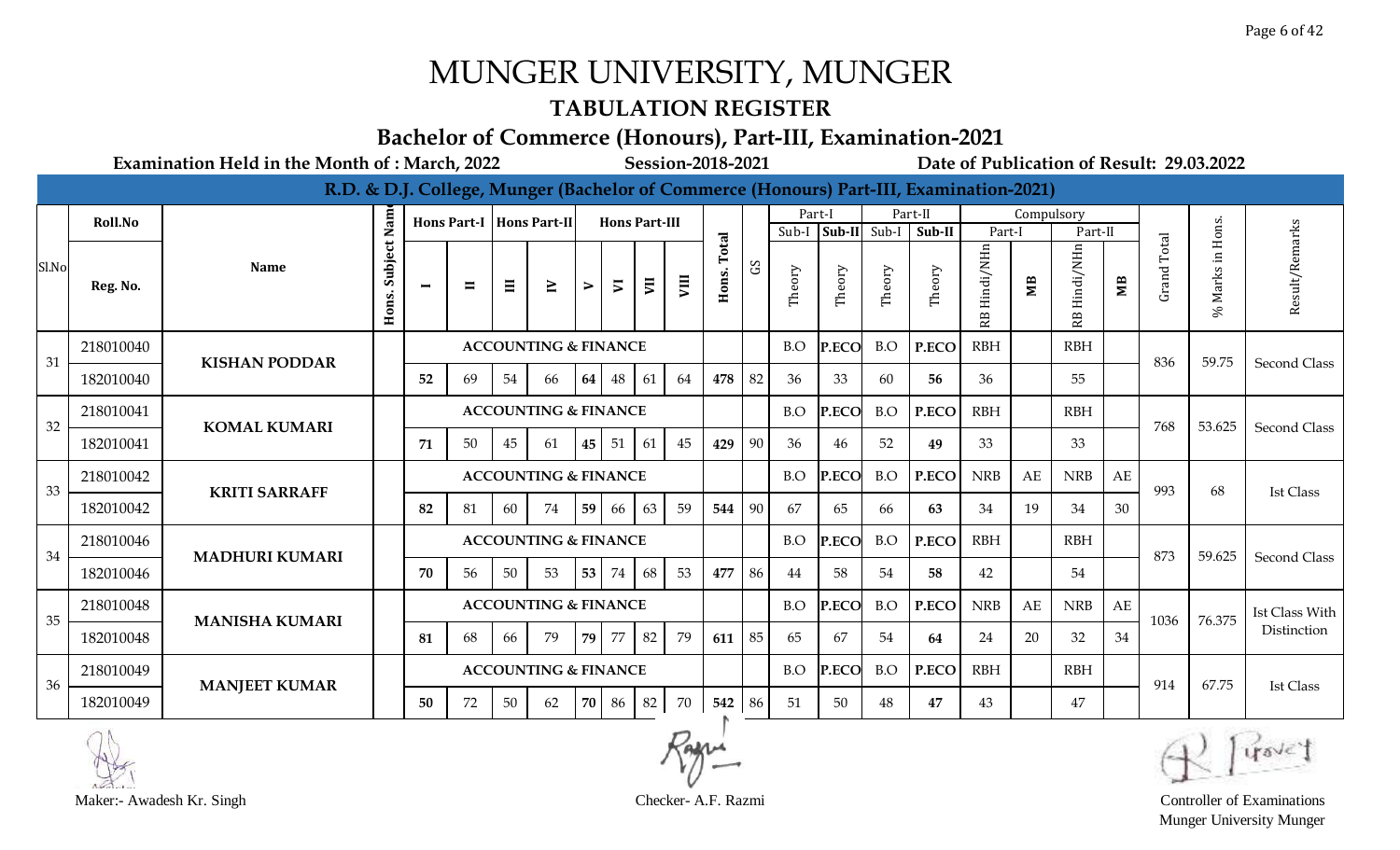#### **TABULATION REGISTER**

#### **Bachelor of Commerce (Honours), Part-III, Examination-2021**

**Examination Held in the Month of : March, 2022 Session-2018-2021 Date of Publication of Result: 29.03.2022**

|       |           |                       |                  |                          |                |          |                                 |    |                      |                         |    |        |                |        |        |              | R.D. & D.J. College, Munger (Bachelor of Commerce (Honours) Part-III, Examination-2021) |                 |            |                |             |                    |                      |                       |
|-------|-----------|-----------------------|------------------|--------------------------|----------------|----------|---------------------------------|----|----------------------|-------------------------|----|--------|----------------|--------|--------|--------------|-----------------------------------------------------------------------------------------|-----------------|------------|----------------|-------------|--------------------|----------------------|-----------------------|
|       | Roll.No   |                       | Nam              |                          |                |          | Hons Part-I   Hons Part-II      |    | <b>Hons Part-III</b> |                         |    |        |                |        | Part-I |              | Part-II                                                                                 |                 | Compulsory |                |             |                    |                      |                       |
|       |           |                       |                  |                          |                |          |                                 |    |                      |                         |    | Total  |                | Sub-I  |        | Sub-II Sub-I | Sub-II                                                                                  | Part-I          |            | Part-II        |             | Total              |                      |                       |
| Sl.No | Reg. No.  | <b>Name</b>           | Subject<br>Hons. | $\overline{\phantom{0}}$ | $\blacksquare$ | $\equiv$ | $\geq$                          | ⋗  | $\overline{v}$       | $\overline{\mathbf{E}}$ | ξ  | Hons.  | S <sub>D</sub> | Theory | Theory | Theory       | Theory                                                                                  | Hindi/NHn<br>RB | MВ         | Hindi/NHn<br>æ | $M_{\rm B}$ | Grand <sup>'</sup> | Marks in Hons.<br>S, | Result/Remarks        |
| 31    | 218010040 | <b>KISHAN PODDAR</b>  |                  |                          |                |          | <b>ACCOUNTING &amp; FINANCE</b> |    |                      |                         |    |        |                | B.O    | P.ECO  | B.O          | P.ECO                                                                                   | <b>RBH</b>      |            | <b>RBH</b>     |             | 836                | 59.75                | Second Class          |
|       | 182010040 |                       |                  | 52                       | 69             | 54       | 66                              | 64 | 48                   | 61                      | 64 | 478    | 82             | 36     | 33     | 60           | 56                                                                                      | 36              |            | 55             |             |                    |                      |                       |
| 32    | 218010041 | <b>KOMAL KUMARI</b>   |                  |                          |                |          | <b>ACCOUNTING &amp; FINANCE</b> |    |                      |                         |    |        |                | B.O    | P.ECO  | B.O          | P.ECO                                                                                   | <b>RBH</b>      |            | <b>RBH</b>     |             | 768                | 53.625               | <b>Second Class</b>   |
|       | 182010041 |                       |                  | 71                       | 50             | 45       | -61                             | 45 | 51                   | 61                      | 45 | 429    | 90             | 36     | 46     | 52           | 49                                                                                      | 33              |            | 33             |             |                    |                      |                       |
| 33    | 218010042 | <b>KRITI SARRAFF</b>  |                  |                          |                |          | <b>ACCOUNTING &amp; FINANCE</b> |    |                      |                         |    |        |                | B.O    | P.ECO  | B.O          | P.ECO                                                                                   | <b>NRB</b>      | AE         | <b>NRB</b>     | AE          | 993                | 68                   | <b>Ist Class</b>      |
|       | 182010042 |                       |                  | 82                       | 81             | 60       | 74                              | 59 | 66                   | 63                      | 59 | 544    | 90             | 67     | 65     | 66           | 63                                                                                      | 34              | 19         | 34             | 30          |                    |                      |                       |
| 34    | 218010046 | <b>MADHURI KUMARI</b> |                  |                          |                |          | <b>ACCOUNTING &amp; FINANCE</b> |    |                      |                         |    |        |                | B.O    | P.ECO  | B.O          | P.ECO                                                                                   | <b>RBH</b>      |            | <b>RBH</b>     |             | 873                | 59.625               | <b>Second Class</b>   |
|       | 182010046 |                       |                  | 70                       | 56             | 50       | 53                              | 53 | 74                   | 68                      | 53 | 477    | 86             | 44     | 58     | 54           | 58                                                                                      | 42              |            | 54             |             |                    |                      |                       |
| 35    | 218010048 | <b>MANISHA KUMARI</b> |                  |                          |                |          | <b>ACCOUNTING &amp; FINANCE</b> |    |                      |                         |    |        |                | B.O    | P.ECO  | B.O          | P.ECO                                                                                   | <b>NRB</b>      | AE         | <b>NRB</b>     | AE          | 1036               | 76.375               | <b>Ist Class With</b> |
|       | 182010048 |                       |                  | 81                       | 68             | 66       | 79                              | 79 | 77                   | 82                      | 79 | 611    | 85             | 65     | 67     | 54           | 64                                                                                      | 24              | 20         | 32             | 34          |                    |                      | Distinction           |
| 36    | 218010049 |                       |                  |                          |                |          | <b>ACCOUNTING &amp; FINANCE</b> |    |                      |                         |    |        |                | B.O    | P.ECO  | B.O          | P.ECO                                                                                   | <b>RBH</b>      |            | <b>RBH</b>     |             | 914                | 67.75                | <b>Ist Class</b>      |
|       | 182010049 | <b>MANJEET KUMAR</b>  |                  | 50                       | 72             | 50       | 62                              | 70 | 86                   | 82                      | 70 | 542 86 |                | 51     | 50     | 48           | 47                                                                                      | 43              |            | 47             |             |                    |                      |                       |





Munger University Munger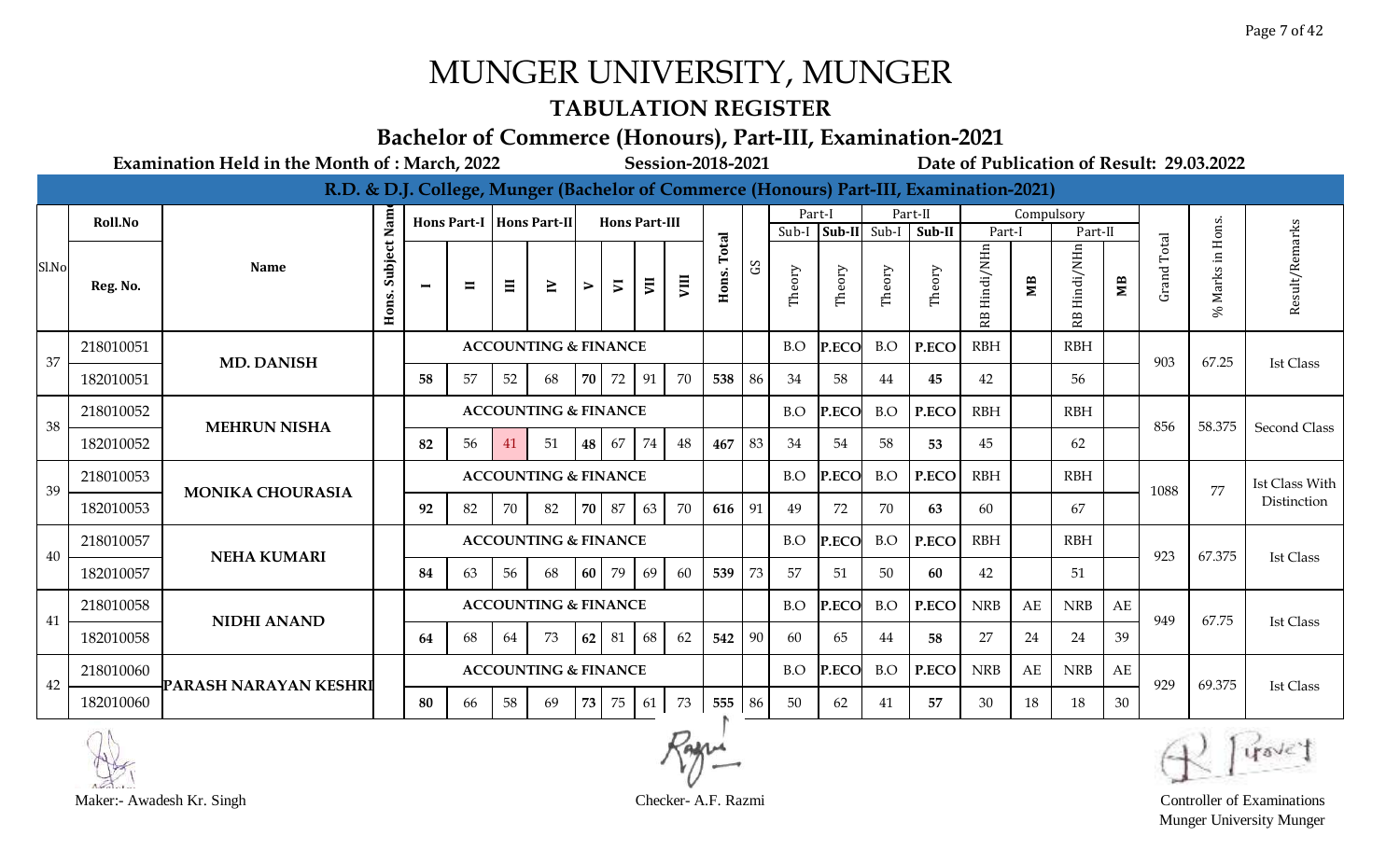#### **TABULATION REGISTER**

#### **Bachelor of Commerce (Honours), Part-III, Examination-2021**

**Examination Held in the Month of : March, 2022 Session-2018-2021 Date of Publication of Result: 29.03.2022**

|       |           |                         |                      |                |                |    |                                 |           |                      |    |      |        |              |        |              |        | R.D. & D.J. College, Munger (Bachelor of Commerce (Honours) Part-III, Examination-2021) |                 |            |                 |                |                    |                  |                     |
|-------|-----------|-------------------------|----------------------|----------------|----------------|----|---------------------------------|-----------|----------------------|----|------|--------|--------------|--------|--------------|--------|-----------------------------------------------------------------------------------------|-----------------|------------|-----------------|----------------|--------------------|------------------|---------------------|
|       | Roll.No   |                         |                      |                |                |    | Hons Part-I   Hons Part-II      |           | <b>Hons Part-III</b> |    |      |        |              | Part-I |              |        | Part-II                                                                                 |                 | Compulsory |                 |                |                    |                  |                     |
|       |           |                         |                      |                |                |    |                                 |           |                      |    |      | Total  |              | Sub-I  | Sub-II Sub-I |        | Sub-II                                                                                  | Part-I          |            | Part-II         |                | Total              |                  | arks                |
| Sl.No | Reg. No.  | <b>Name</b>             | Subject Nam<br>Hons. | $\blacksquare$ | $\blacksquare$ | Ξ  | $\geq$                          | ⋗         | $\overline{v}$       | E  | VIII | Hons.  | $\mathbf{S}$ | Theory | Theory       | Theory | Theory                                                                                  | Hindi/NHn<br>RB | MВ         | Hindi/NHn<br>RB | M <sub>B</sub> | Grand <sup>-</sup> | % Marks in Hons. | Result/Re           |
| 37    | 218010051 | <b>MD. DANISH</b>       |                      |                |                |    | <b>ACCOUNTING &amp; FINANCE</b> |           |                      |    |      |        |              | B.O    | P.ECO        | B.O    | P.ECO                                                                                   | <b>RBH</b>      |            | <b>RBH</b>      |                | 903                | 67.25            | <b>Ist Class</b>    |
|       | 182010051 |                         |                      | 58             | 57             | 52 | 68                              | <b>70</b> | 72                   | 91 | 70   | 538    | 86           | 34     | 58           | 44     | 45                                                                                      | 42              |            | 56              |                |                    |                  |                     |
| 38    | 218010052 | <b>MEHRUN NISHA</b>     |                      |                |                |    | <b>ACCOUNTING &amp; FINANCE</b> |           |                      |    |      |        |              | B.O    | P.ECO        | B.O    | P.ECO                                                                                   | <b>RBH</b>      |            | <b>RBH</b>      |                | 856                | 58.375           | <b>Second Class</b> |
|       | 182010052 |                         |                      | 82             | 56             | 41 | 51                              | 48        | 67                   | 74 | 48   | 467    | 83           | 34     | 54           | 58     | 53                                                                                      | 45              |            | 62              |                |                    |                  |                     |
| 39    | 218010053 | <b>MONIKA CHOURASIA</b> |                      |                |                |    | <b>ACCOUNTING &amp; FINANCE</b> |           |                      |    |      |        |              | B.O    | P.ECO        | B.O    | P.ECO                                                                                   | <b>RBH</b>      |            | <b>RBH</b>      |                | 1088               | 77               | Ist Class With      |
|       | 182010053 |                         |                      | 92             | 82             | 70 | 82                              |           | 70 87                | 63 | 70   | 616 91 |              | 49     | 72           | 70     | 63                                                                                      | 60              |            | 67              |                |                    |                  | Distinction         |
| 40    | 218010057 | <b>NEHA KUMARI</b>      |                      |                |                |    | <b>ACCOUNTING &amp; FINANCE</b> |           |                      |    |      |        |              | B.O    | P.ECO        | B.O    | P.ECO                                                                                   | <b>RBH</b>      |            | <b>RBH</b>      |                | 923                | 67.375           | <b>Ist Class</b>    |
|       | 182010057 |                         |                      | 84             | 63             | 56 | 68                              | 60 l      | 79                   | 69 | 60   | 539    | 73           | 57     | 51           | 50     | 60                                                                                      | 42              |            | 51              |                |                    |                  |                     |
| 41    | 218010058 | <b>NIDHI ANAND</b>      |                      |                |                |    | <b>ACCOUNTING &amp; FINANCE</b> |           |                      |    |      |        |              | B.O    | P.ECO        | B.O    | P.ECO                                                                                   | <b>NRB</b>      | AE         | <b>NRB</b>      | AE             | 949                | 67.75            | <b>Ist Class</b>    |
|       | 182010058 |                         |                      | 64             | 68             | 64 | 73                              | 62        | 81                   | 68 | 62   | 542    | 90           | 60     | 65           | 44     | 58                                                                                      | 27              | 24         | 24              | 39             |                    |                  |                     |
| 42    | 218010060 | PARASH NARAYAN KESHRI   |                      |                |                |    | <b>ACCOUNTING &amp; FINANCE</b> |           |                      |    |      |        |              | B.O    | P.ECO        | B.O    | P.ECO                                                                                   | <b>NRB</b>      | AE         | <b>NRB</b>      | AE             | 929                | 69.375           |                     |
|       | 182010060 |                         |                      | 80             | 66             | 58 | 69                              | 73        | 75                   | 61 | 73   | 555 86 |              | 50     | 62           | 41     | 57                                                                                      | 30              | 18         | 18              | 30             |                    |                  | Ist Class           |





Munger University Munger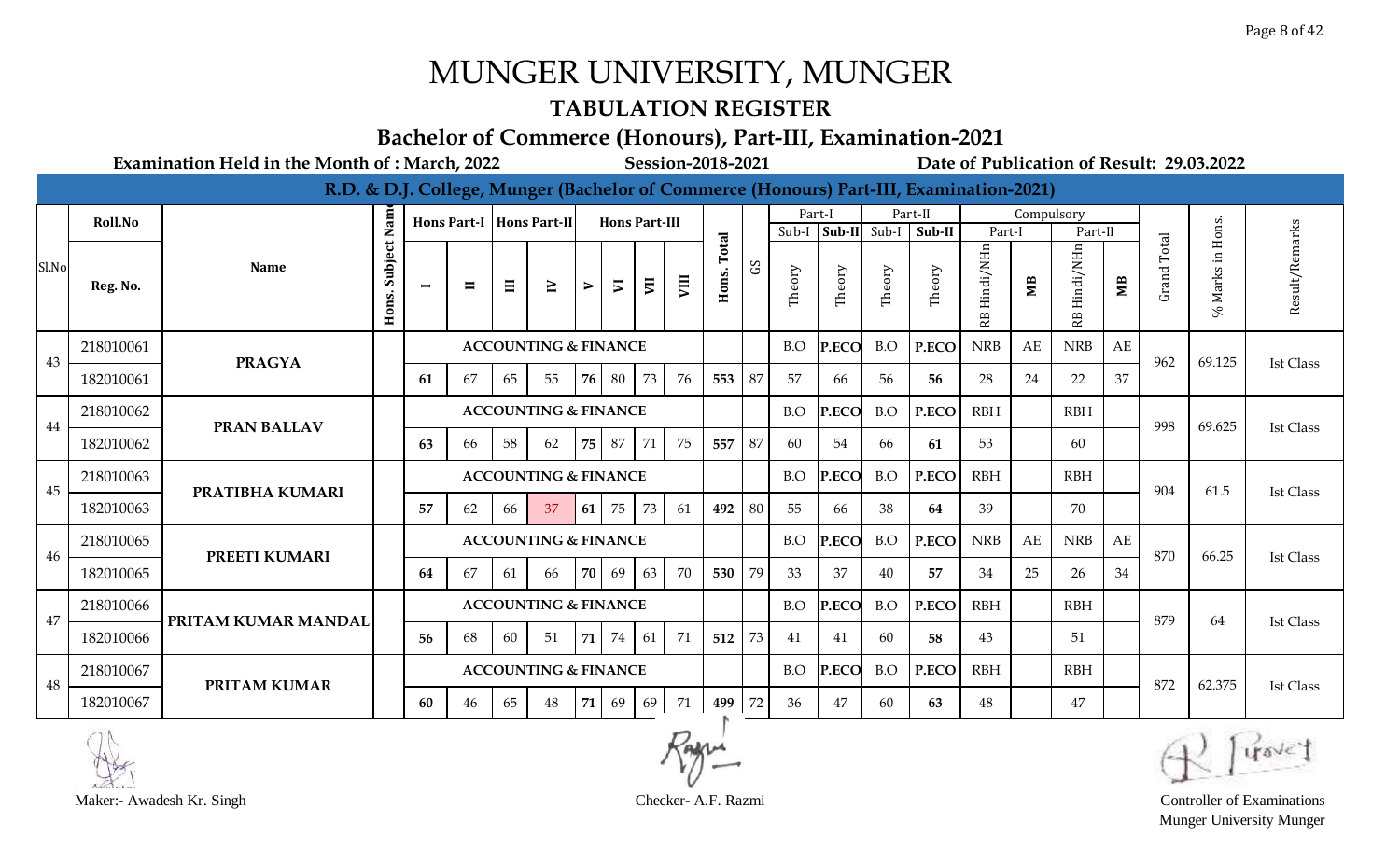### **TABULATION REGISTER**

#### **Bachelor of Commerce (Honours), Part-III, Examination-2021**

**Examination Held in the Month of : March, 2022 Session-2018-2021 Date of Publication of Result: 29.03.2022**

|       |           |                     |                  |                |                |    |                                 |            |                      |    |      |                |            |        |                |        | R.D. & D.J. College, Munger (Bachelor of Commerce (Honours) Part-III, Examination-2021) |                  |            |                 |             |                |                        |                  |
|-------|-----------|---------------------|------------------|----------------|----------------|----|---------------------------------|------------|----------------------|----|------|----------------|------------|--------|----------------|--------|-----------------------------------------------------------------------------------------|------------------|------------|-----------------|-------------|----------------|------------------------|------------------|
|       | Roll.No   |                     | Nam              |                |                |    | Hons Part-I   Hons Part-II      |            | <b>Hons Part-III</b> |    |      |                |            | Part-I |                |        | Part-II                                                                                 |                  | Compulsory |                 |             |                |                        |                  |
|       |           |                     |                  |                |                |    |                                 |            |                      |    |      |                |            | Sub-I  | $Sub-II$ Sub-I |        | Sub-II                                                                                  | Part-l           |            | Part-II         |             |                |                        |                  |
| Sl.No | Reg. No.  | <b>Name</b>         | Subject<br>Hons. | $\blacksquare$ | $\blacksquare$ | Ξ  | $\geq$                          | ⋗          | $\overline{v}$       | E  | VIII | Total<br>Hons. | $_{\rm G}$ | Theory | Theory         | Theory | Theory                                                                                  | Hindi/NHn<br>RB. | MВ         | Hindi/NHn<br>RB | $M_{\rm B}$ | Total<br>Grand | Marks in Hons.<br>$\%$ | Result/Remarks   |
| 43    | 218010061 | <b>PRAGYA</b>       |                  |                |                |    | <b>ACCOUNTING &amp; FINANCE</b> |            |                      |    |      |                |            | B.O    | P.ECO          | B.O    | P.ECO                                                                                   | <b>NRB</b>       | AE         | <b>NRB</b>      | AE          | 962            | 69.125                 | <b>Ist Class</b> |
|       | 182010061 |                     |                  | 61             | 67             | 65 | 55                              | 76         | 80                   | 73 | 76   | 553            | 87         | 57     | 66             | 56     | 56                                                                                      | 28               | 24         | 22              | 37          |                |                        |                  |
| 44    | 218010062 | <b>PRAN BALLAV</b>  |                  |                |                |    | <b>ACCOUNTING &amp; FINANCE</b> |            |                      |    |      |                |            | B.O    | P.ECO          | B.O    | P.ECO                                                                                   | <b>RBH</b>       |            | <b>RBH</b>      |             | 998            | 69.625                 | <b>Ist Class</b> |
|       | 182010062 |                     |                  | 63             | 66             | 58 | 62                              | 75         | 87                   | 71 | 75   | 557            | 87         | 60     | 54             | 66     | 61                                                                                      | 53               |            | 60              |             |                |                        |                  |
| 45    | 218010063 | PRATIBHA KUMARI     |                  |                |                |    | <b>ACCOUNTING &amp; FINANCE</b> |            |                      |    |      |                |            | B.O    | P.ECO          | B.O    | P.ECO                                                                                   | <b>RBH</b>       |            | <b>RBH</b>      |             | 904            | 61.5                   | Ist Class        |
|       | 182010063 |                     |                  | 57             | 62             | 66 | 37                              | <b>61</b>  | 75                   | 73 | 61   | 492            | 80         | 55     | 66             | 38     | 64                                                                                      | 39               |            | 70              |             |                |                        |                  |
| 46    | 218010065 | PREETI KUMARI       |                  |                |                |    | <b>ACCOUNTING &amp; FINANCE</b> |            |                      |    |      |                |            | B.O    | P.ECO          | B.O    | P.ECO                                                                                   | <b>NRB</b>       | AE         | <b>NRB</b>      | AE          | 870            | 66.25                  | <b>Ist Class</b> |
|       | 182010065 |                     |                  | 64             | 67             | 61 | 66                              | 70         | 69                   | 63 | 70   | 530            | 79         | 33     | 37             | 40     | 57                                                                                      | 34               | 25         | 26              | 34          |                |                        |                  |
| 47    | 218010066 | PRITAM KUMAR MANDAL |                  |                |                |    | <b>ACCOUNTING &amp; FINANCE</b> |            |                      |    |      |                |            | B.O    | P.ECO          | B.O    | P.ECO                                                                                   | <b>RBH</b>       |            | <b>RBH</b>      |             | 879            | 64                     | Ist Class        |
|       | 182010066 |                     |                  | 56             | 68             | 60 | 51                              | 71         | 74                   | 61 | 71   | 512            | 73         | 41     | 41             | 60     | 58                                                                                      | 43               |            | 51              |             |                |                        |                  |
| 48    | 218010067 | <b>PRITAM KUMAR</b> |                  |                |                |    | <b>ACCOUNTING &amp; FINANCE</b> |            |                      |    |      |                |            | B.O    | P.ECO          | B.O    | P.ECO                                                                                   | <b>RBH</b>       |            | <b>RBH</b>      |             | 872            | 62.375                 | <b>Ist Class</b> |
|       | 182010067 |                     |                  | 60             | 46             | 65 | 48                              | $71 \vert$ | 69                   | 69 | 71   | 499 72         |            | 36     | 47             | 60     | 63                                                                                      | 48               |            | 47              |             |                |                        |                  |



Munger University Munger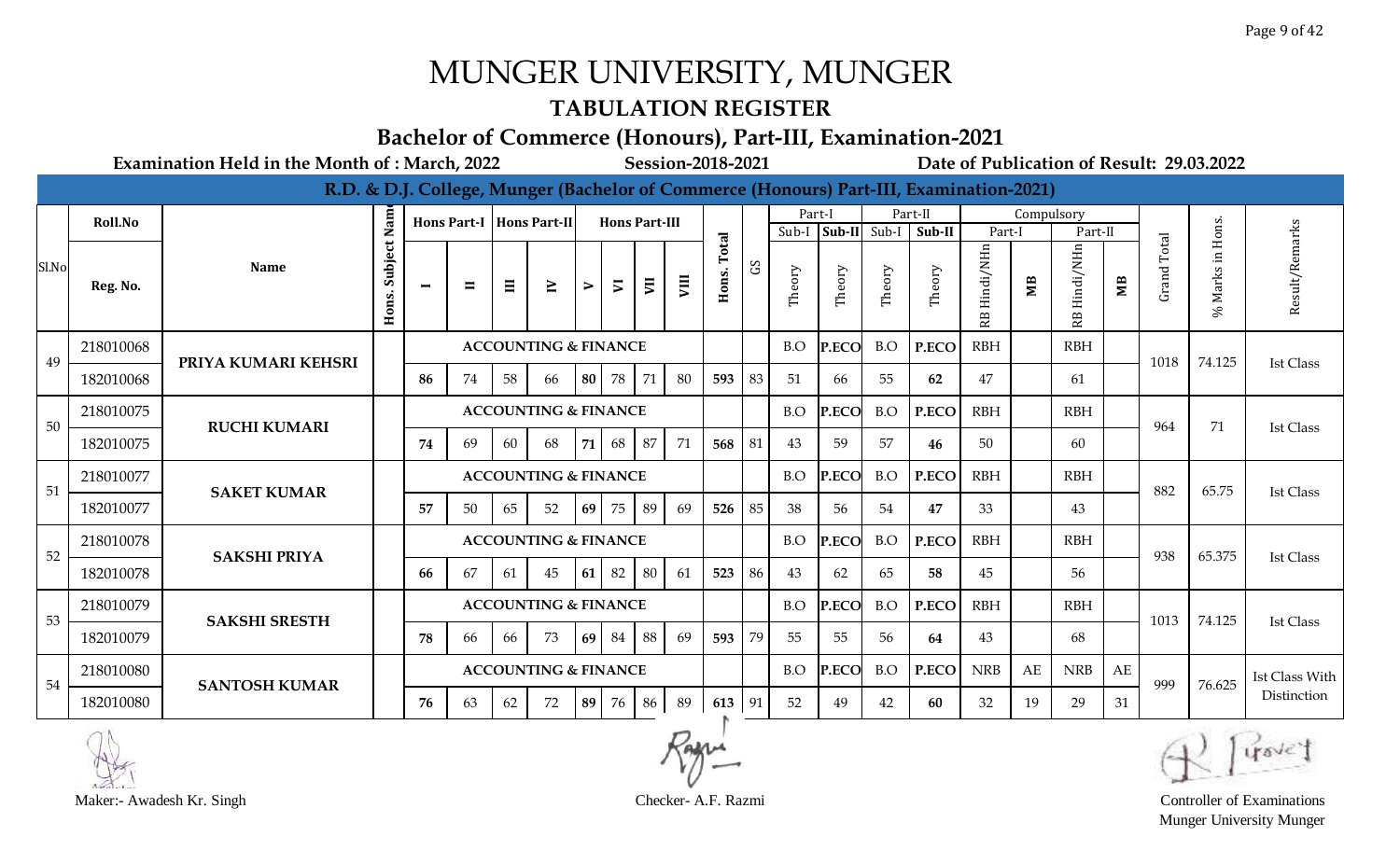### **TABULATION REGISTER**

#### **Bachelor of Commerce (Honours), Part-III, Examination-2021**

**Examination Held in the Month of : March, 2022 Session-2018-2021 Date of Publication of Result: 29.03.2022**

|       |           |                      |                  |                          |                |    |                                 |           |                      |                |      |        |    |        |              |        | R.D. & D.J. College, Munger (Bachelor of Commerce (Honours) Part-III, Examination-2021) |                 |            |            |                        |                    |                            |                       |
|-------|-----------|----------------------|------------------|--------------------------|----------------|----|---------------------------------|-----------|----------------------|----------------|------|--------|----|--------|--------------|--------|-----------------------------------------------------------------------------------------|-----------------|------------|------------|------------------------|--------------------|----------------------------|-----------------------|
|       | Roll.No   |                      | Nam              |                          |                |    | Hons Part-I   Hons Part-II      |           | <b>Hons Part-III</b> |                |      |        |    | Part-I |              |        | Part-II                                                                                 |                 | Compulsory |            |                        |                    |                            |                       |
|       |           |                      |                  |                          |                |    |                                 |           |                      |                |      | otal   |    | Sub-I  | Sub-II Sub-I |        | Sub-II                                                                                  | Part-l          |            | Part-II    |                        | Total              |                            |                       |
| Sl.No | Reg. No.  | <b>Name</b>          | Subject<br>Hons. | $\overline{\phantom{0}}$ | $\blacksquare$ | Ξ  | $\geq$                          | ⋗         | $\overline{v}$       | $\overline{y}$ | VIII | Hons.  | SJ | Theory | Theory       | Theory | Theory                                                                                  | Hindi/NHn<br>RB | MВ         | Hindi/NHn  | $\mathbf{M}\mathbf{B}$ | Grand <sup>-</sup> | Marks in Hons.<br>$\infty$ | Result/Remarks        |
| 49    | 218010068 | PRIYA KUMARI KEHSRI  |                  |                          |                |    | <b>ACCOUNTING &amp; FINANCE</b> |           |                      |                |      |        |    | B.O    | P.ECO        | B.O    | P.ECO                                                                                   | <b>RBH</b>      |            | <b>RBH</b> |                        | 1018               | 74.125                     | <b>Ist Class</b>      |
|       | 182010068 |                      |                  | 86                       | 74             | 58 | 66                              | <b>80</b> | 78                   | 71             | 80   | 593    | 83 | 51     | 66           | 55     | 62                                                                                      | 47              |            | 61         |                        |                    |                            |                       |
| 50    | 218010075 | <b>RUCHI KUMARI</b>  |                  |                          |                |    | <b>ACCOUNTING &amp; FINANCE</b> |           |                      |                |      |        |    | B.O    | P.ECO        | B.O    | P.ECO                                                                                   | <b>RBH</b>      |            | <b>RBH</b> |                        | 964                | 71                         | <b>Ist Class</b>      |
|       | 182010075 |                      |                  | 74                       | 69             | 60 | 68                              | <b>71</b> | 68                   | 87             | 71   | 568    | 81 | 43     | 59           | 57     | 46                                                                                      | -50             |            | 60         |                        |                    |                            |                       |
| 51    | 218010077 | <b>SAKET KUMAR</b>   |                  |                          |                |    | <b>ACCOUNTING &amp; FINANCE</b> |           |                      |                |      |        |    | B.O    | P.ECO        | B.O    | P.ECO                                                                                   | <b>RBH</b>      |            | <b>RBH</b> |                        | 882                | 65.75                      | Ist Class             |
|       | 182010077 |                      |                  | 57                       | 50             | 65 | 52                              | 69        | 75                   | 89             | 69   | 526    | 85 | 38     | 56           | 54     | 47                                                                                      | 33              |            | 43         |                        |                    |                            |                       |
| 52    | 218010078 | <b>SAKSHI PRIYA</b>  |                  |                          |                |    | <b>ACCOUNTING &amp; FINANCE</b> |           |                      |                |      |        |    | B.O    | P.ECO        | B.O    | P.ECO                                                                                   | <b>RBH</b>      |            | <b>RBH</b> |                        | 938                | 65.375                     | <b>Ist Class</b>      |
|       | 182010078 |                      |                  | 66                       | 67             | 61 | 45                              | 61 I      | 82                   | 80             | 61   | 523    | 86 | 43     | 62           | 65     | 58                                                                                      | 45              |            | 56         |                        |                    |                            |                       |
| 53    | 218010079 | <b>SAKSHI SRESTH</b> |                  |                          |                |    | <b>ACCOUNTING &amp; FINANCE</b> |           |                      |                |      |        |    | B.O    | P.ECO        | B.O    | P.ECO                                                                                   | <b>RBH</b>      |            | <b>RBH</b> |                        | 1013               | 74.125                     | Ist Class             |
|       | 182010079 |                      |                  | 78                       | 66             | 66 | 73                              | 69        | 84                   | 88             | 69   | 593    | 79 | 55     | 55           | 56     | 64                                                                                      | 43              |            | 68         |                        |                    |                            |                       |
| 54    | 218010080 | <b>SANTOSH KUMAR</b> |                  |                          |                |    | <b>ACCOUNTING &amp; FINANCE</b> |           |                      |                |      |        |    | B.O    | P.ECO        | B.O    | P.ECO                                                                                   | <b>NRB</b>      | AE         | <b>NRB</b> | AE                     | 999                | 76.625                     | <b>Ist Class With</b> |
|       | 182010080 |                      |                  | 76                       | 63             | 62 | 72                              | 89        | 76                   | 86             | 89   | 613 91 |    | 52     | 49           | 42     | 60                                                                                      | 32              | 19         | 29         | 31                     |                    |                            | Distinction           |



Munger University Munger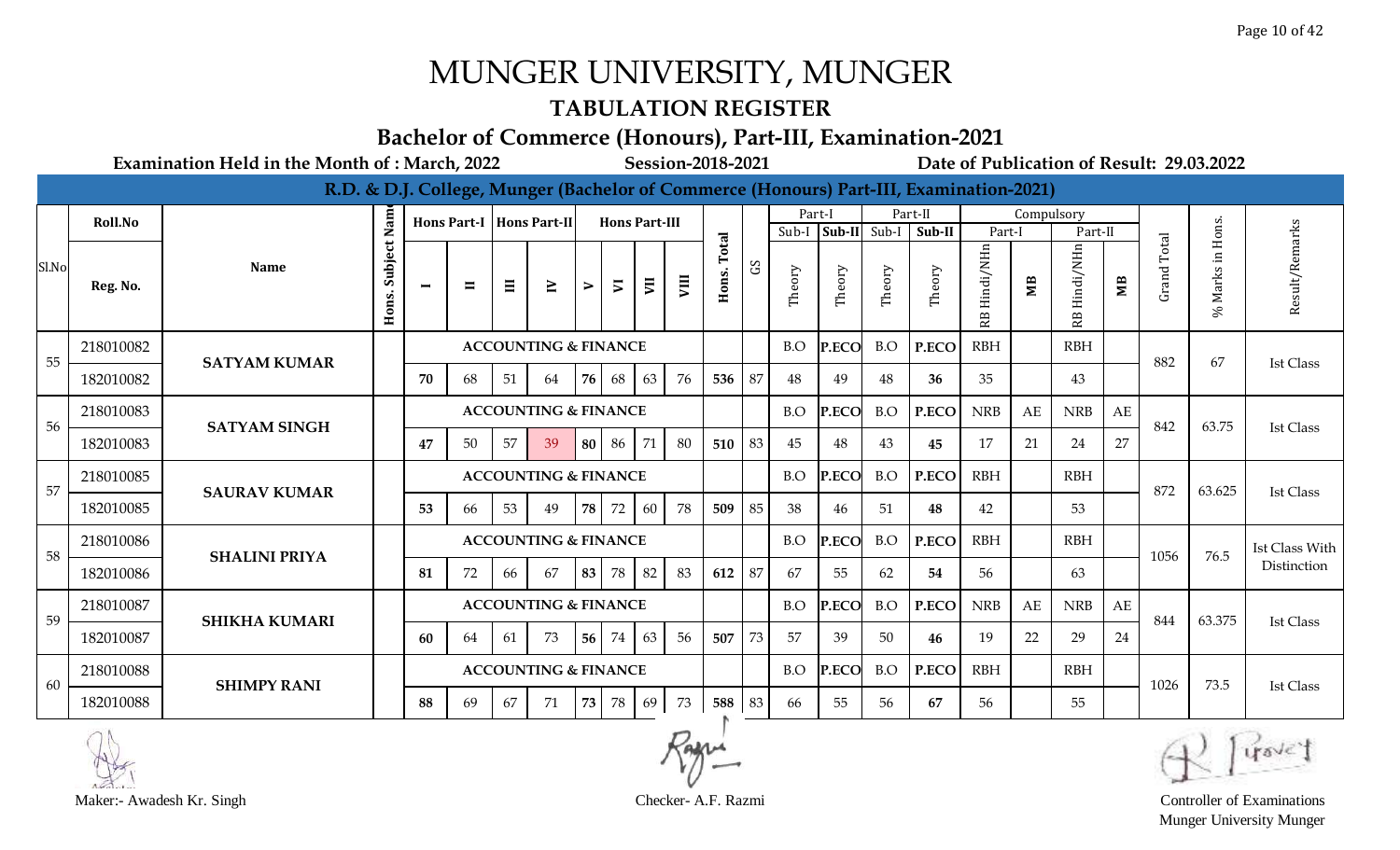#### **TABULATION REGISTER**

#### **Bachelor of Commerce (Honours), Part-III, Examination-2021**

**Examination Held in the Month of : March, 2022 Session-2018-2021 Date of Publication of Result: 29.03.2022**

|       |           |                      |                  |                |                |    |                                 |    |                      |                |    |        |    |        |        |              | R.D. & D.J. College, Munger (Bachelor of Commerce (Honours) Part-III, Examination-2021) |                 |            |                 |                        |             |                  |                       |
|-------|-----------|----------------------|------------------|----------------|----------------|----|---------------------------------|----|----------------------|----------------|----|--------|----|--------|--------|--------------|-----------------------------------------------------------------------------------------|-----------------|------------|-----------------|------------------------|-------------|------------------|-----------------------|
|       | Roll.No   |                      | Nam              |                |                |    | Hons Part-I   Hons Part-II      |    | <b>Hons Part-III</b> |                |    |        |    | Part-I |        |              | Part-II                                                                                 |                 | Compulsory |                 |                        |             |                  |                       |
|       |           |                      |                  |                |                |    |                                 |    |                      |                |    | otal   |    | Sub-I  |        | Sub-II Sub-I | Sub-II                                                                                  | Part-I          |            | Part-II         |                        |             |                  | arks                  |
| Sl.No | Reg. No.  | <b>Name</b>          | Subject<br>Hons. | $\blacksquare$ | $\blacksquare$ | Ξ  | $\geq$                          | ⋗  | $\overline{v}$       | $\overline{z}$ | ym | Hons.  | S  | Theory | Theory | Theory       | Theory                                                                                  | Hindi/NHn<br>RB | МB         | Hindi/NHn<br>RB | $\overline{\text{MB}}$ | Grand Total | % Marks in Hons. | Result/Re             |
| 55    | 218010082 | <b>SATYAM KUMAR</b>  |                  |                |                |    | <b>ACCOUNTING &amp; FINANCE</b> |    |                      |                |    |        |    | B.O    | P.ECO  | B.O          | P.ECO                                                                                   | <b>RBH</b>      |            | <b>RBH</b>      |                        | 882         | 67               | <b>Ist Class</b>      |
|       | 182010082 |                      |                  | 70             | 68             | 51 | 64                              | 76 | 68                   | 63             | 76 | 536    | 87 | 48     | 49     | 48           | 36                                                                                      | 35              |            | 43              |                        |             |                  |                       |
| 56    | 218010083 | <b>SATYAM SINGH</b>  |                  |                |                |    | <b>ACCOUNTING &amp; FINANCE</b> |    |                      |                |    |        |    | B.O    | P.ECO  | B.O          | P.ECO                                                                                   | <b>NRB</b>      | AE         | <b>NRB</b>      | AE                     | 842         | 63.75            | <b>Ist Class</b>      |
|       | 182010083 |                      |                  | 47             | 50             | 57 | 39                              |    | 80 86                | 71             | 80 | 510    | 83 | 45     | 48     | 43           | 45                                                                                      | 17              | 21         | 24              | 27                     |             |                  |                       |
| 57    | 218010085 | <b>SAURAV KUMAR</b>  |                  |                |                |    | <b>ACCOUNTING &amp; FINANCE</b> |    |                      |                |    |        |    | B.O    | P.ECO  | B.O          | P.ECO                                                                                   | <b>RBH</b>      |            | <b>RBH</b>      |                        | 872         | 63.625           | <b>Ist Class</b>      |
|       | 182010085 |                      |                  | 53             | 66             | 53 | 49                              | 78 | 72                   | 60             | 78 | 509    | 85 | 38     | 46     | 51           | 48                                                                                      | 42              |            | 53              |                        |             |                  |                       |
| 58    | 218010086 | <b>SHALINI PRIYA</b> |                  |                |                |    | <b>ACCOUNTING &amp; FINANCE</b> |    |                      |                |    |        |    | B.O    | P.ECO  | B.O          | P.ECO                                                                                   | <b>RBH</b>      |            | <b>RBH</b>      |                        | 1056        | 76.5             | <b>Ist Class With</b> |
|       | 182010086 |                      |                  | 81             | 72             | 66 | 67                              | 83 | 78                   | 82             | 83 | 612    | 87 | 67     | 55     | 62           | 54                                                                                      | 56              |            | 63              |                        |             |                  | Distinction           |
| 59    | 218010087 | <b>SHIKHA KUMARI</b> |                  |                |                |    | <b>ACCOUNTING &amp; FINANCE</b> |    |                      |                |    |        |    | B.O    | P.ECO  | B.O          | P.ECO                                                                                   | <b>NRB</b>      | AE         | <b>NRB</b>      | AE                     | 844         | 63.375           | <b>Ist Class</b>      |
|       | 182010087 |                      |                  | 60             | 64             | 61 | 73                              |    | 56 74                | 63             | 56 | 507    | 73 | 57     | 39     | 50           | 46                                                                                      | 19              | 22         | 29              | 24                     |             |                  |                       |
| 60    | 218010088 | <b>SHIMPY RANI</b>   |                  |                |                |    | <b>ACCOUNTING &amp; FINANCE</b> |    |                      |                |    |        |    | B.O    | P.ECO  | B.O          | P.ECO                                                                                   | <b>RBH</b>      |            | <b>RBH</b>      |                        | 1026        | 73.5             | <b>Ist Class</b>      |
|       | 182010088 |                      |                  | 88             | 69             | 67 | 71                              | 73 | 78                   | 69             | 73 | 588 83 |    | 66     | 55     | 56           | 67                                                                                      | 56              |            | 55              |                        |             |                  |                       |





Munger University Munger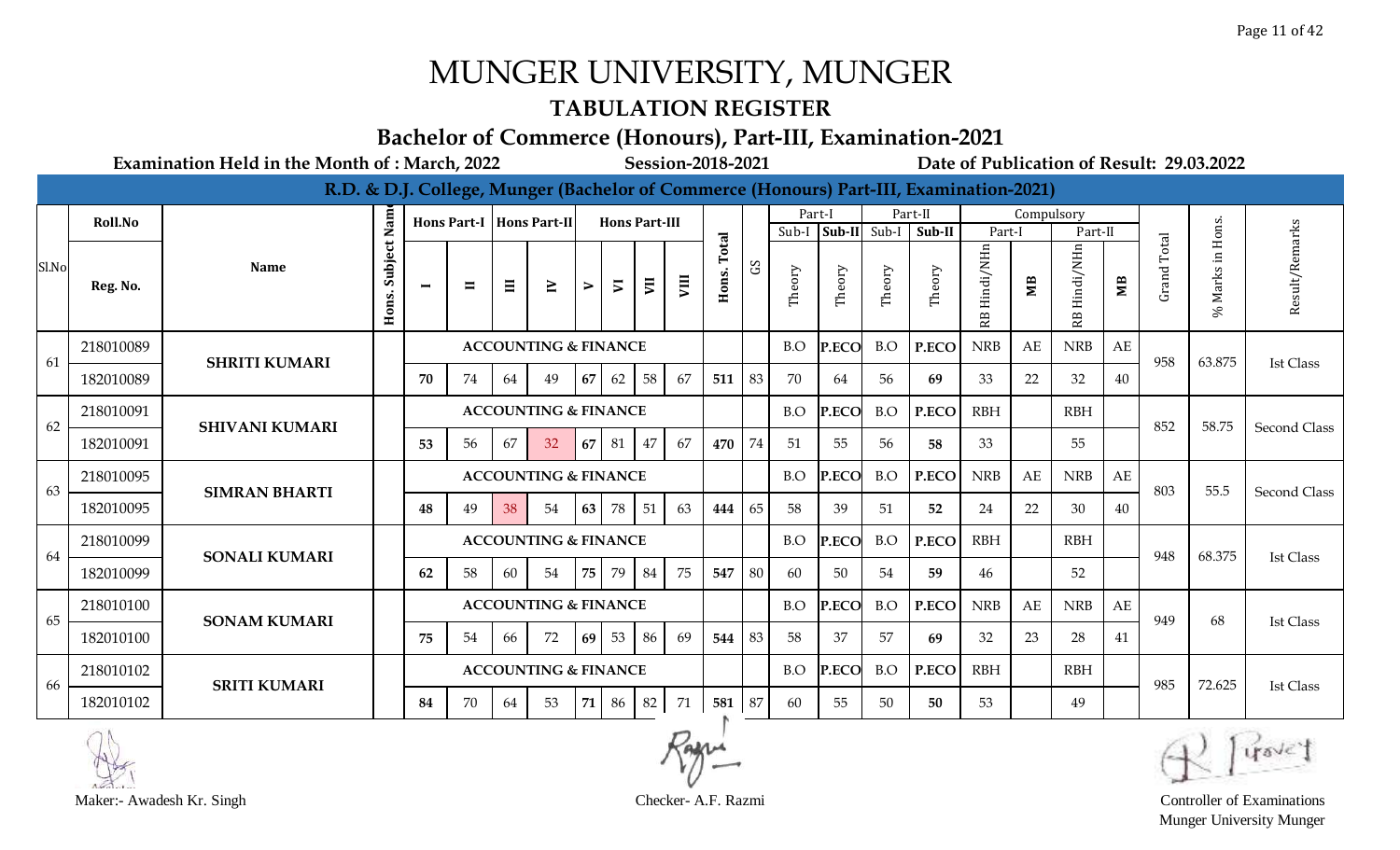### **TABULATION REGISTER**

#### **Bachelor of Commerce (Honours), Part-III, Examination-2021**

**Examination Held in the Month of : March, 2022 Session-2018-2021 Date of Publication of Result: 29.03.2022**

|       |           |                       |                  |                |                |    |                                 |           |                      |    |    |        |              |        |        |              | R.D. & D.J. College, Munger (Bachelor of Commerce (Honours) Part-III, Examination-2021) |                 |            |            |                |                    |                  |                     |
|-------|-----------|-----------------------|------------------|----------------|----------------|----|---------------------------------|-----------|----------------------|----|----|--------|--------------|--------|--------|--------------|-----------------------------------------------------------------------------------------|-----------------|------------|------------|----------------|--------------------|------------------|---------------------|
|       | Roll.No   |                       | Nam              |                |                |    | Hons Part-I   Hons Part-II      |           | <b>Hons Part-III</b> |    |    |        |              |        | Part-I |              | Part-II                                                                                 |                 | Compulsory |            |                |                    |                  |                     |
|       |           |                       |                  |                |                |    |                                 |           |                      |    |    | Total  |              | Sub-I  |        | Sub-II Sub-I | Sub-II                                                                                  | Part-1          |            | Part-II    |                | Total              |                  | arks                |
| Sl.No | Reg. No.  | <b>Name</b>           | Subject<br>Hons. | $\blacksquare$ | $\blacksquare$ | Ξ  | $\geq$                          | ⋗         | $\overline{v}$       | E  | VШ | Hons.  | $\mathbf{S}$ | Theory | Theory | Theory       | Theory                                                                                  | Hindi/NHn<br>В. | МB         | Hindi/NHn  | M <sub>B</sub> | Grand <sup>'</sup> | % Marks in Hons. | Result/Rem          |
| 61    | 218010089 | <b>SHRITI KUMARI</b>  |                  |                |                |    | <b>ACCOUNTING &amp; FINANCE</b> |           |                      |    |    |        |              | B.O    | P.ECO  | B.O          | P.ECO                                                                                   | <b>NRB</b>      | AE         | <b>NRB</b> | AE             | 958                | 63.875           | Ist Class           |
|       | 182010089 |                       |                  | 70             | 74             | 64 | 49                              | 67        | 62                   | 58 | 67 | 511    | 83           | 70     | 64     | 56           | 69                                                                                      | 33              | 22         | 32         | 40             |                    |                  |                     |
| 62    | 218010091 | <b>SHIVANI KUMARI</b> |                  |                |                |    | <b>ACCOUNTING &amp; FINANCE</b> |           |                      |    |    |        |              | B.O    | P.ECO  | B.O          | P.ECO                                                                                   | <b>RBH</b>      |            | <b>RBH</b> |                | 852                | 58.75            | <b>Second Class</b> |
|       | 182010091 |                       |                  | 53             | 56             | 67 | 32                              | 67        | 81                   | 47 | 67 | 470    | 74           | 51     | 55     | 56           | 58                                                                                      | 33              |            | 55         |                |                    |                  |                     |
| 63    | 218010095 | <b>SIMRAN BHARTI</b>  |                  |                |                |    | <b>ACCOUNTING &amp; FINANCE</b> |           |                      |    |    |        |              | B.O    | P.ECO  | B.O          | P.ECO                                                                                   | <b>NRB</b>      | AE         | <b>NRB</b> | AE             | 803                | 55.5             | Second Class        |
|       | 182010095 |                       |                  | 48             | 49             | 38 | 54                              | 63        | 78                   | 51 | 63 | 444    | 65           | -58    | 39     | 51           | 52                                                                                      | 24              | 22         | 30         | 40             |                    |                  |                     |
| 64    | 218010099 | <b>SONALI KUMARI</b>  |                  |                |                |    | <b>ACCOUNTING &amp; FINANCE</b> |           |                      |    |    |        |              | B.O    | P.ECO  | B.O          | P.ECO                                                                                   | <b>RBH</b>      |            | <b>RBH</b> |                | 948                | 68.375           | <b>Ist Class</b>    |
|       | 182010099 |                       |                  | 62             | 58             | 60 | 54                              | 75        | 79                   | 84 | 75 | 547    | 80           | 60     | 50     | 54           | 59                                                                                      | 46              |            | 52         |                |                    |                  |                     |
| 65    | 218010100 | <b>SONAM KUMARI</b>   |                  |                |                |    | <b>ACCOUNTING &amp; FINANCE</b> |           |                      |    |    |        |              | B.O    | P.ECO  | B.O          | P.ECO                                                                                   | <b>NRB</b>      | AE         | <b>NRB</b> | AE             | 949                | 68               | Ist Class           |
|       | 182010100 |                       |                  | 75             | 54             | 66 | 72                              | <b>69</b> | 53                   | 86 | 69 | 544 83 |              | 58     | 37     | 57           | 69                                                                                      | 32              | 23         | 28         | 41             |                    |                  |                     |
| 66    | 218010102 |                       |                  |                |                |    | <b>ACCOUNTING &amp; FINANCE</b> |           |                      |    |    |        |              | B.O    | P.ECO  | B.O          | P.ECO                                                                                   | <b>RBH</b>      |            | <b>RBH</b> |                | 985                | 72.625           | <b>Ist Class</b>    |
|       | 182010102 | <b>SRITI KUMARI</b>   |                  | 84             | 70             | 64 | 53                              | 71        | 86                   | 82 | 71 | 581 87 |              | 60     | 55     | 50           | 50                                                                                      | 53              |            | 49         |                |                    |                  |                     |



Maker:- Awadesh Kr. Singh Checker- A.F. Razmi Controller of Examinations Munger University Munger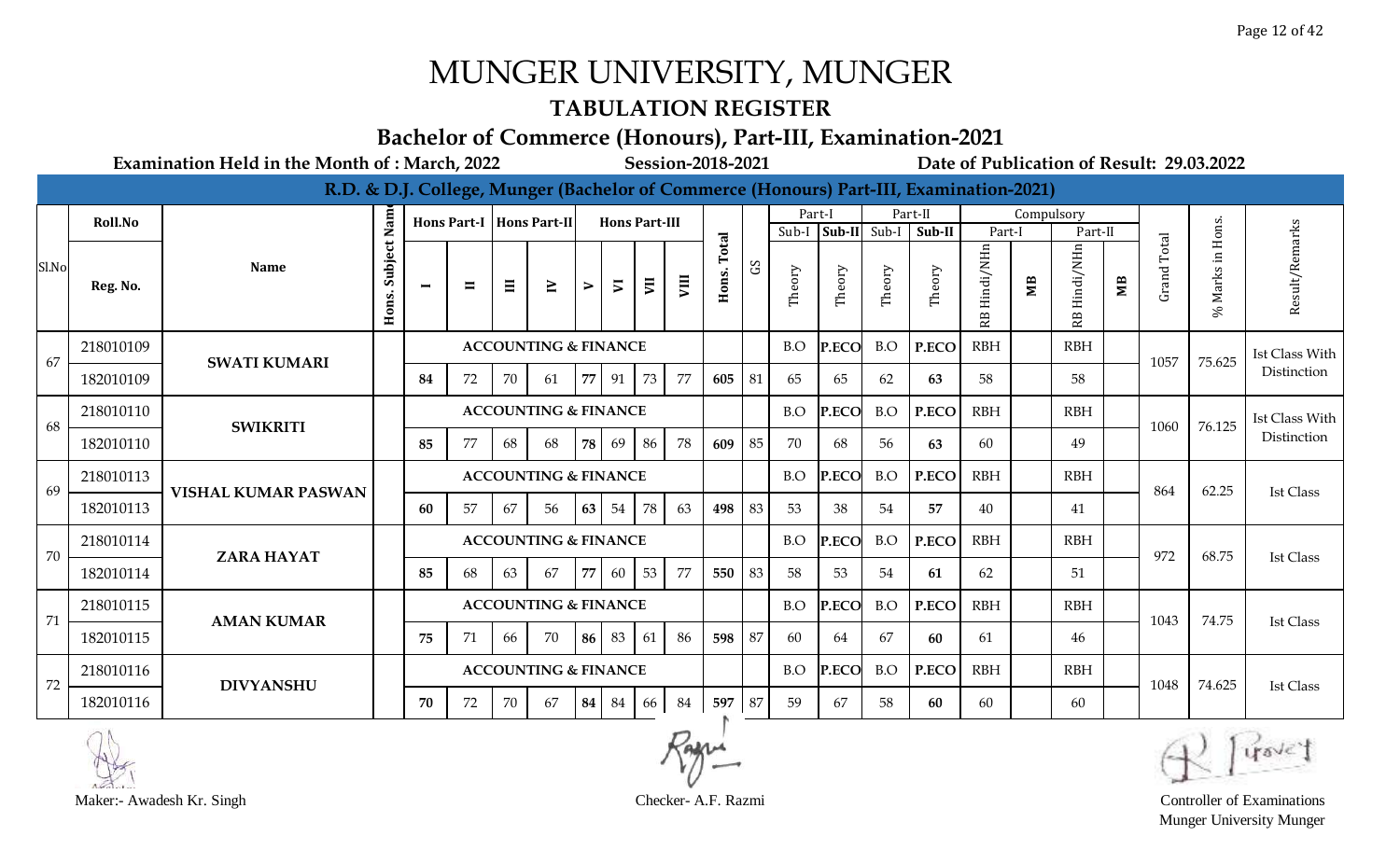### **TABULATION REGISTER**

#### **Bachelor of Commerce (Honours), Part-III, Examination-2021**

**Examination Held in the Month of : March, 2022 Session-2018-2021 Date of Publication of Result: 29.03.2022**

|       |           |                            |                  |                |                |    |                                 |    |                      |    |      |        |              |        |        |              | R.D. & D.J. College, Munger (Bachelor of Commerce (Honours) Part-III, Examination-2021) |                  |            |                 |                |                    |                  |                       |
|-------|-----------|----------------------------|------------------|----------------|----------------|----|---------------------------------|----|----------------------|----|------|--------|--------------|--------|--------|--------------|-----------------------------------------------------------------------------------------|------------------|------------|-----------------|----------------|--------------------|------------------|-----------------------|
|       | Roll.No   |                            | Nam              |                |                |    | Hons Part-I   Hons Part-II      |    | <b>Hons Part-III</b> |    |      |        |              |        | Part-I |              | Part-II                                                                                 |                  | Compulsory |                 |                |                    |                  |                       |
|       |           |                            |                  |                |                |    |                                 |    |                      |    |      | Total  |              | Sub-I  |        | Sub-II Sub-I | Sub-II                                                                                  | Part-1           |            | Part-II         |                | Total              |                  |                       |
| Sl.No | Reg. No.  | <b>Name</b>                | Subject<br>Hons. | $\blacksquare$ | $\blacksquare$ | Ξ  | $\geq$                          | ⋗  | $\overline{v}$       | E  | VIII | Hons.  | $\mathbf{S}$ | Theory | Theory | Theory       | Theory                                                                                  | Hindi/NHn<br>RB. | МB         | Hindi/NHn<br>RB | M <sub>B</sub> | Grand <sup>-</sup> | % Marks in Hons. | Result/Remarks        |
| 67    | 218010109 | <b>SWATI KUMARI</b>        |                  |                |                |    | <b>ACCOUNTING &amp; FINANCE</b> |    |                      |    |      |        |              | B.O    | P.ECO  | B.O          | P.ECO                                                                                   | <b>RBH</b>       |            | <b>RBH</b>      |                | 1057               | 75.625           | <b>Ist Class With</b> |
|       | 182010109 |                            |                  | 84             | 72             | 70 | 61                              | 77 | 91                   | 73 | 77   | 605    | 81           | 65     | 65     | 62           | 63                                                                                      | 58               |            | 58              |                |                    |                  | Distinction           |
| 68    | 218010110 | <b>SWIKRITI</b>            |                  |                |                |    | <b>ACCOUNTING &amp; FINANCE</b> |    |                      |    |      |        |              | B.O    | P.ECO  | B.O          | P.ECO                                                                                   | <b>RBH</b>       |            | <b>RBH</b>      |                | 1060               | 76.125           | Ist Class With        |
|       | 182010110 |                            |                  | 85             | 77             | 68 | 68                              | 78 | 69                   | 86 | 78   | 609    | 85           | 70     | 68     | 56           | 63                                                                                      | 60               |            | 49              |                |                    |                  | Distinction           |
| 69    | 218010113 | <b>VISHAL KUMAR PASWAN</b> |                  |                |                |    | <b>ACCOUNTING &amp; FINANCE</b> |    |                      |    |      |        |              | B.O    | P.ECO  | B.O          | P.ECO                                                                                   | <b>RBH</b>       |            | <b>RBH</b>      |                | 864                | 62.25            | Ist Class             |
|       | 182010113 |                            |                  | 60             | 57             | 67 | 56                              | 63 | 54                   | 78 | 63   | 498    | 83           | -53    | 38     | 54           | 57                                                                                      | 40               |            | 41              |                |                    |                  |                       |
| 70    | 218010114 | <b>ZARA HAYAT</b>          |                  |                |                |    | <b>ACCOUNTING &amp; FINANCE</b> |    |                      |    |      |        |              | B.O    | P.ECO  | B.O          | P.ECO                                                                                   | <b>RBH</b>       |            | <b>RBH</b>      |                | 972                | 68.75            | <b>Ist Class</b>      |
|       | 182010114 |                            |                  | 85             | 68             | 63 | 67                              | 77 | 60                   | 53 | 77   | 550    | 83           | 58     | 53     | 54           | 61                                                                                      | 62               |            | 51              |                |                    |                  |                       |
| 71    | 218010115 | <b>AMAN KUMAR</b>          |                  |                |                |    | <b>ACCOUNTING &amp; FINANCE</b> |    |                      |    |      |        |              | B.O    | P.ECO  | B.O          | P.ECO                                                                                   | <b>RBH</b>       |            | <b>RBH</b>      |                | 1043               | 74.75            | Ist Class             |
|       | 182010115 |                            |                  | 75             | 71             | 66 | 70                              |    | 86 83                | 61 | 86   | 598    | 87           | 60     | 64     | 67           | 60                                                                                      | 61               |            | 46              |                |                    |                  |                       |
| 72    | 218010116 | <b>DIVYANSHU</b>           |                  |                |                |    | <b>ACCOUNTING &amp; FINANCE</b> |    |                      |    |      |        |              | B.O    | P.ECO  | B.O          | P.ECO                                                                                   | <b>RBH</b>       |            | <b>RBH</b>      |                | 1048               | 74.625           | <b>Ist Class</b>      |
|       | 182010116 |                            |                  | 70             | 72             | 70 | 67                              | 84 | 84                   | 66 | 84   | 597 87 |              | 59     | 67     | 58           | 60                                                                                      | 60               |            | 60              |                |                    |                  |                       |



Munger University Munger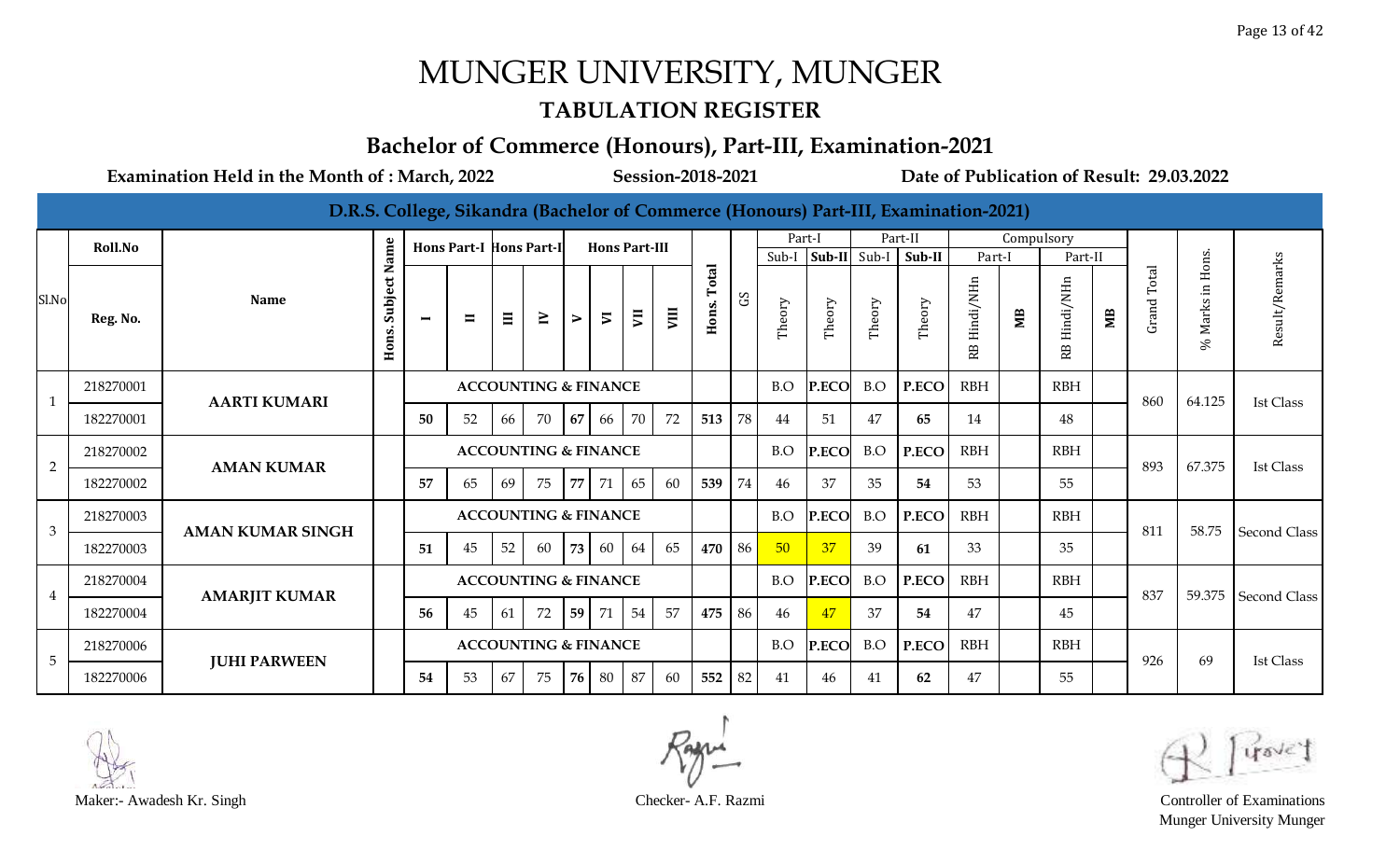#### **TABULATION REGISTER**

#### **Bachelor of Commerce (Honours), Part-III, Examination-2021**

|                |           |                         |                       |                |                                |       |                                 |        |                          |                      |      |                       |    |        |                        |        | D.R.S. College, Sikandra (Bachelor of Commerce (Honours) Part-III, Examination-2021) |                 |            |                 |    |             |                                              |                       |
|----------------|-----------|-------------------------|-----------------------|----------------|--------------------------------|-------|---------------------------------|--------|--------------------------|----------------------|------|-----------------------|----|--------|------------------------|--------|--------------------------------------------------------------------------------------|-----------------|------------|-----------------|----|-------------|----------------------------------------------|-----------------------|
|                | Roll.No   |                         |                       |                | <b>Hons Part-I Hons Part-I</b> |       |                                 |        |                          | <b>Hons Part-III</b> |      |                       |    | Part-I |                        |        | Part-II                                                                              |                 | Compulsory |                 |    |             |                                              |                       |
|                |           |                         |                       |                |                                |       |                                 |        |                          |                      |      |                       |    |        | Sub-I $ Sub-II $ Sub-I |        | $\vert$ Sub-II                                                                       | Part-I          |            | Part-II         |    |             |                                              |                       |
| Sl.No          | Reg. No.  | <b>Name</b>             | Subject Name<br>Hons. | $\blacksquare$ | $\blacksquare$                 | $\Xi$ | $\geq$                          | $\geq$ | $\overline{\phantom{a}}$ | $\overline{5}$       | VIII | <b>Total</b><br>Hons. | S  | Theory | Theory                 | Theory | Theory                                                                               | Hindi/NHn<br>RB | МB         | Hindi/NHn<br>RB | МB | Grand Total | Marks in Hons.<br>$\mathcal{S}_{\mathsf{G}}$ | Result/Remarks        |
| $\mathbf{1}$   | 218270001 | <b>AARTI KUMARI</b>     |                       |                |                                |       | <b>ACCOUNTING &amp; FINANCE</b> |        |                          |                      |      |                       |    | B.O    | P.ECO                  | B.O    | P.ECO                                                                                | <b>RBH</b>      |            | <b>RBH</b>      |    | 860         | 64.125                                       | <b>Ist Class</b>      |
|                | 182270001 |                         |                       | 50             | 52                             | 66    | 70                              | 67     | 66                       | 70                   | 72   | 513                   | 78 | 44     | 51                     | 47     | 65                                                                                   | 14              |            | 48              |    |             |                                              |                       |
| $\overline{2}$ | 218270002 | <b>AMAN KUMAR</b>       |                       |                |                                |       | <b>ACCOUNTING &amp; FINANCE</b> |        |                          |                      |      |                       |    | B.O    | P.ECO                  | B.O    | P.ECO                                                                                | <b>RBH</b>      |            | <b>RBH</b>      |    | 893         | 67.375                                       | <b>Ist Class</b>      |
|                | 182270002 |                         |                       | 57             | 65                             | 69    | 75                              | 77     | 71                       | 65                   | 60   | 539                   | 74 | 46     | 37                     | 35     | 54                                                                                   | 53              |            | 55              |    |             |                                              |                       |
| 3              | 218270003 | <b>AMAN KUMAR SINGH</b> |                       |                |                                |       | <b>ACCOUNTING &amp; FINANCE</b> |        |                          |                      |      |                       |    | B.O    | P.ECO                  | B.O    | P.ECO                                                                                | <b>RBH</b>      |            | RBH             |    | 811         | 58.75                                        | <b>Second Class</b>   |
|                | 182270003 |                         |                       | 51             | 45                             | 52    | 60                              | 73     | 60                       | 64                   | 65   | 470                   | 86 | 50     | 37                     | 39     | 61                                                                                   | 33              |            | 35              |    |             |                                              |                       |
| $\overline{4}$ | 218270004 | <b>AMARJIT KUMAR</b>    |                       |                |                                |       | <b>ACCOUNTING &amp; FINANCE</b> |        |                          |                      |      |                       |    | B.O    | P.ECO                  | B.O    | P.ECO                                                                                | <b>RBH</b>      |            | RBH             |    | 837         |                                              | 59.375   Second Class |
|                | 182270004 |                         |                       | 56             | 45                             | 61    | 72                              | 59     | 71                       | 54                   | 57   | 475                   | 86 | 46     | 47                     | 37     | 54                                                                                   | 47              |            | 45              |    |             |                                              |                       |
| 5              | 218270006 | <b>JUHI PARWEEN</b>     |                       |                |                                |       | <b>ACCOUNTING &amp; FINANCE</b> |        |                          |                      |      |                       |    | B.O    | P.ECO                  | B.O    | P.ECO                                                                                | <b>RBH</b>      |            | <b>RBH</b>      |    | 926         | 69                                           | <b>Ist Class</b>      |
|                | 182270006 |                         |                       | 54             | 53                             | 67    | 75                              | 76     | 80                       | 87                   | 60   | 552                   | 82 | 41     | 46                     | 41     | 62                                                                                   | 47              |            | 55              |    |             |                                              |                       |



Maker:- Awadesh Kr. Singh Checker- A.F. Razmi Controller of Examinations Munger University Munger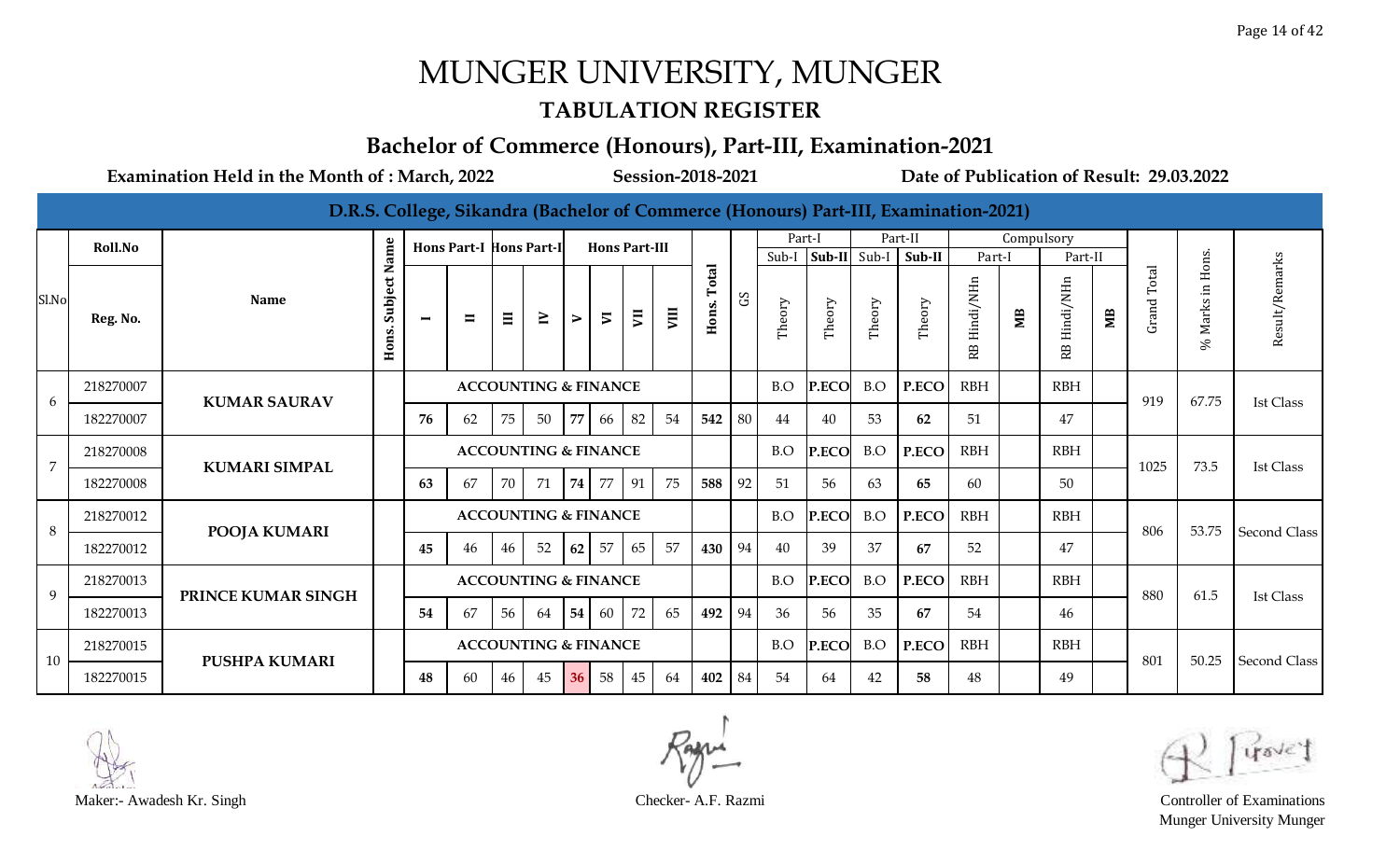#### **TABULATION REGISTER**

#### **Bachelor of Commerce (Honours), Part-III, Examination-2021**

|                |           |                      |                       |                |                                |       |                                 |                  |                          |                      |      |                       |    |        |                |        | D.R.S. College, Sikandra (Bachelor of Commerce (Honours) Part-III, Examination-2021) |                 |            |                              |    |                             |                  |                     |
|----------------|-----------|----------------------|-----------------------|----------------|--------------------------------|-------|---------------------------------|------------------|--------------------------|----------------------|------|-----------------------|----|--------|----------------|--------|--------------------------------------------------------------------------------------|-----------------|------------|------------------------------|----|-----------------------------|------------------|---------------------|
|                | Roll.No   |                      |                       |                | <b>Hons Part-I Hons Part-I</b> |       |                                 |                  |                          | <b>Hons Part-III</b> |      |                       |    | Part-I |                |        | Part-II                                                                              |                 | Compulsory |                              |    |                             |                  |                     |
|                |           |                      |                       |                |                                |       |                                 |                  |                          |                      |      |                       |    | Sub-I  | $Sub-II$ Sub-I |        | Sub-II                                                                               | Part-I          |            | Part-II                      |    |                             |                  |                     |
| Sl.No          | Reg. No.  | <b>Name</b>          | Subject Name<br>Hons. | $\blacksquare$ | $\blacksquare$                 | $\Xi$ | $\geq$                          | $\triangleright$ | $\overline{\phantom{0}}$ | $\overline{5}$       | VIII | <b>Total</b><br>Hons. | S  | Theory | Theory         | Theory | Theory                                                                               | Hindi/NHn<br>RB | ЯM         | Hindi/NHn<br>RB <sub>1</sub> | МB | Total<br>Grand <sup>-</sup> | % Marks in Hons. | Result/Remarks      |
| 6              | 218270007 | <b>KUMAR SAURAV</b>  |                       |                |                                |       | <b>ACCOUNTING &amp; FINANCE</b> |                  |                          |                      |      |                       |    | B.O    | P.ECO          | B.O    | P.ECO                                                                                | <b>RBH</b>      |            | <b>RBH</b>                   |    | 919                         | 67.75            | <b>Ist Class</b>    |
|                | 182270007 |                      |                       | 76             | 62                             | 75    | 50                              | 77               | 66                       | 82                   | 54   | 542                   | 80 | 44     | 40             | 53     | 62                                                                                   | 51              |            | 47                           |    |                             |                  |                     |
| $\overline{7}$ | 218270008 | <b>KUMARI SIMPAL</b> |                       |                |                                |       | <b>ACCOUNTING &amp; FINANCE</b> |                  |                          |                      |      |                       |    | B.O    | P.ECO          | B.O    | P.ECO                                                                                | <b>RBH</b>      |            | <b>RBH</b>                   |    | 1025                        | 73.5             | <b>Ist Class</b>    |
|                | 182270008 |                      |                       | 63             | 67                             | 70    | 71                              | 74               | 77                       | 91                   | 75   | 588                   | 92 | 51     | 56             | 63     | 65                                                                                   | 60              |            | 50                           |    |                             |                  |                     |
| 8              | 218270012 | <b>POOJA KUMARI</b>  |                       |                |                                |       | <b>ACCOUNTING &amp; FINANCE</b> |                  |                          |                      |      |                       |    | B.O    | P.ECO          | B.O    | P.ECO                                                                                | <b>RBH</b>      |            | <b>RBH</b>                   |    | 806                         | 53.75            | <b>Second Class</b> |
|                | 182270012 |                      |                       | 45             | 46                             | 46    | 52                              | 62               | 57                       | 65                   | 57   | 430                   | 94 | 40     | 39             | 37     | 67                                                                                   | 52              |            | 47                           |    |                             |                  |                     |
| 9              | 218270013 | PRINCE KUMAR SINGH   |                       |                |                                |       | <b>ACCOUNTING &amp; FINANCE</b> |                  |                          |                      |      |                       |    | B.O    | P.ECO          | B.O    | P.ECO                                                                                | <b>RBH</b>      |            | RBH                          |    | 880                         | 61.5             | <b>Ist Class</b>    |
|                | 182270013 |                      |                       | 54             | 67                             | 56    | 64                              | 54               | 60                       | 72                   | 65   | 492                   | 94 | 36     | 56             | 35     | 67                                                                                   | 54              |            | 46                           |    |                             |                  |                     |
| 10             | 218270015 | <b>PUSHPA KUMARI</b> |                       |                |                                |       | <b>ACCOUNTING &amp; FINANCE</b> |                  |                          |                      |      |                       |    | B.O    | P.ECO          | B.O    | P.ECO                                                                                | <b>RBH</b>      |            | <b>RBH</b>                   |    | 801                         | 50.25            | <b>Second Class</b> |
|                | 182270015 |                      |                       | 48             | 60                             | 46    | 45                              | 36               | 58                       | 45                   | 64   | 402                   | 84 | 54     | 64             | 42     | 58                                                                                   | 48              |            | 49                           |    |                             |                  |                     |



Maker:- Awadesh Kr. Singh Checker- A.F. Razmi Controller of Examinations Munger University Munger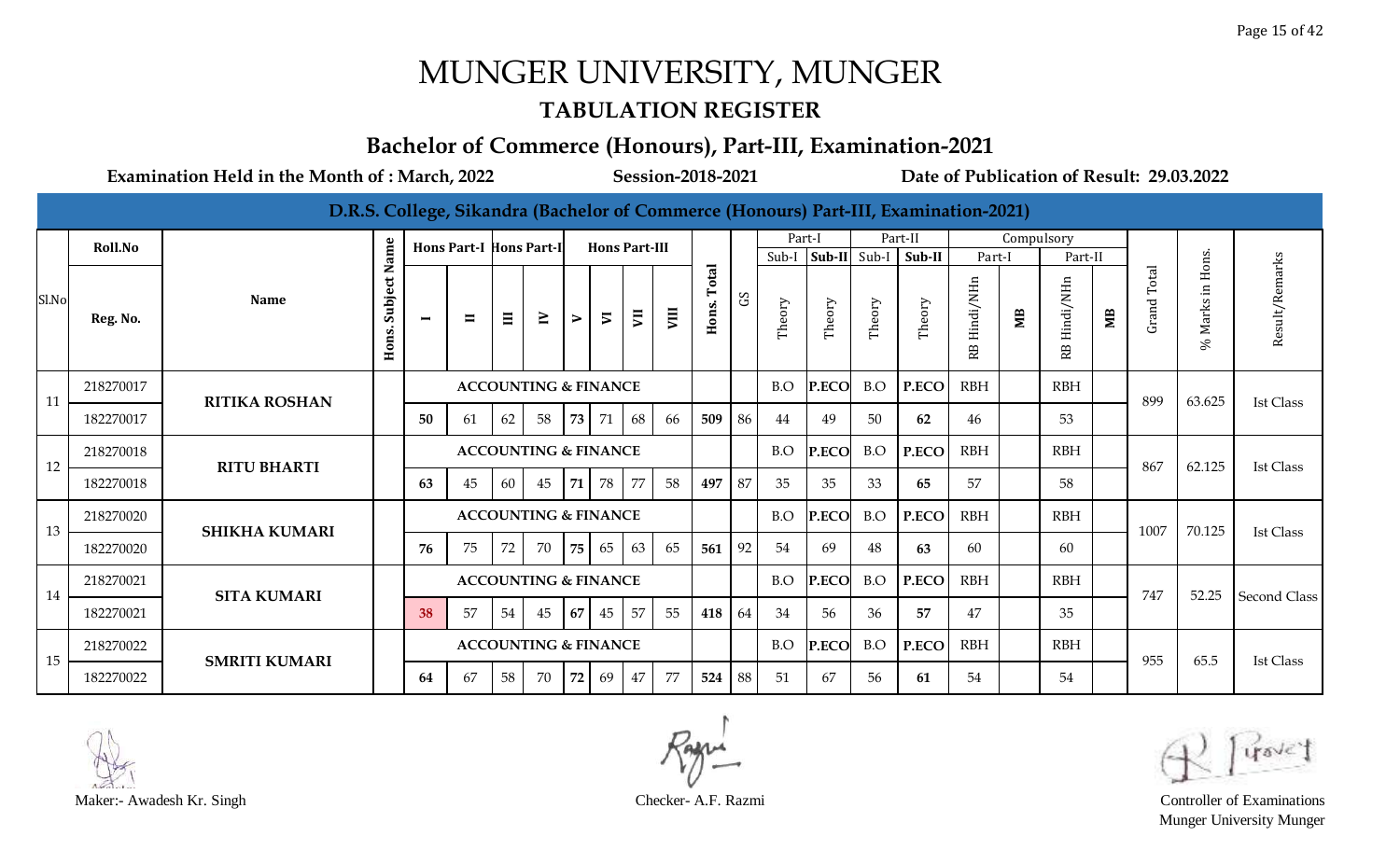#### **TABULATION REGISTER**

#### **Bachelor of Commerce (Honours), Part-III, Examination-2021**

|       |                |                      |                       |                |                                |          |                                 |                  |                          |                      |    |                |              |        |                |        | D.R.S. College, Sikandra (Bachelor of Commerce (Honours) Part-III, Examination-2021) |                 |            |                              |    |                |                  |                     |
|-------|----------------|----------------------|-----------------------|----------------|--------------------------------|----------|---------------------------------|------------------|--------------------------|----------------------|----|----------------|--------------|--------|----------------|--------|--------------------------------------------------------------------------------------|-----------------|------------|------------------------------|----|----------------|------------------|---------------------|
|       | <b>Roll.No</b> |                      |                       |                | <b>Hons Part-I Hons Part-I</b> |          |                                 |                  |                          | <b>Hons Part-III</b> |    |                |              | Part-I |                |        | Part-II                                                                              |                 | Compulsory |                              |    |                |                  |                     |
|       |                |                      |                       |                |                                |          |                                 |                  |                          |                      |    |                |              | Sub-I  | $Sub-II$ Sub-I |        | Sub-II                                                                               | Part-I          |            | Part-II                      |    |                |                  |                     |
| Sl.No | Reg. No.       | <b>Name</b>          | Subject Name<br>Hons. | $\blacksquare$ | $\blacksquare$                 | $\equiv$ | $\geq$                          | $\triangleright$ | $\overline{\phantom{0}}$ | $\overline{5}$       | ym | Total<br>Hons. | $\mathbf{S}$ | Theory | Theory         | Theory | Theory                                                                               | Hindi/NHn<br>RB | МB         | Hindi/NHn<br>RB <sub>1</sub> | МB | Total<br>Grand | % Marks in Hons. | Result/Remarks      |
| 11    | 218270017      | <b>RITIKA ROSHAN</b> |                       |                |                                |          | <b>ACCOUNTING &amp; FINANCE</b> |                  |                          |                      |    |                |              | B.O    | P.ECO          | B.O    | P.ECO                                                                                | <b>RBH</b>      |            | <b>RBH</b>                   |    | 899            | 63.625           | <b>Ist Class</b>    |
|       | 182270017      |                      |                       | 50             | 61                             | 62       | 58                              | 73               | 71                       | 68                   | 66 | 509            | 86           | 44     | 49             | 50     | 62                                                                                   | 46              |            | 53                           |    |                |                  |                     |
| 12    | 218270018      | <b>RITU BHARTI</b>   |                       |                |                                |          | <b>ACCOUNTING &amp; FINANCE</b> |                  |                          |                      |    |                |              | B.O    | P.ECO          | B.O    | P.ECO                                                                                | <b>RBH</b>      |            | <b>RBH</b>                   |    | 867            | 62.125           | <b>Ist Class</b>    |
|       | 182270018      |                      |                       | 63             | 45                             | 60       | 45                              | 71               | 78                       | 77                   | 58 | 497            | 87           | 35     | 35             | 33     | 65                                                                                   | 57              |            | 58                           |    |                |                  |                     |
| 13    | 218270020      | <b>SHIKHA KUMARI</b> |                       |                |                                |          | <b>ACCOUNTING &amp; FINANCE</b> |                  |                          |                      |    |                |              | B.O    | P.ECO          | B.O    | P.ECO                                                                                | <b>RBH</b>      |            | <b>RBH</b>                   |    | 1007           | 70.125           | <b>Ist Class</b>    |
|       | 182270020      |                      |                       | 76             | 75                             | 72       | 70                              | 75               | 65                       | 63                   | 65 | 561            | 92           | 54     | 69             | 48     | 63                                                                                   | 60              |            | 60                           |    |                |                  |                     |
| 14    | 218270021      | <b>SITA KUMARI</b>   |                       |                |                                |          | <b>ACCOUNTING &amp; FINANCE</b> |                  |                          |                      |    |                |              | B.O    | P.ECO          | B.O    | P.ECO                                                                                | <b>RBH</b>      |            | <b>RBH</b>                   |    | 747            | 52.25            | <b>Second Class</b> |
|       | 182270021      |                      |                       | 38             | 57                             | 54       | 45                              | 67               | 45                       | 57                   | 55 | 418            | 64           | 34     | 56             | 36     | 57                                                                                   | 47              |            | 35                           |    |                |                  |                     |
| 15    | 218270022      | <b>SMRITI KUMARI</b> |                       |                |                                |          | <b>ACCOUNTING &amp; FINANCE</b> |                  |                          |                      |    |                |              | B.O    | P.ECO          | B.O    | P.ECO                                                                                | <b>RBH</b>      |            | <b>RBH</b>                   |    | 955            | 65.5             | <b>Ist Class</b>    |
|       | 182270022      |                      |                       | 64             | 67                             | 58       | 70                              | 72               | 69                       | 47                   | 77 | 524            | 88           | 51     | 67             | 56     | 61                                                                                   | 54              |            | 54                           |    |                |                  |                     |



Maker:- Awadesh Kr. Singh Checker- A.F. Razmi Controller of Examinations Munger University Munger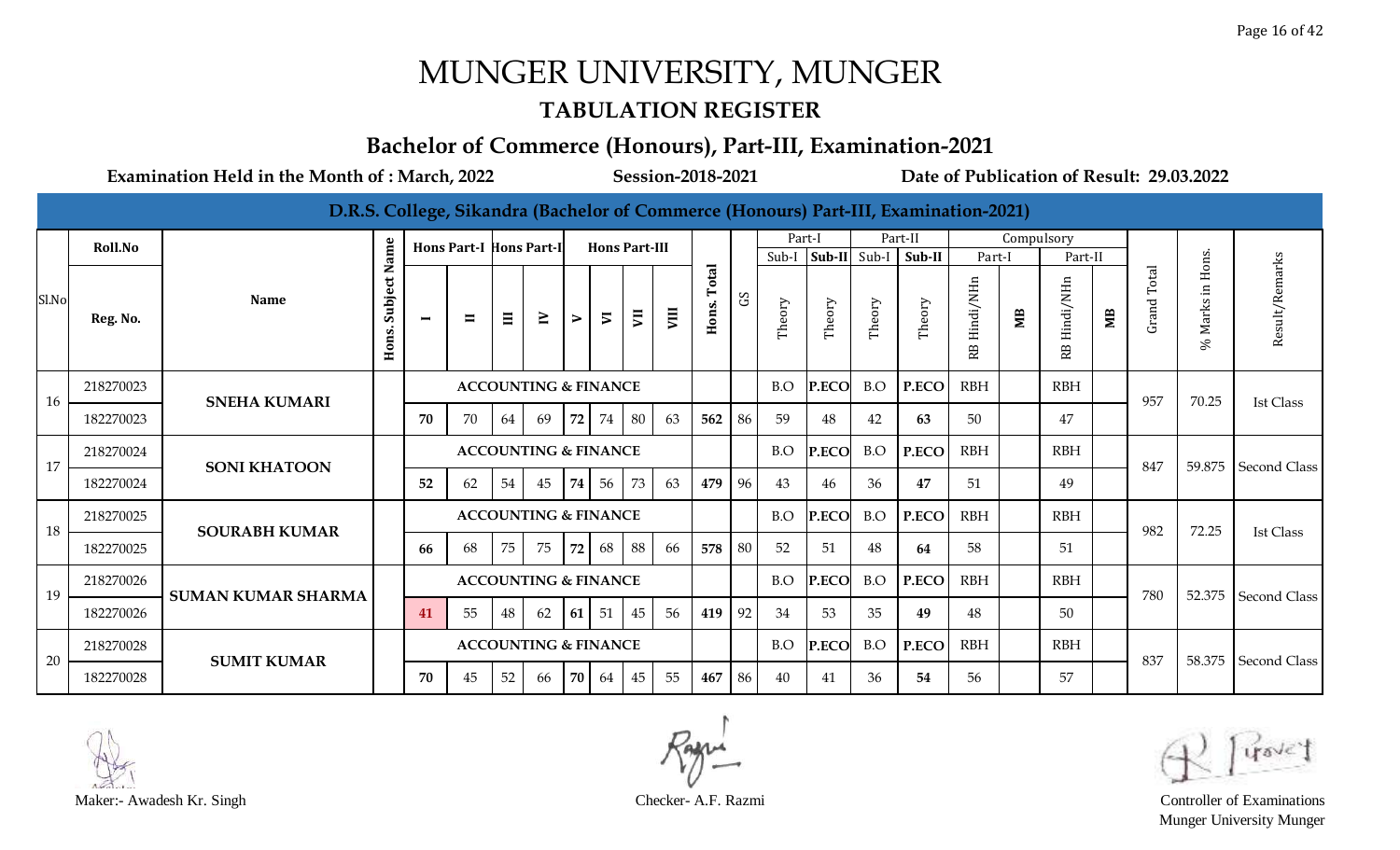#### **TABULATION REGISTER**

#### **Bachelor of Commerce (Honours), Part-III, Examination-2021**

|       |           |                           |                  |                          |                                |       |                                 |                  |                          |                      |      |                |             |         |              |        | D.R.S. College, Sikandra (Bachelor of Commerce (Honours) Part-III, Examination-2021) |                 |            |                 |    |             |                    |                     |
|-------|-----------|---------------------------|------------------|--------------------------|--------------------------------|-------|---------------------------------|------------------|--------------------------|----------------------|------|----------------|-------------|---------|--------------|--------|--------------------------------------------------------------------------------------|-----------------|------------|-----------------|----|-------------|--------------------|---------------------|
|       | Roll.No   |                           |                  |                          | <b>Hons Part-I Hons Part-I</b> |       |                                 |                  |                          | <b>Hons Part-III</b> |      |                |             | Part-I  |              |        | Part-II                                                                              |                 | Compulsory |                 |    |             |                    |                     |
|       |           |                           | ame<br>z         |                          |                                |       |                                 |                  |                          |                      |      |                |             | $Sub-I$ | Sub-II Sub-I |        | Sub-II                                                                               | Part-I          |            | Part-II         |    |             |                    |                     |
| Sl.No | Reg. No.  | <b>Name</b>               | Subject<br>Hons. | $\overline{\phantom{0}}$ | $\blacksquare$                 | $\Xi$ | $\geq$                          | $\triangleright$ | $\overline{\phantom{0}}$ | $\overline{5}$       | VIII | Total<br>Hons. | $_{\rm c2}$ | Theory  | Theory       | Theory | Theory                                                                               | Hindi/NHn<br>RB | ЯM         | Hindi/NHn<br>RB | МB | Grand Total | $%$ Marks in Hons. | Result/Remarks      |
| 16    | 218270023 | <b>SNEHA KUMARI</b>       |                  |                          |                                |       | <b>ACCOUNTING &amp; FINANCE</b> |                  |                          |                      |      |                |             | B.O     | <b>P.ECO</b> | B.O    | P.ECO                                                                                | <b>RBH</b>      |            | <b>RBH</b>      |    | 957         | 70.25              | <b>Ist Class</b>    |
|       | 182270023 |                           |                  | 70                       | 70                             | 64    | 69                              | 72               | 74                       | 80                   | 63   | 562            | 86          | 59      | 48           | 42     | 63                                                                                   | 50              |            | 47              |    |             |                    |                     |
| 17    | 218270024 | <b>SONI KHATOON</b>       |                  |                          |                                |       | <b>ACCOUNTING &amp; FINANCE</b> |                  |                          |                      |      |                |             | B.O     | P.ECO        | B.O    | P.ECO                                                                                | <b>RBH</b>      |            | <b>RBH</b>      |    | 847         | 59.875             | <b>Second Class</b> |
|       | 182270024 |                           |                  | 52                       | 62                             | 54    | 45                              | 74               | 56                       | 73                   | 63   | 479            | 96          | 43      | 46           | 36     | 47                                                                                   | 51              |            | 49              |    |             |                    |                     |
| 18    | 218270025 | <b>SOURABH KUMAR</b>      |                  |                          |                                |       | <b>ACCOUNTING &amp; FINANCE</b> |                  |                          |                      |      |                |             | B.O     | P.ECO        | B.O    | P.ECO                                                                                | <b>RBH</b>      |            | <b>RBH</b>      |    | 982         | 72.25              | <b>Ist Class</b>    |
|       | 182270025 |                           |                  | 66                       | 68                             | 75    | 75                              | 72               | 68                       | 88                   | 66   | 578            | 80          | 52      | 51           | 48     | 64                                                                                   | 58              |            | 51              |    |             |                    |                     |
| 19    | 218270026 | <b>SUMAN KUMAR SHARMA</b> |                  |                          |                                |       | <b>ACCOUNTING &amp; FINANCE</b> |                  |                          |                      |      |                |             | B.O     | P.ECO        | B.O    | P.ECO                                                                                | <b>RBH</b>      |            | <b>RBH</b>      |    | 780         | 52.375             | <b>Second Class</b> |
|       | 182270026 |                           |                  | 41                       | 55                             | 48    | 62                              | 61               | 51                       | 45                   | 56   | 419            | 92          | 34      | 53           | 35     | 49                                                                                   | 48              |            | 50              |    |             |                    |                     |
| 20    | 218270028 | <b>SUMIT KUMAR</b>        |                  |                          |                                |       | <b>ACCOUNTING &amp; FINANCE</b> |                  |                          |                      |      |                |             | B.O     | P.ECO        | B.O    | P.ECO                                                                                | <b>RBH</b>      |            | <b>RBH</b>      |    | 837         |                    | 58.375 Second Class |
|       | 182270028 |                           |                  | 70                       | 45                             | 52    | 66                              | 70               | 64                       | 45                   | 55   | 467            | 86          | 40      | 41           | 36     | 54                                                                                   | 56              |            | 57              |    |             |                    |                     |



Maker:- Awadesh Kr. Singh Checker- A.F. Razmi Controller of Examinations Munger University Munger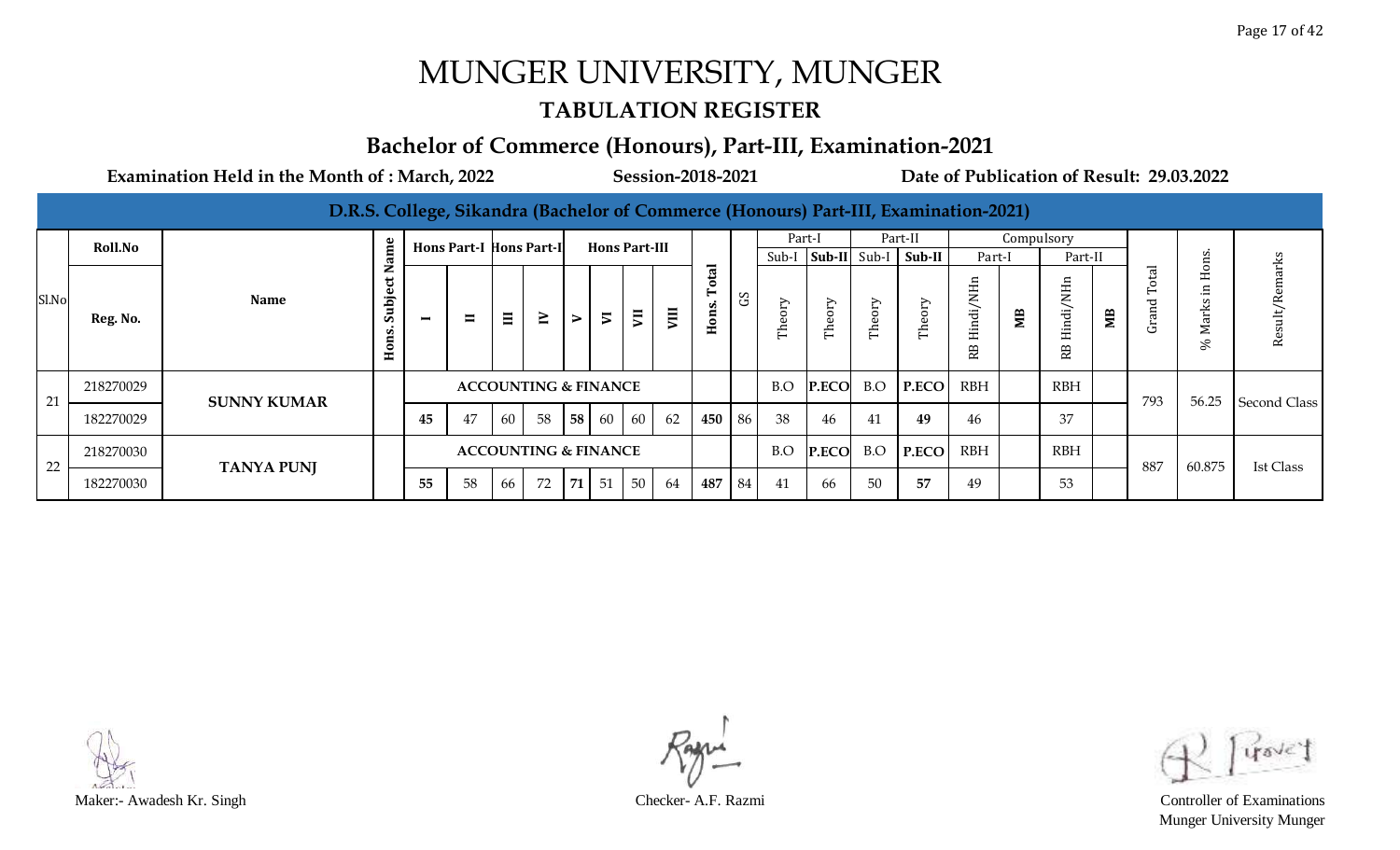#### **TABULATION REGISTER**

#### **Bachelor of Commerce (Honours), Part-III, Examination-2021**

|       |                |                    |                                     |          |                                 |       |                                 |                  |                      |                |    |                                        |             |               |                            |        | D.R.S. College, Sikandra (Bachelor of Commerce (Honours) Part-III, Examination-2021) |                                         |                |                   |    |                               |                                         |                  |
|-------|----------------|--------------------|-------------------------------------|----------|---------------------------------|-------|---------------------------------|------------------|----------------------|----------------|----|----------------------------------------|-------------|---------------|----------------------------|--------|--------------------------------------------------------------------------------------|-----------------------------------------|----------------|-------------------|----|-------------------------------|-----------------------------------------|------------------|
|       | <b>Roll.No</b> |                    | $\mathbf{e}$                        |          | <b>Hons Part-I Hons Part-II</b> |       |                                 |                  | <b>Hons Part-III</b> |                |    |                                        |             | Part-I        |                            |        | Part-II                                                                              |                                         |                | Compulsory        |    |                               |                                         |                  |
|       |                |                    | ω                                   |          |                                 |       |                                 |                  |                      |                |    |                                        |             | Sub-I         |                            |        | $ Sub-II $ Sub-I $ Sub-II $                                                          | Part-I                                  |                | Part-II           |    |                               | ns                                      |                  |
| Sl.No | Reg. No.       | <b>Name</b>        | z<br>ত<br>Subje<br>H <sub>ons</sub> | $\equiv$ | $\blacksquare$                  | $\Xi$ | $\geq$                          | $\triangleright$ | $\overline{v}$       | $\overline{5}$ | ξ  | $\overline{\mathbf{a}}$<br>Гo<br>Hons. | $_{\rm c2}$ | Οry<br>Φ<br>Ę | $\triangleright$<br>Theor: | Theory | Theory                                                                               | Ë<br>$\leq$<br>Hindi,<br>R <sub>B</sub> | M <sub>B</sub> | H.<br>indi,<br>RB | MВ | $_{\rm rel}$<br>$\circ$<br>යි | $\ddot{\circ}$<br>H<br>Ħ.<br>Marks<br>℅ | Result/Remarks   |
| 21    | 218270029      | <b>SUNNY KUMAR</b> |                                     |          |                                 |       | <b>ACCOUNTING &amp; FINANCE</b> |                  |                      |                |    |                                        |             | B.O           | <b>P.ECO</b>               | B.O    | P.ECO                                                                                | <b>RBH</b>                              |                | <b>RBH</b>        |    | 793                           | 56.25                                   | Second Class     |
|       | 182270029      |                    |                                     | 45       | 47                              | 60    | 58                              | 58               | 60 60                |                | 62 | 450                                    | 86          | 38            | 46                         | 41     | 49                                                                                   | 46                                      |                | 37                |    |                               |                                         |                  |
| 22    | 218270030      | <b>TANYA PUNJ</b>  |                                     |          |                                 |       | <b>ACCOUNTING &amp; FINANCE</b> |                  |                      |                |    |                                        |             | B.O           | <b>P.ECO</b>               | B.O    | P.ECO                                                                                | <b>RBH</b>                              |                | <b>RBH</b>        |    | 887                           | 60.875                                  | <b>Ist Class</b> |
|       | 182270030      |                    |                                     | 55       | 58                              | 66    | 72                              | 71               | 51                   | 50             | 64 | 487                                    | 84          | 41            | 66                         | 50     | 57                                                                                   | 49                                      |                | 53                |    |                               |                                         |                  |



Munger University Munger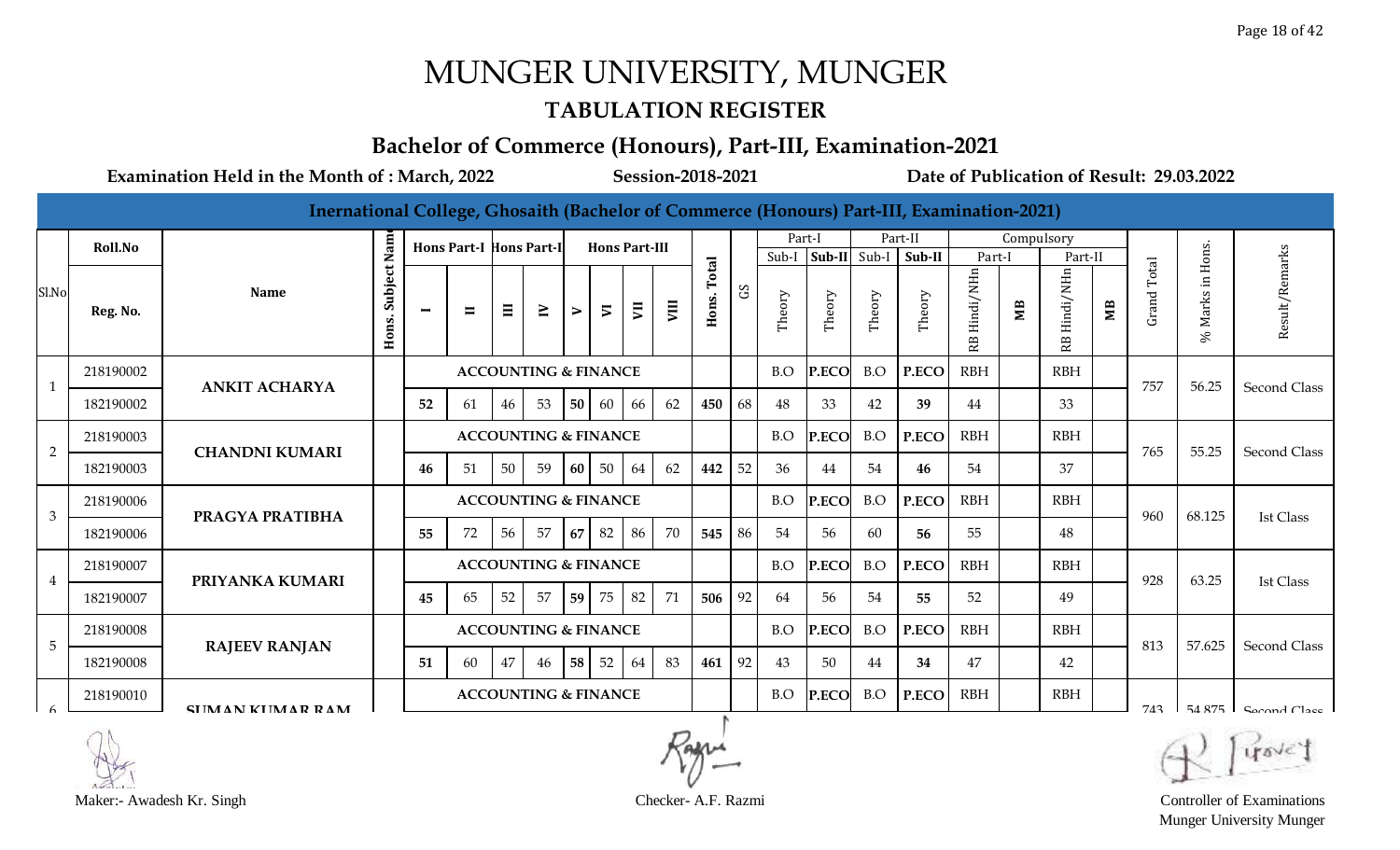#### **TABULATION REGISTER**

### **Bachelor of Commerce (Honours), Part-III, Examination-2021**

**Examination Held in the Month of : March, 2022 Session-2018-2021 Date of Publication of Result: 29.03.2022**

**Inernational College, Ghosaith (Bachelor of Commerce (Honours) Part-III, Examination-2021)**

|                | <b>Roll.No</b> |                         |                      |                | <b>Hons Part-I Hons Part-I</b> |                                 |                                 |                  | <b>Hons Part-III</b> |                |      |                |    | Part-I |              |        | Part-II |                 | Compulsory |                 |    |                             |             |                     |
|----------------|----------------|-------------------------|----------------------|----------------|--------------------------------|---------------------------------|---------------------------------|------------------|----------------------|----------------|------|----------------|----|--------|--------------|--------|---------|-----------------|------------|-----------------|----|-----------------------------|-------------|---------------------|
|                |                |                         |                      |                |                                |                                 |                                 |                  |                      |                |      |                |    | Sub-I  | Sub-II Sub-I |        | Sub-II  | Part-I          |            | Part-II         |    |                             | Hons.       |                     |
| Sl.No          | Reg. No.       | <b>Name</b>             | Subject Nam<br>Hons. | $\blacksquare$ | $\blacksquare$                 | $\Xi$                           | $\geq$                          | $\triangleright$ | $\overline{v}$       | $\overline{5}$ | VIII | Total<br>Hons. | S  | Theory | Theory       | Theory | Theory  | Hindi/NHn<br>RB | ЯM         | Hindi/NHn<br>RB | ЮË | Total<br>Grand <sup>-</sup> | Marks<br>S, | Result/Remarks      |
|                | 218190002      | <b>ANKIT ACHARYA</b>    |                      |                |                                |                                 | <b>ACCOUNTING &amp; FINANCE</b> |                  |                      |                |      |                |    | B.O    | P.ECO        | B.O    | P.ECO   | RBH             |            | <b>RBH</b>      |    | 757                         | 56.25       | <b>Second Class</b> |
|                | 182190002      |                         |                      | 52             | 61                             | 46                              | 53                              | $\vert 50 \vert$ | 60                   | 66             | 62   | 450            | 68 | 48     | 33           | 42     | 39      | 44              |            | 33              |    |                             |             |                     |
| $\overline{2}$ | 218190003      | <b>CHANDNI KUMARI</b>   |                      |                |                                |                                 | <b>ACCOUNTING &amp; FINANCE</b> |                  |                      |                |      |                |    | B.O    | P.ECO        | B.O    | P.ECO   | <b>RBH</b>      |            | <b>RBH</b>      |    | 765                         | 55.25       | Second Class        |
|                | 182190003      |                         |                      | 46             | 51                             | 50                              | 59                              | 60               | 50                   | 64             | 62   | 442            | 52 | 36     | 44           | 54     | 46      | 54              |            | 37              |    |                             |             |                     |
| 3              | 218190006      | PRAGYA PRATIBHA         |                      |                |                                |                                 | <b>ACCOUNTING &amp; FINANCE</b> |                  |                      |                |      |                |    | B.O    | P.ECO        | B.O    | P.ECO   | <b>RBH</b>      |            | <b>RBH</b>      |    | 960                         | 68.125      | <b>Ist Class</b>    |
|                | 182190006      |                         |                      | 55             | 72                             | 56                              | 57                              | 67               | 82                   | 86             | 70   | 545            | 86 | 54     | 56           | 60     | 56      | 55              |            | 48              |    |                             |             |                     |
| 4              | 218190007      | PRIYANKA KUMARI         |                      |                |                                |                                 | <b>ACCOUNTING &amp; FINANCE</b> |                  |                      |                |      |                |    | B.O    | P.ECO        | B.O    | P.ECO   | <b>RBH</b>      |            | <b>RBH</b>      |    | 928                         | 63.25       | Ist Class           |
|                | 182190007      |                         |                      | 45             | 65                             | 52                              | 57                              | 59               | 75                   | 82             | 71   | 506            | 92 | 64     | 56           | 54     | 55      | 52              |            | 49              |    |                             |             |                     |
| 5              | 218190008      | <b>RAJEEV RANJAN</b>    |                      |                |                                | <b>ACCOUNTING &amp; FINANCE</b> |                                 |                  |                      |                |      |                |    | B.O    | P.ECO        | B.O    | P.ECO   | <b>RBH</b>      |            | <b>RBH</b>      |    | 813                         | 57.625      | <b>Second Class</b> |
|                | 182190008      |                         |                      | 51             | 60                             | 47                              | 46                              | 58               | 52                   | 64             | 83   | 461            | 92 | 43     | 50           | 44     | 34      | 47              |            | 42              |    |                             |             |                     |
|                | 218190010      | <b>CHIMAN KHMAR RAM</b> |                      |                |                                |                                 | <b>ACCOUNTING &amp; FINANCE</b> |                  |                      |                |      |                |    | B.O    | P.ECO        | B.O    | P.ECO   | <b>RBH</b>      |            | <b>RBH</b>      |    | 743                         | 54.875      | $Comal Case$        |

Maker:- Awadesh Kr. Singh Checker- A.F. Razmi Controller of Examinations Munger University Munger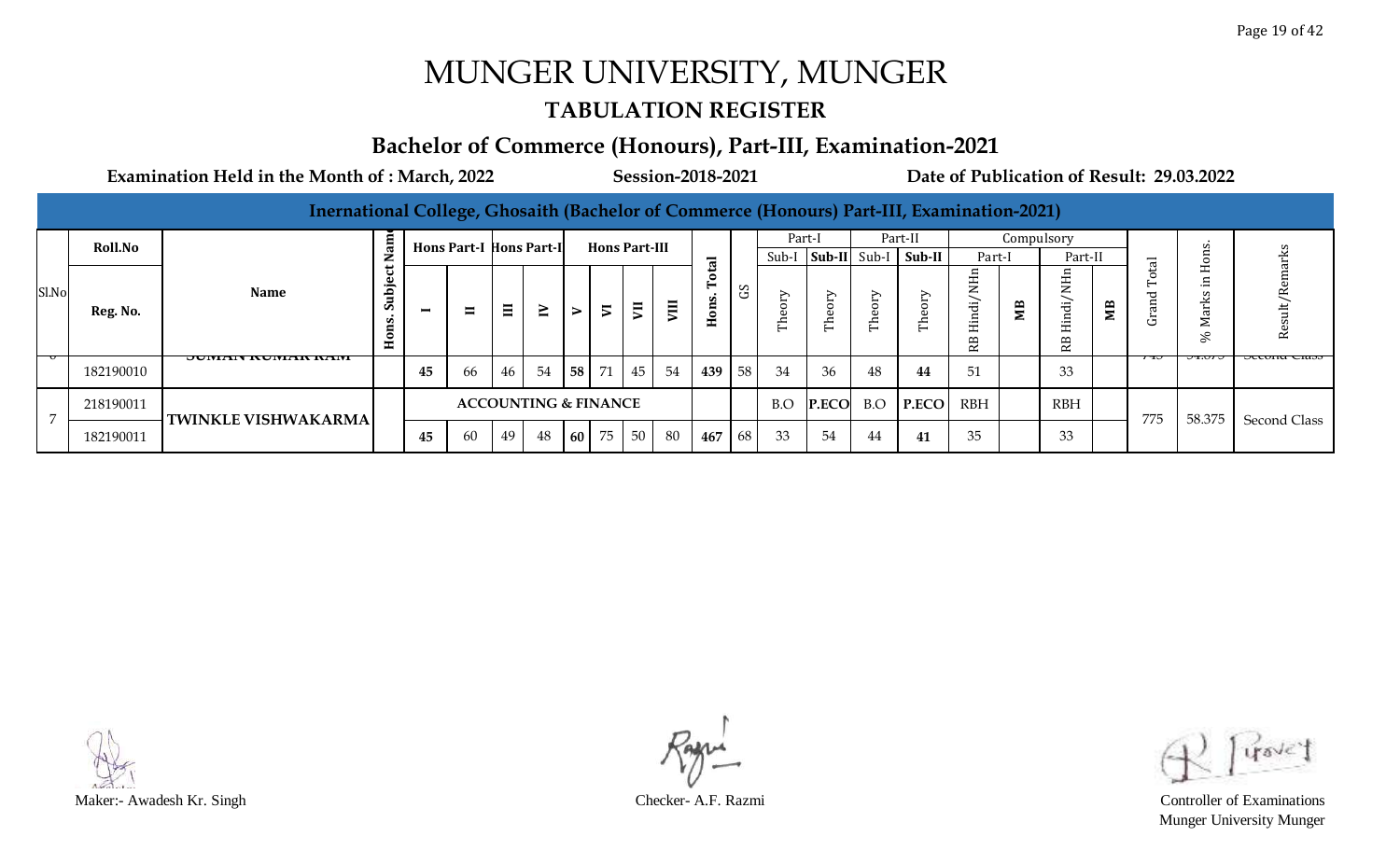#### **TABULATION REGISTER**

#### **Bachelor of Commerce (Honours), Part-III, Examination-2021**

| Inernational College, Ghosaith (Bachelor of Commerce (Honours) Part-III, Examination-2021) |
|--------------------------------------------------------------------------------------------|
|--------------------------------------------------------------------------------------------|

|       | <b>Roll.No</b> |                                  | am<br>≂                                       |                          | <b>Hons Part-I Hons Part-II</b> |       |                                 |      |                | <b>Hons Part-III</b> |                |               |        |                      | Part-I                  |                       | Part-II                                | Part-I                                                          | Compulsory | Part-II                             |                   |                                 |                      | сks                  |
|-------|----------------|----------------------------------|-----------------------------------------------|--------------------------|---------------------------------|-------|---------------------------------|------|----------------|----------------------|----------------|---------------|--------|----------------------|-------------------------|-----------------------|----------------------------------------|-----------------------------------------------------------------|------------|-------------------------------------|-------------------|---------------------------------|----------------------|----------------------|
| Sl.No | Reg. No.       | <b>Name</b>                      | ت<br>bje<br>้ธ<br>Ù.<br>ns.<br>$\overline{H}$ | $\overline{\phantom{0}}$ | $\blacksquare$                  | $\Xi$ | $\geq$                          | ⋗    | $\overline{v}$ | $\blacksquare$       | $\blacksquare$ | ಸ<br>c<br>ons | S<br>ق | Sub-I<br>➢<br>ω<br>딛 | ∽<br>$\circ$<br>്ധ<br>È | $\mathbf \omega$<br>든 | Sub-II Sub-I   Sub-II  <br>∽<br>∼<br>된 | ⊢<br>. .<br>$\mathbf{z}$<br><i>indi</i><br>ىك<br>R <sub>B</sub> | МB         | ∠<br>$-$<br>ರ<br>$-$<br>≃<br>$\sim$ | $\mathbf{r}$<br>Σ | $\overline{a}$<br>$\vdash$<br>ت | $\sim$<br>⋍<br>℅     | Res                  |
|       | 182190010      | <b>UUINIAIN INUINIAIN INAINI</b> |                                               | 45                       | 66                              | 46    | 54                              | 58 I | 71             | 45                   | 54             | 439           | 58     | 34                   | 36                      | 48                    | 44                                     | 51                                                              |            | 33                                  |                   | 730                             | $\sigma$ to $\sigma$ | <b>JECURIU CRISS</b> |
|       | 218190011      | <b>TWINKLE VISHWAKARMA</b>       |                                               |                          |                                 |       | <b>ACCOUNTING &amp; FINANCE</b> |      |                |                      |                |               |        | B.O                  | <b>P.ECO</b>            | B.O                   | P.ECO                                  | RBH                                                             |            | <b>RBH</b>                          |                   | 775                             | 58.375               |                      |
|       | 182190011      |                                  |                                               | 45                       | 60                              | 49    | 48                              | 60 l | 75             | 50                   | -80            | 467           | 68     | 33                   | 54                      | 44                    | 41                                     | 35                                                              |            | 33                                  |                   |                                 |                      | Second Class         |

Maker:- Awadesh Kr. Singh Checker- A.F. Razmi Controller of Examinations

Munger University Munger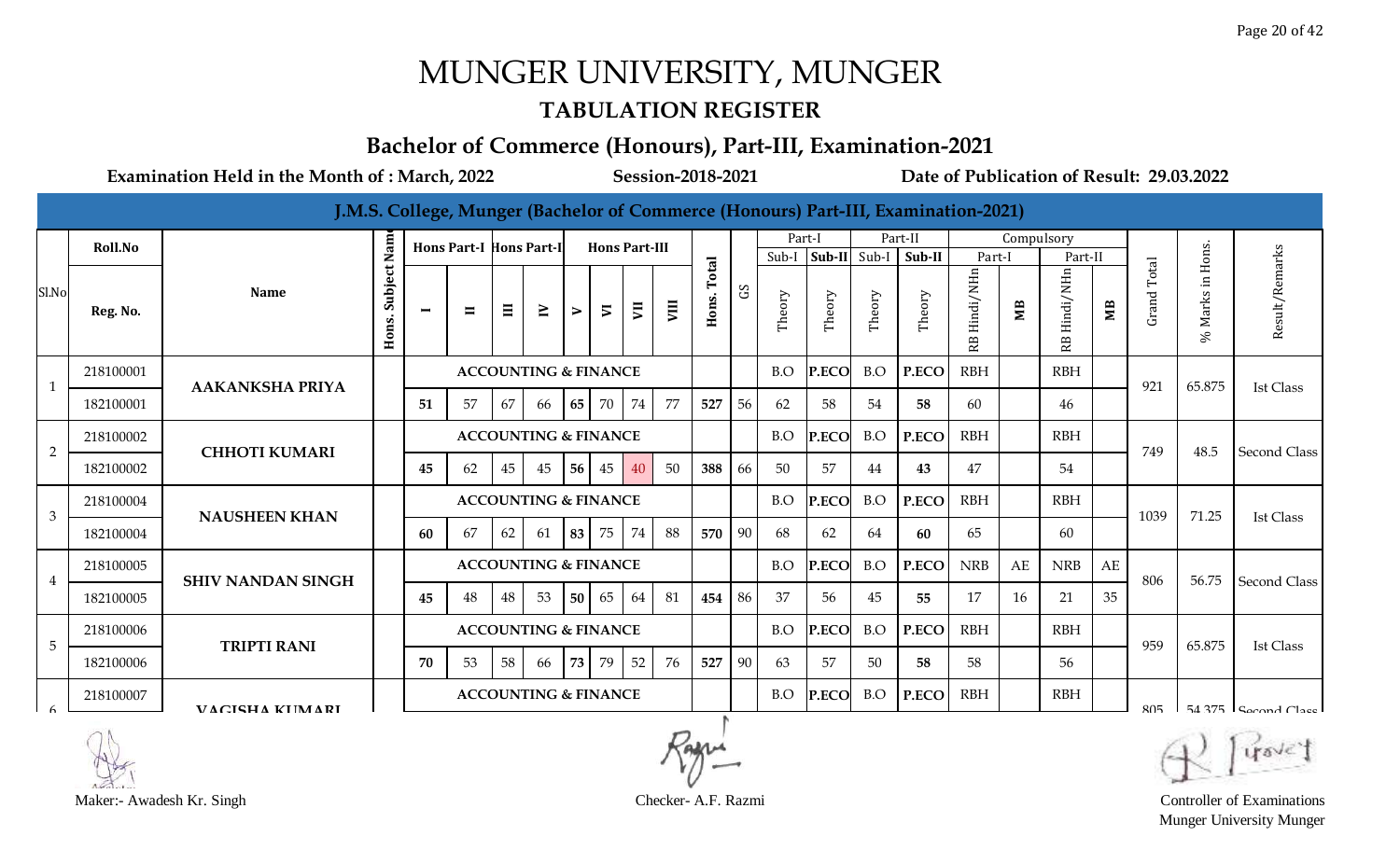#### **TABULATION REGISTER**

#### **Bachelor of Commerce (Honours), Part-III, Examination-2021**

**Examination Held in the Month of : March, 2022 Session-2018-2021 Date of Publication of Result: 29.03.2022**

|                 |           |                          |                      |                          |                                |       |                                 |                  |                          |                |      |                |    |                 |        |        | J.M.S. College, Munger (Bachelor of Commerce (Honours) Part-III, Examination-2021) |                 |            |                 |                |                |                  |                       |
|-----------------|-----------|--------------------------|----------------------|--------------------------|--------------------------------|-------|---------------------------------|------------------|--------------------------|----------------|------|----------------|----|-----------------|--------|--------|------------------------------------------------------------------------------------|-----------------|------------|-----------------|----------------|----------------|------------------|-----------------------|
|                 | Roll.No   |                          |                      |                          | <b>Hons Part-I Hons Part-I</b> |       |                                 |                  | <b>Hons Part-III</b>     |                |      |                |    | Part-I<br>Sub-I | Sub-II | Sub-I  | Part-II<br>Sub-II                                                                  | Part-I          | Compulsory | Part-II         |                |                |                  |                       |
| Sl.No           | Reg. No.  | <b>Name</b>              | Subject Nam<br>Hons. | $\overline{\phantom{0}}$ | $\blacksquare$                 | $\Xi$ | $\geq$                          | $\triangleright$ | $\overline{\phantom{a}}$ | $\overline{5}$ | VIII | Total<br>Hons. | S  | Theory          | Theory | Theory | Theory                                                                             | Hindi/NHn<br>RB | МB         | Hindi/NHn<br>БŚ | M <sub>B</sub> | Total<br>Grand | % Marks in Hons. | Result/Remarks        |
| $\mathbf{1}$    | 218100001 | <b>AAKANKSHA PRIYA</b>   |                      |                          |                                |       | <b>ACCOUNTING &amp; FINANCE</b> |                  |                          |                |      |                |    | B.O             | P.ECO  | B.O    | P.ECO                                                                              | <b>RBH</b>      |            | <b>RBH</b>      |                | 921            | 65.875           |                       |
|                 | 182100001 |                          |                      | 51                       | 57                             | 67    | 66                              | 65               | 70                       | 74             | 77   | 527            | 56 | 62              | 58     | 54     | 58                                                                                 | 60              |            | 46              |                |                |                  | <b>Ist Class</b>      |
| $\overline{2}$  | 218100002 | <b>CHHOTI KUMARI</b>     |                      |                          |                                |       | <b>ACCOUNTING &amp; FINANCE</b> |                  |                          |                |      |                |    | B.O             | P.ECO  | B.O    | P.ECO                                                                              | <b>RBH</b>      |            | <b>RBH</b>      |                | 749            | 48.5             |                       |
|                 | 182100002 |                          |                      | 45                       | 62                             | 45    | 45                              | 56               | 45                       | 40             | 50   | 388            | 66 | 50              | 57     | 44     | 43                                                                                 | 47              |            | 54              |                |                |                  | Second Class          |
| 3               | 218100004 |                          |                      |                          |                                |       | <b>ACCOUNTING &amp; FINANCE</b> |                  |                          |                |      |                |    | B.O             | P.ECO  | B.O    | P.ECO                                                                              | <b>RBH</b>      |            | <b>RBH</b>      |                | 1039           | 71.25            |                       |
|                 | 182100004 | <b>NAUSHEEN KHAN</b>     |                      | 60                       | 67                             | 62    | 61                              | 83               | 75                       | 74             | 88   | 570            | 90 | 68              | 62     | 64     | 60                                                                                 | 65              |            | 60              |                |                |                  | Ist Class             |
|                 | 218100005 | <b>SHIV NANDAN SINGH</b> |                      |                          |                                |       | <b>ACCOUNTING &amp; FINANCE</b> |                  |                          |                |      |                |    | B.O             | P.ECO  | B.O    | P.ECO                                                                              | <b>NRB</b>      | AE         | <b>NRB</b>      | AE             | 806            | 56.75            | Second Class          |
| $\overline{4}$  | 182100005 |                          |                      | 45                       | 48                             | 48    | 53                              | 50               | 65                       | 64             | 81   | 454            | 86 | 37              | 56     | 45     | 55                                                                                 | 17              | 16         | 21              | 35             |                |                  |                       |
| $5\phantom{.0}$ | 218100006 | <b>TRIPTI RANI</b>       |                      |                          |                                |       | <b>ACCOUNTING &amp; FINANCE</b> |                  |                          |                |      |                |    | B.O             | P.ECO  | B.O    | P.ECO                                                                              | <b>RBH</b>      |            | <b>RBH</b>      |                | 959            | 65.875           | <b>Ist Class</b>      |
|                 | 182100006 |                          |                      | 70                       | 53                             | 58    | 66                              | 73               | 79                       | 52             | 76   | 527            | 90 | 63              | 57     | 50     | 58                                                                                 | 58              |            | 56              |                |                |                  |                       |
|                 | 218100007 | <b>VACISHA KIIMARI</b>   |                      |                          |                                |       | <b>ACCOUNTING &amp; FINANCE</b> |                  |                          |                |      |                |    | B.O             | P.ECO  | B.O    | P.ECO                                                                              | <b>RBH</b>      |            | <b>RBH</b>      |                | 805            |                  | $54.375$ Second Class |



Munger University Munger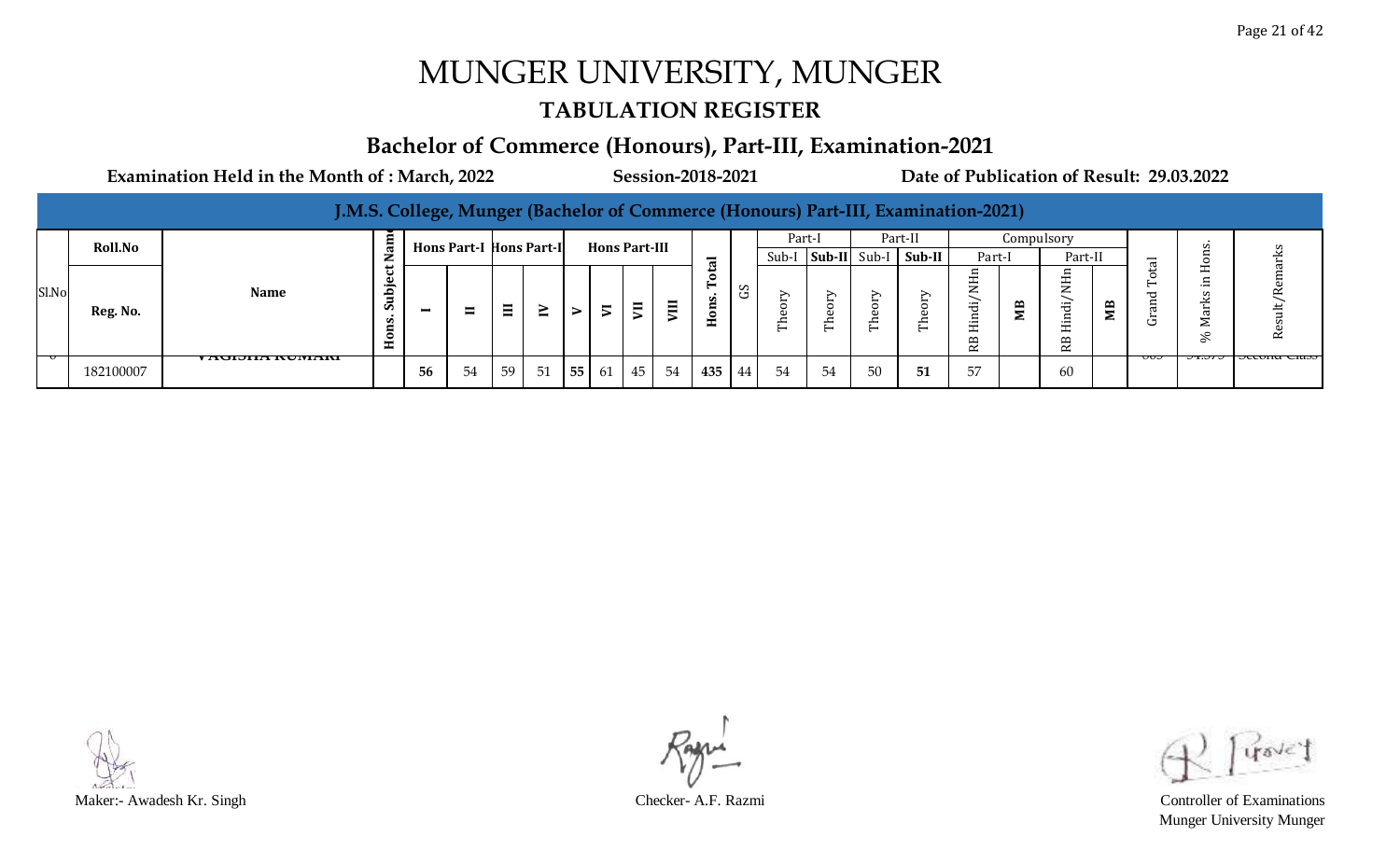#### **TABULATION REGISTER**

#### **Bachelor of Commerce (Honours), Part-III, Examination-2021**

|       |                                                                                                            |                      |                                     |          |    |    |        |    |                          |                         |              |        |               |    |        |                          | J.M.S. College, Munger (Bachelor of Commerce (Honours) Part-III, Examination-2021) |                                                  |              |                                        |        |    |                                                                                  |               |
|-------|------------------------------------------------------------------------------------------------------------|----------------------|-------------------------------------|----------|----|----|--------|----|--------------------------|-------------------------|--------------|--------|---------------|----|--------|--------------------------|------------------------------------------------------------------------------------|--------------------------------------------------|--------------|----------------------------------------|--------|----|----------------------------------------------------------------------------------|---------------|
|       | am<br>Part-II<br>Part-I<br>Compulsory<br>Roll.No<br><b>Hons Part-I Hons Part-I</b><br><b>Hons Part-III</b> |                      |                                     |          |    |    |        |    |                          |                         |              |        |               |    |        |                          | S                                                                                  |                                                  |              |                                        |        |    |                                                                                  |               |
|       | $Sub-I$ Sub-II<br>Sub-II<br>Sub-I<br>Part-II<br>Part-I<br>−<br>c٠,                                         |                      |                                     |          |    |    |        |    |                          |                         |              |        |               |    |        | $\overline{\phantom{0}}$ |                                                                                    |                                                  |              |                                        |        |    |                                                                                  |               |
| Sl.No | Reg. No.                                                                                                   | <b>Name</b>          | ت .<br>م<br>$\overline{\mathbf{s}}$ | $\equiv$ | ᄇ  | Ξ  | $\leq$ | ⋗  | $\overline{\phantom{0}}$ | $\overline{\mathbf{z}}$ | $\mathbf{H}$ | -<br>S | $\sim$<br>. . |    | ➢<br>É | ∽                        | ∸<br>⊏                                                                             | $-$<br>ರ<br>드.<br>H<br>$\mathbf{p}$<br>$\approx$ | $\mathbf{p}$ | $-$<br>سد<br>$\mathbf{r}$<br>$\approx$ | m<br>Σ |    | $\overline{\phantom{0}}$<br>∸<br>$-$<br>ε<br>$\overline{\phantom{0}}$<br>≥<br>S, |               |
|       | 182100007                                                                                                  | 78000000000000000000 |                                     | 56       | 54 | 59 | 51     | 55 |                          |                         | 61 45 54     | 435    | 44            | 54 | 54     | 50                       | 51                                                                                 | 5/                                               |              | 60                                     |        | ᠊ᡂ | <del></del>                                                                      | TUCCUNU CIASS |

Munger University Munger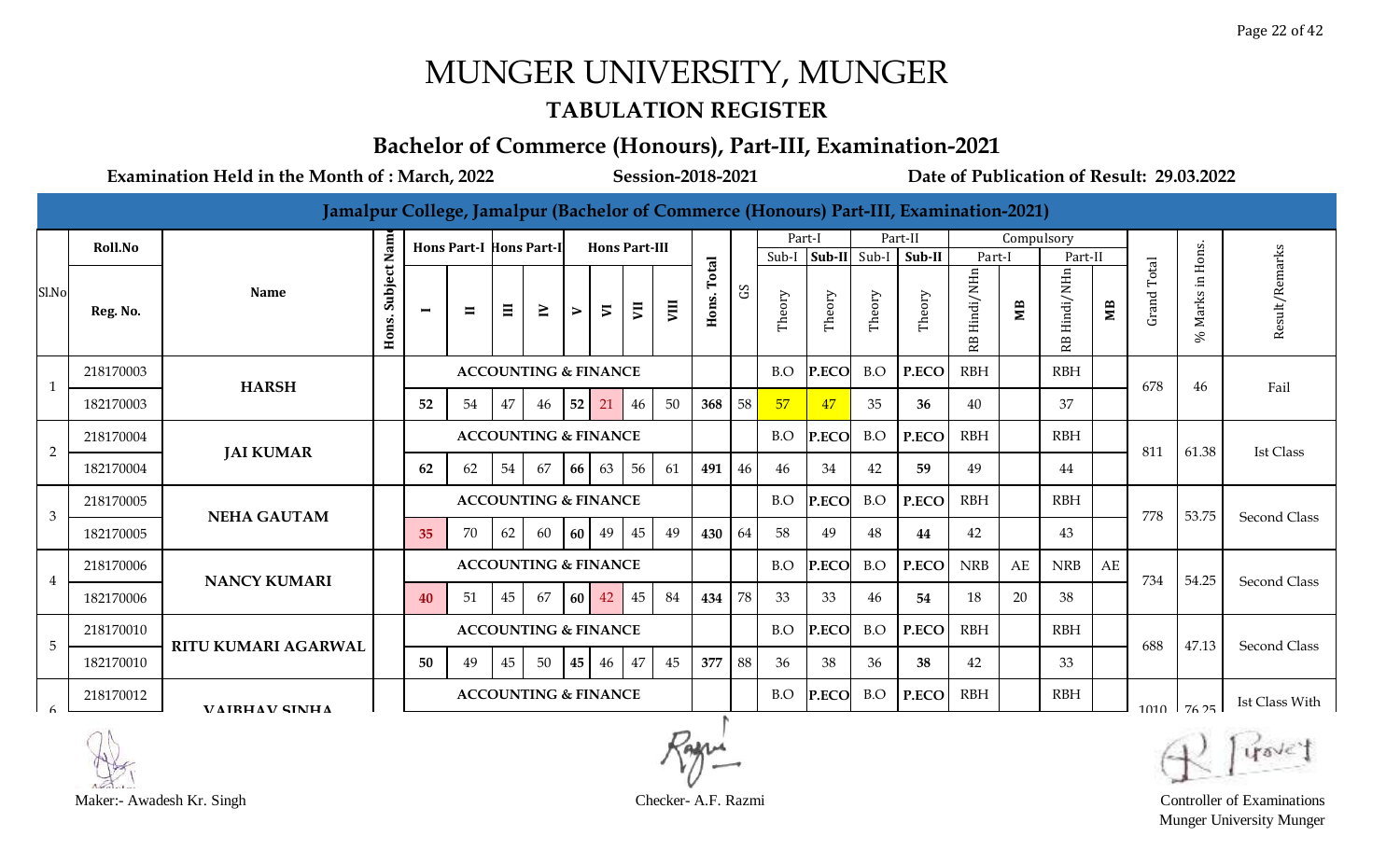#### **TABULATION REGISTER**

### **Bachelor of Commerce (Honours), Part-III, Examination-2021**

**Examination Held in the Month of : March, 2022 Session-2018-2021 Date of Publication of Result: 29.03.2022**

**Jamalpur College, Jamalpur (Bachelor of Commerce (Honours) Part-III, Examination-2021)**

|                | Roll.No   |                            |                      |    | <b>Hons Part-I Hons Part-I</b>  |                                 |                                 |                  | <b>Hons Part-III</b>     |                |      |                |            | Part-I |              |        | Part-II |                 | Compulsory |                |                |                |                   |                     |
|----------------|-----------|----------------------------|----------------------|----|---------------------------------|---------------------------------|---------------------------------|------------------|--------------------------|----------------|------|----------------|------------|--------|--------------|--------|---------|-----------------|------------|----------------|----------------|----------------|-------------------|---------------------|
|                |           |                            |                      |    |                                 |                                 |                                 |                  |                          |                |      |                |            |        | Sub-I Sub-II | Sub-I  | Sub-II  | Part-I          |            | Part-II        |                |                | Hons.             |                     |
| Sl.No          | Reg. No.  | <b>Name</b>                | Subject Nam<br>Hons. | −  | $\blacksquare$                  | $\Xi$                           | $\geq$                          | $\triangleright$ | $\overline{\phantom{a}}$ | $\overline{u}$ | VIII | Total<br>Hons. | $_{\rm G}$ | Theory | Theory       | Theory | Theory  | Hindi/NHn<br>RB | ЯW         | Hindi/NHn<br>Æ | M <sub>B</sub> | Total<br>Grand | İn<br>Marks<br>Se | Result/Remarks      |
|                | 218170003 | <b>HARSH</b>               |                      |    |                                 |                                 | <b>ACCOUNTING &amp; FINANCE</b> |                  |                          |                |      |                |            | B.O    | P.ECO        | B.O    | P.ECO   | <b>RBH</b>      |            | <b>RBH</b>     |                | 678            | 46                | Fail                |
|                | 182170003 |                            |                      | 52 | 54                              | 47                              | 46                              | 52               | 21                       | 46             | 50   | 368            | 58         | 57     | 47           | 35     | 36      | 40              |            | 37             |                |                |                   |                     |
| $\overline{2}$ | 218170004 | <b>JAI KUMAR</b>           |                      |    |                                 | <b>ACCOUNTING &amp; FINANCE</b> |                                 |                  |                          |                |      |                |            | B.O    | P.ECO        | B.O    | P.ECO   | <b>RBH</b>      |            | <b>RBH</b>     |                | 811            | 61.38             | <b>Ist Class</b>    |
|                | 182170004 |                            |                      | 62 | 62                              | 54                              | 67                              | 66               | 63                       | 56             | 61   | 491            | 46         | 46     | 34           | 42     | 59      | 49              |            | 44             |                |                |                   |                     |
| $\mathfrak{Z}$ | 218170005 | <b>NEHA GAUTAM</b>         |                      |    |                                 |                                 | <b>ACCOUNTING &amp; FINANCE</b> |                  |                          |                |      |                |            | B.O    | P.ECO        | B.O    | P.ECO   | <b>RBH</b>      |            | <b>RBH</b>     |                | 778            | 53.75             | <b>Second Class</b> |
|                | 182170005 |                            |                      | 35 | 70                              | 62                              | 60 60                           |                  | 49                       | 45             | 49   | 430            | 64         | 58     | 49           | 48     | 44      | 42              |            | 43             |                |                |                   |                     |
| 4              | 218170006 | <b>NANCY KUMARI</b>        |                      |    |                                 |                                 | <b>ACCOUNTING &amp; FINANCE</b> |                  |                          |                |      |                |            | B.O    | P.ECO        | B.O    | P.ECO   | <b>NRB</b>      | AE         | <b>NRB</b>     | AE             | 734            | 54.25             | <b>Second Class</b> |
|                | 182170006 |                            |                      | 40 | 51                              | 45                              | 67                              | 60               | 42                       | 45             | -84  | 434            | 78         | 33     | 33           | 46     | 54      | 18              | 20         | 38             |                |                |                   |                     |
| 5              | 218170010 | <b>RITU KUMARI AGARWAL</b> |                      |    | <b>ACCOUNTING &amp; FINANCE</b> |                                 |                                 |                  |                          |                |      |                |            | B.O    | P.ECO        | B.O    | P.ECO   | <b>RBH</b>      |            | <b>RBH</b>     |                | 688            | 47.13             | Second Class        |
|                | 182170010 |                            |                      | 50 | 49                              | 45                              | 50                              | 45               | 46                       | 47             | 45   | 377            | 88         | 36     | 38           | 36     | 38      | 42              |            | 33             |                |                |                   |                     |
|                | 218170012 | <b>VAIRHAV SINHA</b>       |                      |    |                                 |                                 | <b>ACCOUNTING &amp; FINANCE</b> |                  |                          |                |      |                |            | B.O    | P.ECO        | B.O    | P.ECO   | <b>RBH</b>      |            | <b>RBH</b>     |                | 1010           | 17625             | Ist Class With      |



Maker:- Awadesh Kr. Singh Checker- A.F. Razmi Controller of Examinations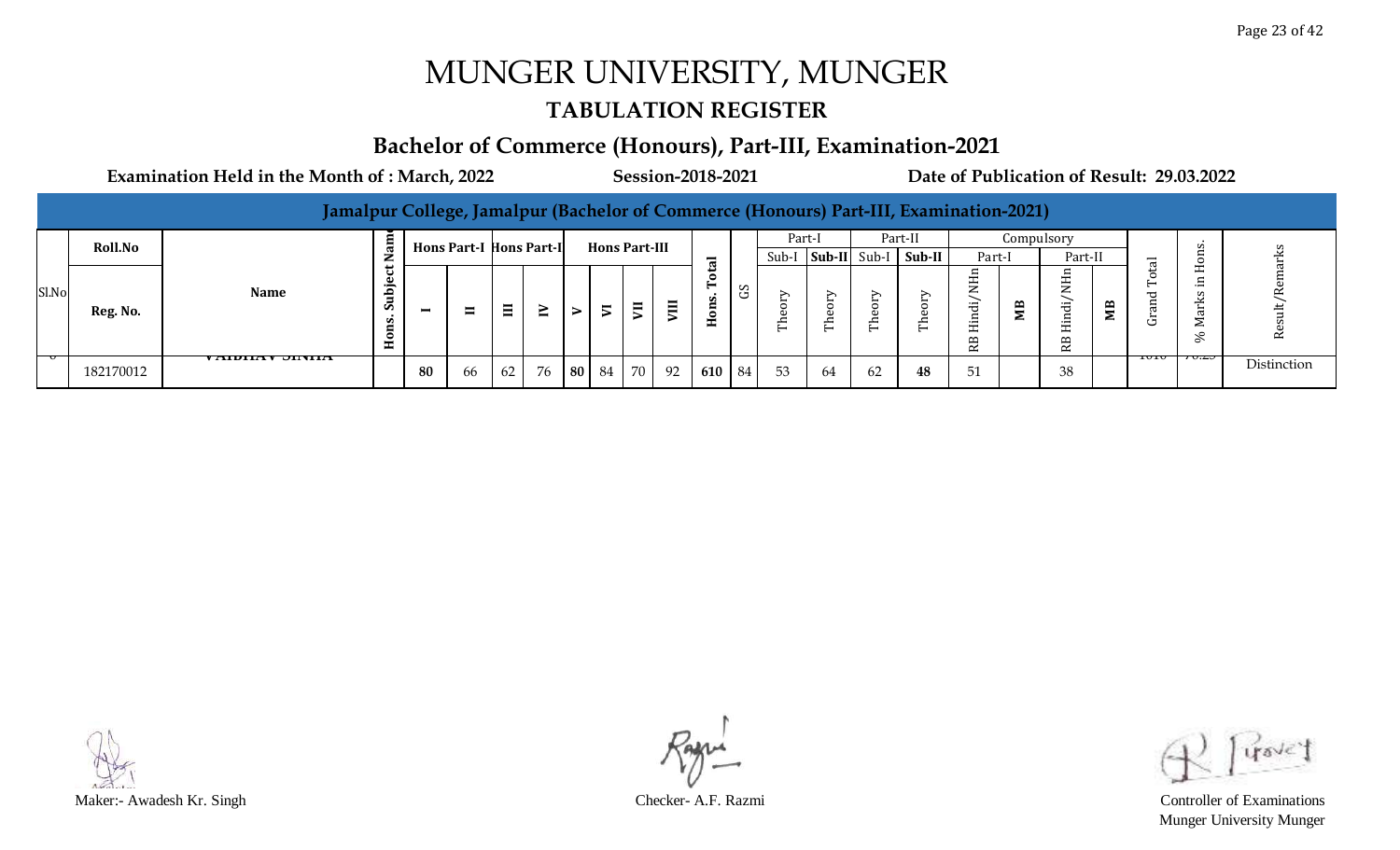#### **TABULATION REGISTER**

#### **Bachelor of Commerce (Honours), Part-III, Examination-2021**

**Examination Held in the Month of : March, 2022 Session-2018-2021 Date of Publication of Result: 29.03.2022**

|       |           | Jamalpur College, Jamalpur (Bachelor of Commerce (Honours) Part-III, Examination-2021) |              |                |                                 |    |    |       |                      |                                            |                                |               |             |              |    |         |                                                |   |                                                        |   |                  |   |             |
|-------|-----------|----------------------------------------------------------------------------------------|--------------|----------------|---------------------------------|----|----|-------|----------------------|--------------------------------------------|--------------------------------|---------------|-------------|--------------|----|---------|------------------------------------------------|---|--------------------------------------------------------|---|------------------|---|-------------|
|       | Roll.No   |                                                                                        |              |                | <b>Hons Part-I Hons Part-II</b> |    |    |       | <b>Hons Part-III</b> |                                            |                                |               | Part-I      |              |    | Part-II |                                                |   | Compulsory                                             |   |                  |   |             |
|       |           |                                                                                        |              |                |                                 |    |    |       |                      |                                            | $\overline{\phantom{0}}$<br>್ಡ |               | Sub-I       | Sub-II Sub-I |    | Sub-II  | Part-I                                         |   | Part-II                                                |   | $\overline{\pi}$ |   |             |
| Sl.No | Reg. No.  | <b>Name</b>                                                                            | ت<br>م<br>Ó. | $\blacksquare$ | $\blacksquare$                  | Ξ  | ≧  |       | $\blacksquare$       | $\blacksquare$<br>$\overline{\phantom{0}}$ |                                | ာ             | ∽<br>∸<br>┕ | ∽<br>∸<br>–  | ∽  | ∽       | ∼<br>$-$<br>$\overline{\phantom{0}}$<br>−<br>≃ | Œ | $-$<br>ರ<br>$\overline{\phantom{a}}$<br>R <sub>B</sub> | ≃ | ᠧ<br>ت           | ℅ | ≃           |
|       | 182170012 | <i>г</i> андна у Эпуна                                                                 |              | 80             | 66                              | 62 | 76 | 80 84 | 70                   | 92                                         | 610                            | <sup>84</sup> | 53          | -64          | 62 | 48      | 51                                             |   | 38                                                     |   | 1010             |   | Distinction |



Munger University Munger

Page 23 of 42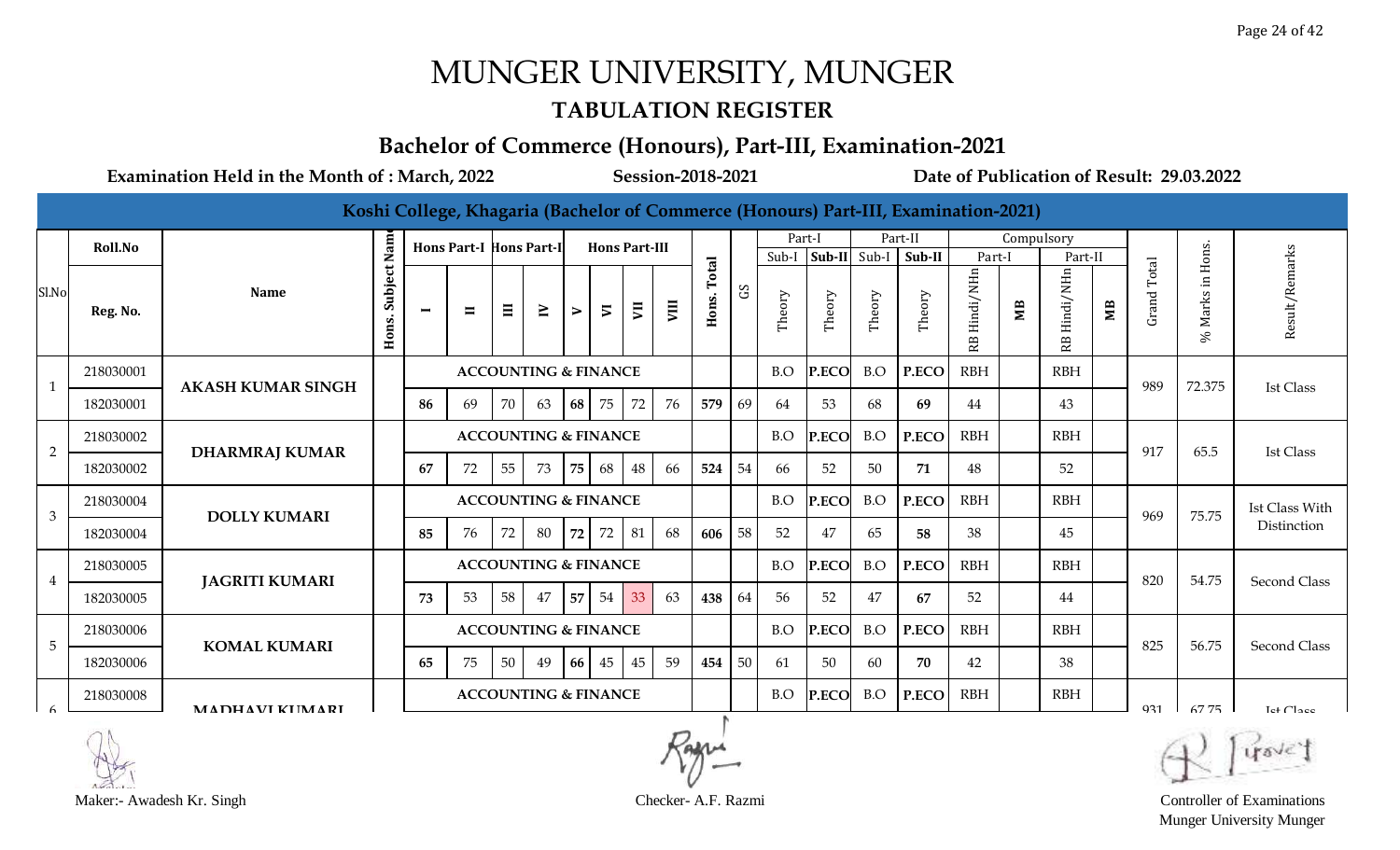#### **TABULATION REGISTER**

#### **Bachelor of Commerce (Honours), Part-III, Examination-2021**

|                |           |                          |                  |                          |                                |          |                                 |                  |                          |                |      |       |           |        |              |        | Koshi College, Khagaria (Bachelor of Commerce (Honours) Part-III, Examination-2021) |                 |            |                 |              |                 |                    |                       |
|----------------|-----------|--------------------------|------------------|--------------------------|--------------------------------|----------|---------------------------------|------------------|--------------------------|----------------|------|-------|-----------|--------|--------------|--------|-------------------------------------------------------------------------------------|-----------------|------------|-----------------|--------------|-----------------|--------------------|-----------------------|
|                | Roll.No   |                          | Nam              |                          | <b>Hons Part-I Hons Part-I</b> |          |                                 |                  | <b>Hons Part-III</b>     |                |      |       |           | Part-I |              |        | Part-II                                                                             |                 | Compulsory |                 |              |                 |                    |                       |
|                |           |                          |                  |                          |                                |          |                                 |                  |                          |                |      | Total |           | Sub-I  | Sub-II Sub-I |        | Sub-II                                                                              | Part-I          |            | Part-II         |              |                 | Hons.              |                       |
| Sl.No          | Reg. No.  | <b>Name</b>              | Subject<br>Hons. | $\overline{\phantom{0}}$ | $\blacksquare$                 | $\equiv$ | $\geq$                          | $\triangleright$ | $\overline{\phantom{a}}$ | $\overline{a}$ | VIII | Hons. | $\rm_{C}$ | Theory | Theory       | Theory | Theory                                                                              | Hindi/NHn<br>RB | МB         | Hindi/NHn<br>RB | $\mathbf{M}$ | Grand Total     | Πİ.<br>Marks<br>S, | Result/Remarks        |
| $\mathbf{1}$   | 218030001 | <b>AKASH KUMAR SINGH</b> |                  |                          |                                |          | <b>ACCOUNTING &amp; FINANCE</b> |                  |                          |                |      |       |           | B.O    | P.ECO        | B.O    | P.ECO                                                                               | <b>RBH</b>      |            | <b>RBH</b>      |              | 989             | 72.375             | <b>Ist Class</b>      |
|                | 182030001 |                          |                  | 86                       | 69                             | 70       | 63                              | 68               | 75                       | 72             | 76   | 579   | 69        | 64     | 53           | 68     | 69                                                                                  | 44              |            | 43              |              |                 |                    |                       |
| $\overline{2}$ | 218030002 |                          |                  |                          |                                |          | <b>ACCOUNTING &amp; FINANCE</b> |                  |                          |                |      |       |           | B.O    | P.ECO        | B.O    | P.ECO                                                                               | <b>RBH</b>      |            | RBH             |              | 917             | 65.5               | <b>Ist Class</b>      |
|                | 182030002 | <b>DHARMRAJ KUMAR</b>    |                  | 67                       | 72                             | 55       | 73                              | 75               | 68                       | 48             | 66   | 524   | 54        | 66     | 52           | 50     | 71                                                                                  | 48              |            | 52              |              |                 |                    |                       |
|                | 218030004 |                          |                  |                          |                                |          | <b>ACCOUNTING &amp; FINANCE</b> |                  |                          |                |      |       |           | B.O    | P.ECO        | B.O    | P.ECO                                                                               | <b>RBH</b>      |            | <b>RBH</b>      |              |                 |                    | Ist Class With        |
| 3              | 182030004 | <b>DOLLY KUMARI</b>      |                  | 85                       | 76                             | 72       | 80                              | 72               | 72                       | 81             | 68   | 606   | 58        | 52     | 47           | 65     | 58                                                                                  | 38              |            | 45              |              | 969             | 75.75              | Distinction           |
|                | 218030005 |                          |                  |                          |                                |          | <b>ACCOUNTING &amp; FINANCE</b> |                  |                          |                |      |       |           | B.O    | <b>P.ECC</b> | B.O    | P.ECO                                                                               | <b>RBH</b>      |            | <b>RBH</b>      |              | 820             | 54.75              |                       |
| $\overline{4}$ | 182030005 | <b>JAGRITI KUMARI</b>    |                  | 73                       | 53                             | 58       | 47                              | 57               | 54                       | 33             | 63   | 438   | 64        | 56     | 52           | 47     | 67                                                                                  | 52              |            | 44              |              |                 |                    | <b>Second Class</b>   |
| 5              | 218030006 | <b>KOMAL KUMARI</b>      |                  |                          |                                |          | <b>ACCOUNTING &amp; FINANCE</b> |                  |                          |                |      |       |           | B.O    | P.ECO        | B.O    | P.ECO                                                                               | <b>RBH</b>      |            | <b>RBH</b>      |              | 825             | 56.75              | Second Class          |
|                | 182030006 |                          |                  | 65                       | 75                             | 50       | 49                              | 66               | 45                       | 45             | 59   | 454   | 50        | 61     | 50           | 60     | 70                                                                                  | 42              |            | 38              |              |                 |                    |                       |
|                | 218030008 | <b>MADHAVI KUMARI</b>    |                  |                          |                                |          | <b>ACCOUNTING &amp; FINANCE</b> |                  |                          |                |      |       |           | B.O    | P.ECO        | B.O    | P.ECO                                                                               | <b>RBH</b>      |            | <b>RBH</b>      |              | Q <sub>31</sub> | 67.75              | Let Cl <sub>200</sub> |

Maker:- Awadesh Kr. Singh Checker- A.F. Razmi Controller of Examinations

Munger University Munger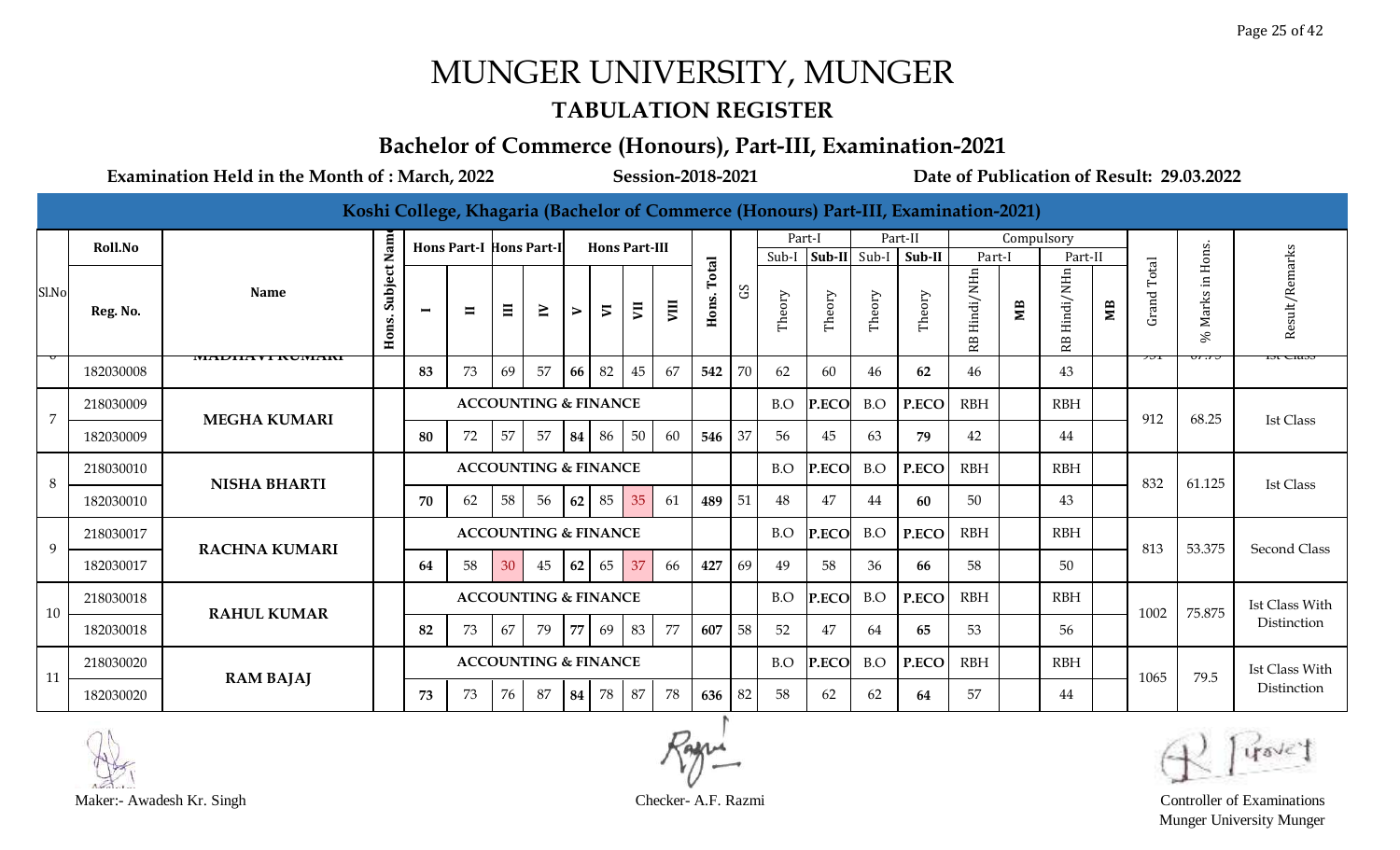#### **TABULATION REGISTER**

### **Bachelor of Commerce (Honours), Part-III, Examination-2021**

|                |           |                            |                  |                          |                                |          |                                 |                  |                          |    |      |             |             |                 |              |        | Koshi College, Khagaria (Bachelor of Commerce (Honours) Part-III, Examination-2021) |                              |            |                                     |    |                |                                            |                  |
|----------------|-----------|----------------------------|------------------|--------------------------|--------------------------------|----------|---------------------------------|------------------|--------------------------|----|------|-------------|-------------|-----------------|--------------|--------|-------------------------------------------------------------------------------------|------------------------------|------------|-------------------------------------|----|----------------|--------------------------------------------|------------------|
|                | Roll.No   |                            | Nam              |                          | <b>Hons Part-I Hons Part-I</b> |          |                                 |                  | <b>Hons Part-III</b>     |    |      |             |             | Part-I          | Sub-II Sub-I |        | Part-II<br>Sub-II                                                                   |                              | Compulsory |                                     |    |                |                                            |                  |
| Sl.No          | Reg. No.  | <b>Name</b>                | Subject<br>Hons. | $\overline{\phantom{0}}$ | $\blacksquare$                 | $\equiv$ | $\geq$                          | $\triangleright$ | $\overline{\phantom{a}}$ | JΞ | VIII | Hons. Total | $_{\rm c2}$ | Sub-I<br>Theory | Theory       | Theory | Theory                                                                              | Part-I<br>Hindi/NHn<br>足<br> | ŃВ         | Part-II<br>Hindi/NHn<br>$\mathbb R$ | ЯM | Total<br>Grand | Hons.<br>$\Xi$<br><b>Marks</b><br>$\aleph$ | Result/Remarks   |
|                | 182030008 | ,,,,,,,,,,,,,,,,,,,,,,,,,, |                  | 83                       | 73                             | 69       | 57                              | 66               | 82                       | 45 | 67   | 542         | 70          | 62              | 60           | 46     | 62                                                                                  | 46                           |            | 43                                  |    |                |                                            | 151 U1053        |
| $\overline{7}$ | 218030009 | <b>MEGHA KUMARI</b>        |                  |                          |                                |          | <b>ACCOUNTING &amp; FINANCE</b> |                  |                          |    |      |             |             | B.O             | P.ECO        | B.O    | P.ECO                                                                               | <b>RBH</b>                   |            | <b>RBH</b>                          |    | 912            | 68.25                                      | <b>Ist Class</b> |
|                | 182030009 |                            |                  | 80                       | 72                             | 57       | 57                              | 84               | -86                      | 50 | 60   | 546         | 37          | 56              | 45           | 63     | 79                                                                                  | 42                           |            | 44                                  |    |                |                                            |                  |
| 8              | 218030010 | <b>NISHA BHARTI</b>        |                  |                          |                                |          | <b>ACCOUNTING &amp; FINANCE</b> |                  |                          |    |      |             |             | B.O             | P.ECO        | B.O    | P.ECO                                                                               | <b>RBH</b>                   |            | <b>RBH</b>                          |    | 832            | 61.125                                     | <b>Ist Class</b> |
|                | 182030010 |                            |                  | 70                       | 62                             | 58       | 56                              | 62               | 85                       | 35 | 61   | 489         | 51          | 48              | 47           | 44     | 60                                                                                  | 50                           |            | 43                                  |    |                |                                            |                  |
| 9              | 218030017 | <b>RACHNA KUMARI</b>       |                  |                          |                                |          | <b>ACCOUNTING &amp; FINANCE</b> |                  |                          |    |      |             |             | B.O             | P.ECO        | B.O    | P.ECO                                                                               | <b>RBH</b>                   |            | <b>RBH</b>                          |    | 813            | 53.375                                     | Second Class     |
|                | 182030017 |                            |                  | 64                       | 58                             | 30       | 45                              | 62               | 65                       | 37 | 66   | 427         | 69          | 49              | 58           | 36     | 66                                                                                  | 58                           |            | 50                                  |    |                |                                            |                  |
| 10             | 218030018 | <b>RAHUL KUMAR</b>         |                  |                          |                                |          | <b>ACCOUNTING &amp; FINANCE</b> |                  |                          |    |      |             |             | B.O             | P.ECO        | B.O    | P.ECO                                                                               | <b>RBH</b>                   |            | <b>RBH</b>                          |    | 1002           | 75.875                                     | Ist Class With   |
|                | 182030018 |                            |                  | 82                       | 73                             | 67       | 79                              | 77               | 69                       | 83 | 77   | 607         | 58          | 52              | 47           | 64     | 65                                                                                  | 53                           |            | 56                                  |    |                |                                            | Distinction      |
| 11             | 218030020 | <b>RAM BAJAJ</b>           |                  |                          |                                |          | <b>ACCOUNTING &amp; FINANCE</b> |                  |                          |    |      |             |             | B.O             | P.ECO        | B.O    | P.ECO                                                                               | <b>RBH</b>                   |            | <b>RBH</b>                          |    | 1065           | 79.5                                       | Ist Class With   |
|                | 182030020 |                            |                  | 73                       | 73                             | 76       | 87                              | 84               | 78                       | 87 | 78   | 636         | 82          | 58              | 62           | 62     | 64                                                                                  | 57                           |            | 44                                  |    |                |                                            | Distinction      |



Maker:- Awadesh Kr. Singh Checker- A.F. Razmi Controller of Examinations Munger University Munger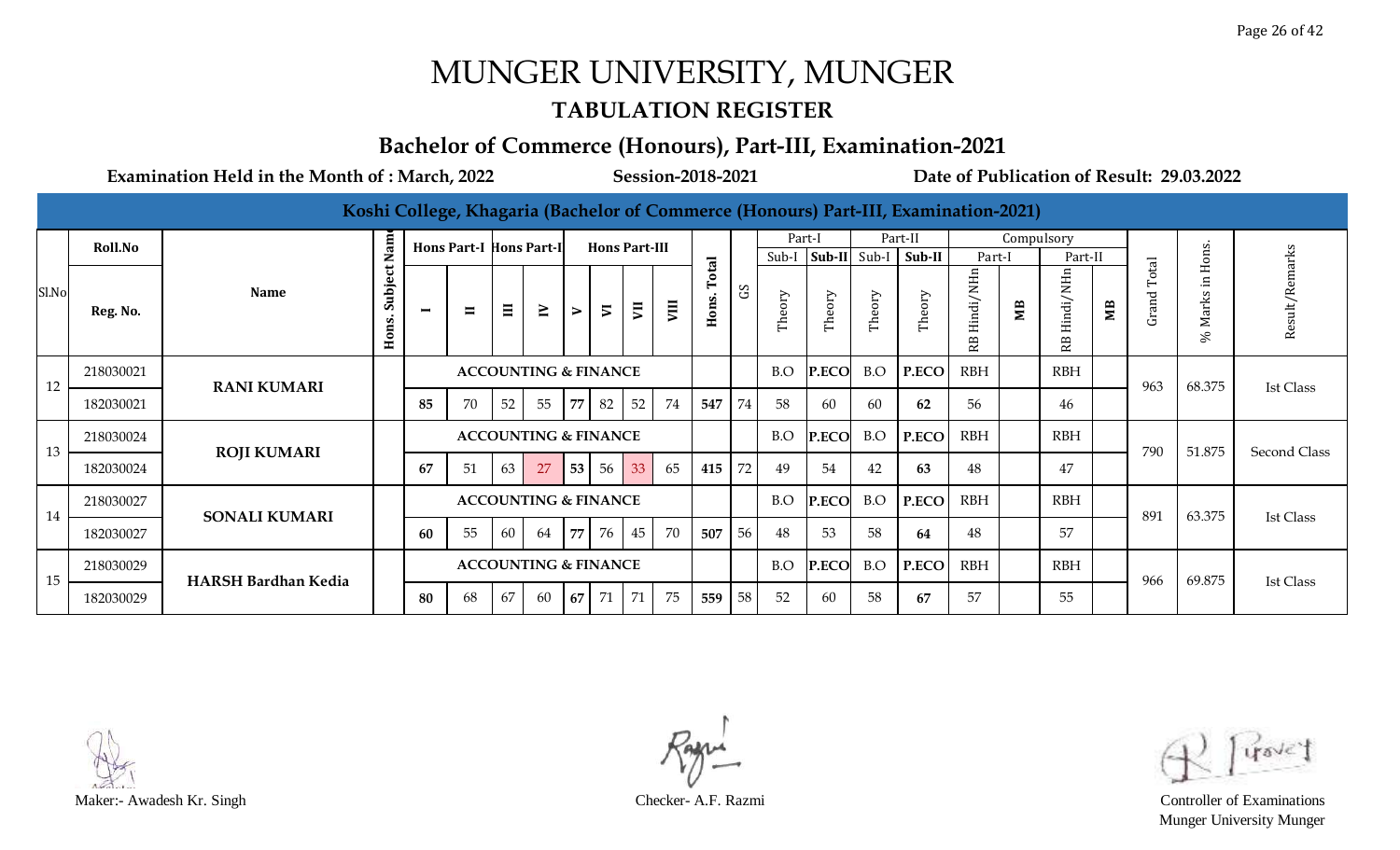#### **TABULATION REGISTER**

#### **Bachelor of Commerce (Honours), Part-III, Examination-2021**

|       |           |                            |                     |                |                                |       |                                 |        |                          |    |    |                |            |        |                |        | Koshi College, Khagaria (Bachelor of Commerce (Honours) Part-III, Examination-2021) |                 |            |                 |    |                |               |                    |
|-------|-----------|----------------------------|---------------------|----------------|--------------------------------|-------|---------------------------------|--------|--------------------------|----|----|----------------|------------|--------|----------------|--------|-------------------------------------------------------------------------------------|-----------------|------------|-----------------|----|----------------|---------------|--------------------|
|       | Roll.No   |                            | Nam                 |                | <b>Hons Part-I Hons Part-I</b> |       |                                 |        | <b>Hons Part-III</b>     |    |    |                |            | Part-I |                |        | Part-II                                                                             |                 | Compulsory |                 |    |                |               |                    |
|       |           |                            |                     |                |                                |       |                                 |        |                          |    |    |                |            |        | $Sub-I$ Sub-II | Sub-I  | Sub-II                                                                              | Part-I          |            | Part-II         |    |                | Hons.         |                    |
| Sl.No | Reg. No.  | <b>Name</b>                | Subject<br>s<br>Hon | $\blacksquare$ | $\blacksquare$                 | $\Xi$ | $\geq$                          | $\geq$ | $\overline{\phantom{a}}$ | VΠ | ĮП | Total<br>Hons. | $_{\rm G}$ | Theory | Theory         | Theory | Theory                                                                              | Hindi/NHn<br>RB | MВ         | Hindi/NHn<br>В. | MВ | Total<br>Grand | Marks<br>$\%$ | emarks<br>Result/R |
| 12    | 218030021 | <b>RANI KUMARI</b>         |                     |                |                                |       | <b>ACCOUNTING &amp; FINANCE</b> |        |                          |    |    |                |            | B.O    | P.ECO          | B.O    | P.ECO                                                                               | <b>RBH</b>      |            | <b>RBH</b>      |    | 963            | 68.375        | <b>Ist Class</b>   |
|       | 182030021 |                            |                     | 85             | 70                             | 52    | 55                              | 77     | 82                       | 52 | 74 | 547            | 74         | 58     | 60             | 60     | 62                                                                                  | 56              |            | 46              |    |                |               |                    |
| 13    | 218030024 | <b>ROJI KUMARI</b>         |                     |                |                                |       | <b>ACCOUNTING &amp; FINANCE</b> |        |                          |    |    |                |            | B.O    | P.ECO          | B.O    | P.ECO                                                                               | <b>RBH</b>      |            | <b>RBH</b>      |    | 790            | 51.875        |                    |
|       | 182030024 |                            |                     | 67             | 51                             | 63    | 27                              | 53     | 56                       | 33 | 65 | 415            | 72         | 49     | 54             | 42     | 63                                                                                  | 48              |            | 47              |    |                |               | Second Class       |
| 14    | 218030027 | <b>SONALI KUMARI</b>       |                     |                |                                |       | <b>ACCOUNTING &amp; FINANCE</b> |        |                          |    |    |                |            | B.O    | P.ECO          | B.O    | P.ECO                                                                               | <b>RBH</b>      |            | <b>RBH</b>      |    | 891            | 63.375        | <b>Ist Class</b>   |
|       | 182030027 |                            |                     | 60             | 55                             | 60    | 64                              | 77     | 76                       | 45 | 70 | 507            | 56         | 48     | 53             | 58     | 64                                                                                  | 48              |            | 57              |    |                |               |                    |
| 15    | 218030029 | <b>HARSH Bardhan Kedia</b> |                     |                |                                |       | <b>ACCOUNTING &amp; FINANCE</b> |        |                          |    |    |                |            | B.O    | P.ECO          | B.O    | P.ECO                                                                               | <b>RBH</b>      |            | <b>RBH</b>      |    | 966            | 69.875        |                    |
|       | 182030029 |                            |                     | 80             | 68                             | 67    | 60                              | 67     | 71                       | 71 | 75 | 559            | 58         | 52     | 60             | 58     | 67                                                                                  | 57              |            | 55              |    |                |               | Ist Class          |

Munger University Munger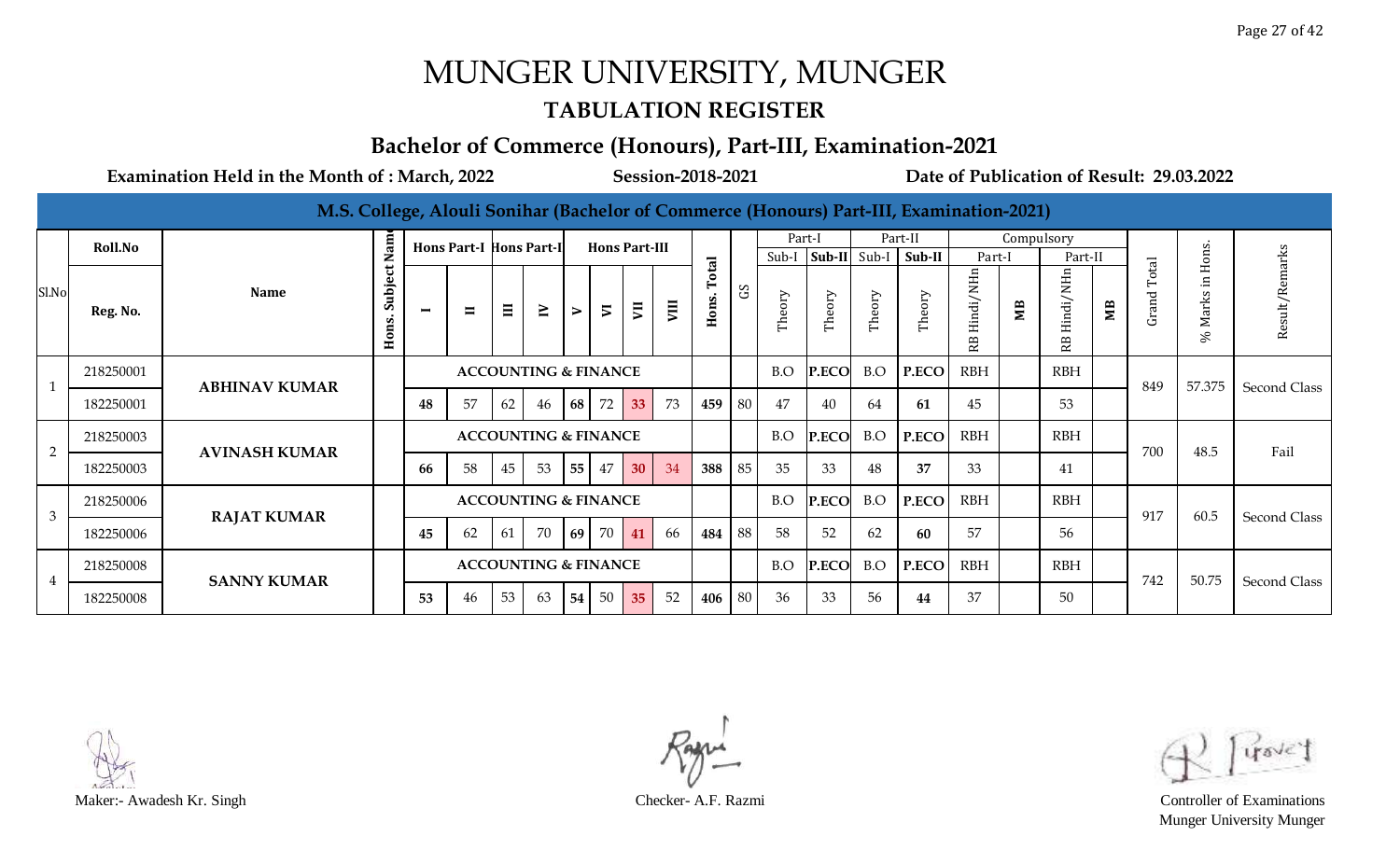#### **TABULATION REGISTER**

#### **Bachelor of Commerce (Honours), Part-III, Examination-2021**

|                |           | M.S. College, Alouli Sonihar (Bachelor of Commerce (Honours) Part-III, Examination-2021) |                  |    |                                |          |                                 |    |                      |                |      |               |    |        |              |        |         |                 |            |                         |    |               |             |                     |
|----------------|-----------|------------------------------------------------------------------------------------------|------------------|----|--------------------------------|----------|---------------------------------|----|----------------------|----------------|------|---------------|----|--------|--------------|--------|---------|-----------------|------------|-------------------------|----|---------------|-------------|---------------------|
|                | Roll.No   |                                                                                          | Nam              |    | <b>Hons Part-I Hons Part-I</b> |          |                                 |    | <b>Hons Part-III</b> |                |      |               |    | Part-I |              |        | Part-II |                 | Compulsory |                         |    |               |             |                     |
|                |           |                                                                                          |                  |    |                                |          |                                 |    |                      |                |      |               |    | Sub-I  | Sub-II Sub-I |        | Sub-II  | Part-I          |            | Part-II                 |    |               | ons.        |                     |
| Sl.No          | Reg. No.  | <b>Name</b>                                                                              | Subject<br>Hons. | −  | $\blacksquare$                 | $\equiv$ | $\geq$                          | ⋗  | $\overline{v}$       | $\overline{5}$ | VIII | otal<br>Hons. | S  | Theory | Theory       | Theory | Theory  | Hindi/NHn<br>RB | МB         | 딩<br>indi/NI<br>軍<br>RB | ÑМ | otal<br>Grand | Marks<br>S, | Result/Remarks      |
| $\mathbf{1}$   | 218250001 | <b>ABHINAV KUMAR</b>                                                                     |                  |    |                                |          | <b>ACCOUNTING &amp; FINANCE</b> |    |                      |                |      |               |    | B.O    | P.ECO        | B.O    | P.ECO   | <b>RBH</b>      |            | <b>RBH</b>              |    | 849           | 57.375      |                     |
|                | 182250001 |                                                                                          |                  | 48 | 57                             | 62       | 46                              | 68 | 72                   | 33             | 73   | 459           | 80 | 47     | 40           | 64     | 61      | 45              |            | 53                      |    |               |             | Second Class        |
|                | 218250003 | <b>AVINASH KUMAR</b>                                                                     |                  |    |                                |          | <b>ACCOUNTING &amp; FINANCE</b> |    |                      |                |      |               |    | B.O    | P.ECO        | B.O    | P.ECO   | <b>RBH</b>      |            | <b>RBH</b>              |    | 700           | 48.5        | Fail                |
| $\overline{2}$ | 182250003 |                                                                                          |                  | 66 | 58                             | 45       | 53                              | 55 | 47                   | 30             | 34   | 388           | 85 | 35     | 33           | 48     | 37      | 33              |            | 41                      |    |               |             |                     |
| 3              | 218250006 |                                                                                          |                  |    |                                |          | <b>ACCOUNTING &amp; FINANCE</b> |    |                      |                |      |               |    | B.O    | P.ECO        | B.O    | P.ECO   | <b>RBH</b>      |            | <b>RBH</b>              |    | 917           | 60.5        |                     |
|                | 182250006 | <b>RAJAT KUMAR</b>                                                                       |                  | 45 | 62                             | 61       | 70                              | 69 | 70                   | 41             | 66   | 484           | 88 | 58     | 52           | 62     | 60      | 57              |            | 56                      |    |               |             | Second Class        |
|                | 218250008 | <b>SANNY KUMAR</b>                                                                       |                  |    |                                |          | <b>ACCOUNTING &amp; FINANCE</b> |    |                      |                |      |               |    | B.O    | P.ECO        | B.O    | P.ECO   | <b>RBH</b>      |            | <b>RBH</b>              |    | 742           | 50.75       |                     |
| 4              | 182250008 |                                                                                          |                  | 53 | 46                             | 53       | 63                              | 54 | 50                   | 35             | 52   | 406           | 80 | 36     | 33           | 56     | 44      | 37              |            | 50                      |    |               |             | <b>Second Class</b> |



Munger University Munger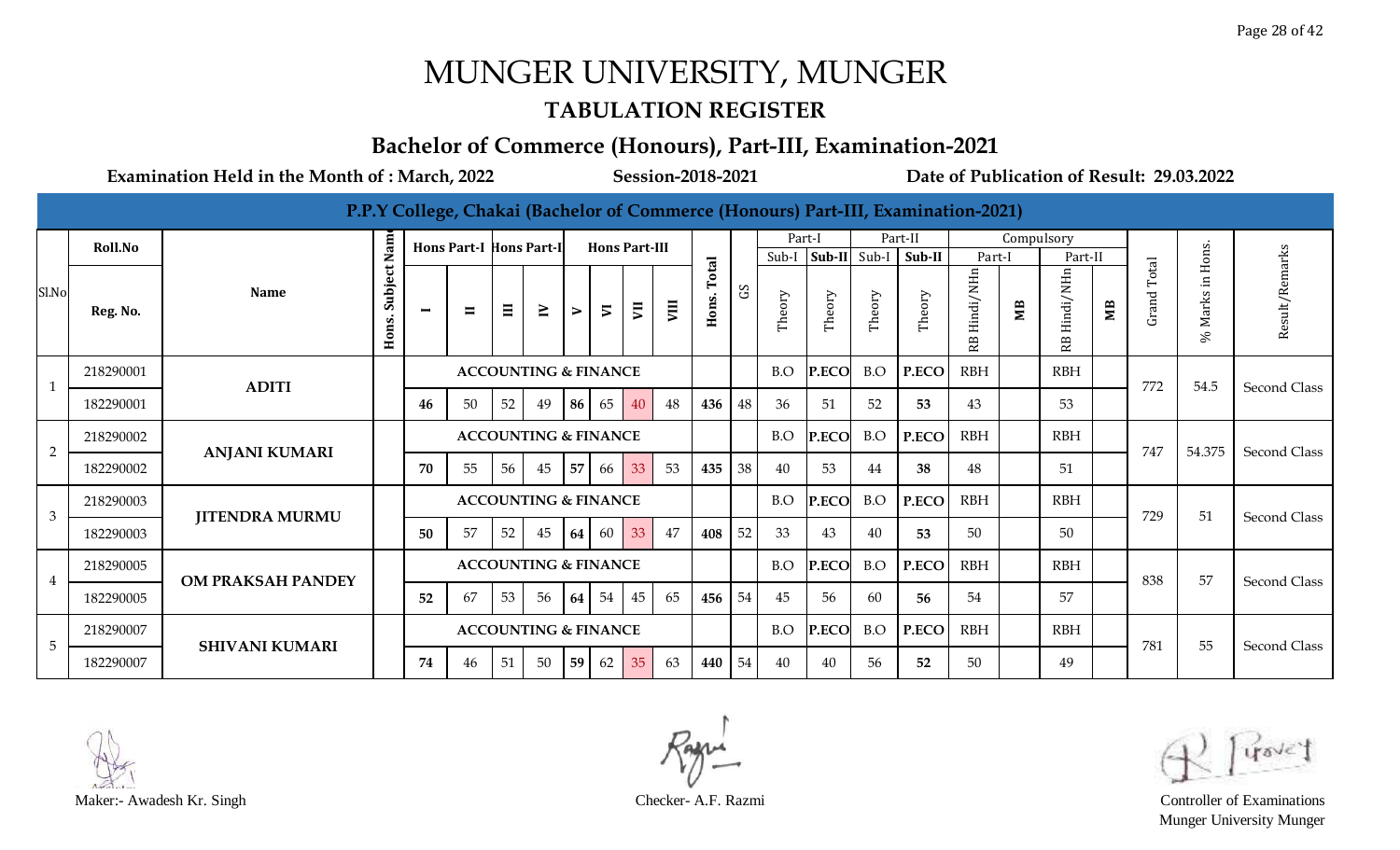#### **TABULATION REGISTER**

#### **Bachelor of Commerce (Honours), Part-III, Examination-2021**

|                |           |                          |                  |                |                                |          |                                 |                       |                          |    |                |                |            |        |              |        | P.P.Y College, Chakai (Bachelor of Commerce (Honours) Part-III, Examination-2021) |                |            |                 |                |                |                       |                |
|----------------|-----------|--------------------------|------------------|----------------|--------------------------------|----------|---------------------------------|-----------------------|--------------------------|----|----------------|----------------|------------|--------|--------------|--------|-----------------------------------------------------------------------------------|----------------|------------|-----------------|----------------|----------------|-----------------------|----------------|
|                | Roll.No   |                          | <b>Nam</b>       |                | <b>Hons Part-I Hons Part-I</b> |          |                                 |                       | <b>Hons Part-III</b>     |    |                |                |            | Part-I |              |        | Part-II                                                                           |                | Compulsory |                 |                |                |                       |                |
|                |           |                          |                  |                |                                |          |                                 |                       |                          |    |                |                |            | Sub-I  | $Sub-II$     | Sub-I  | Sub-II                                                                            | Part-I         |            | Part-II         |                |                | Hons.                 |                |
| Sl.No          | Reg. No.  | <b>Name</b>              | Subject<br>Hons. | $\blacksquare$ | $\blacksquare$                 | $\equiv$ | $\geq$                          | $\blacktriangleright$ | $\overline{\phantom{a}}$ | ξ  | $\overline{5}$ | Total<br>Hons. | $\rm_{SO}$ | Theory | Theory       | Theory | Theory                                                                            | Hindi/NHn<br>æ | MВ         | Hindi/NHn<br>RB | M <sub>B</sub> | Total<br>Grand | $\Xi.$<br>Marks<br>S, | Result/Remarks |
|                | 218290001 | <b>ADITI</b>             |                  |                |                                |          | <b>ACCOUNTING &amp; FINANCE</b> |                       |                          |    |                |                |            | B.O    | P.ECO        | B.O    | P.ECO                                                                             | <b>RBH</b>     |            | <b>RBH</b>      |                | 772            | 54.5                  | Second Class   |
|                | 182290001 |                          |                  | 46             | 50                             | 52       | 49                              | 86                    | 65                       | 40 | 48             | 436            | 48         | 36     | 51           | 52     | 53                                                                                | 43             |            | 53              |                |                |                       |                |
| $\overline{2}$ | 218290002 | <b>ANJANI KUMARI</b>     |                  |                |                                |          | <b>ACCOUNTING &amp; FINANCE</b> |                       |                          |    |                |                |            | B.O    | <b>P.ECO</b> | B.O    | P.ECO                                                                             | <b>RBH</b>     |            | <b>RBH</b>      |                | 747            | 54.375                | Second Class   |
|                | 182290002 |                          |                  | 70             | 55                             | 56       | 45                              | 57                    | 66                       | 33 | 53             | 435            | 38         | 40     | 53           | 44     | 38                                                                                | 48             |            | 51              |                |                |                       |                |
| 3              | 218290003 |                          |                  |                |                                |          | <b>ACCOUNTING &amp; FINANCE</b> |                       |                          |    |                |                |            | B.O    | P.ECO        | B.O    | P.ECO                                                                             | <b>RBH</b>     |            | <b>RBH</b>      |                | 729            | 51                    | Second Class   |
|                | 182290003 | <b>JITENDRA MURMU</b>    |                  | 50             | 57                             | 52       | 45                              | 64                    | 60                       | 33 | 47             | 408            | 52         | 33     | 43           | 40     | 53                                                                                | 50             |            | 50              |                |                |                       |                |
| 4              | 218290005 | <b>OM PRAKSAH PANDEY</b> |                  |                |                                |          | <b>ACCOUNTING &amp; FINANCE</b> |                       |                          |    |                |                |            | B.O    | P.ECO        | B.O    | P.ECO                                                                             | <b>RBH</b>     |            | <b>RBH</b>      |                | 838            | 57                    | Second Class   |
|                | 182290005 |                          |                  | 52             | 67                             | 53       | 56                              | 64                    | 54                       | 45 | 65             | 456            | 54         | 45     | 56           | 60     | 56                                                                                | 54             |            | 57              |                |                |                       |                |
| 5              | 218290007 | <b>SHIVANI KUMARI</b>    |                  |                |                                |          | <b>ACCOUNTING &amp; FINANCE</b> |                       |                          |    |                |                |            | B.O    | P.ECO        | B.O    | P.ECO                                                                             | <b>RBH</b>     |            | <b>RBH</b>      |                | 781            | 55                    | Second Class   |
|                | 182290007 |                          |                  | 74             | 46                             | 51       | 50                              | 59                    | 62                       | 35 | 63             | 440            | 54         | 40     | 40           | 56     | 52                                                                                | 50             |            | 49              |                |                |                       |                |



Munger University Munger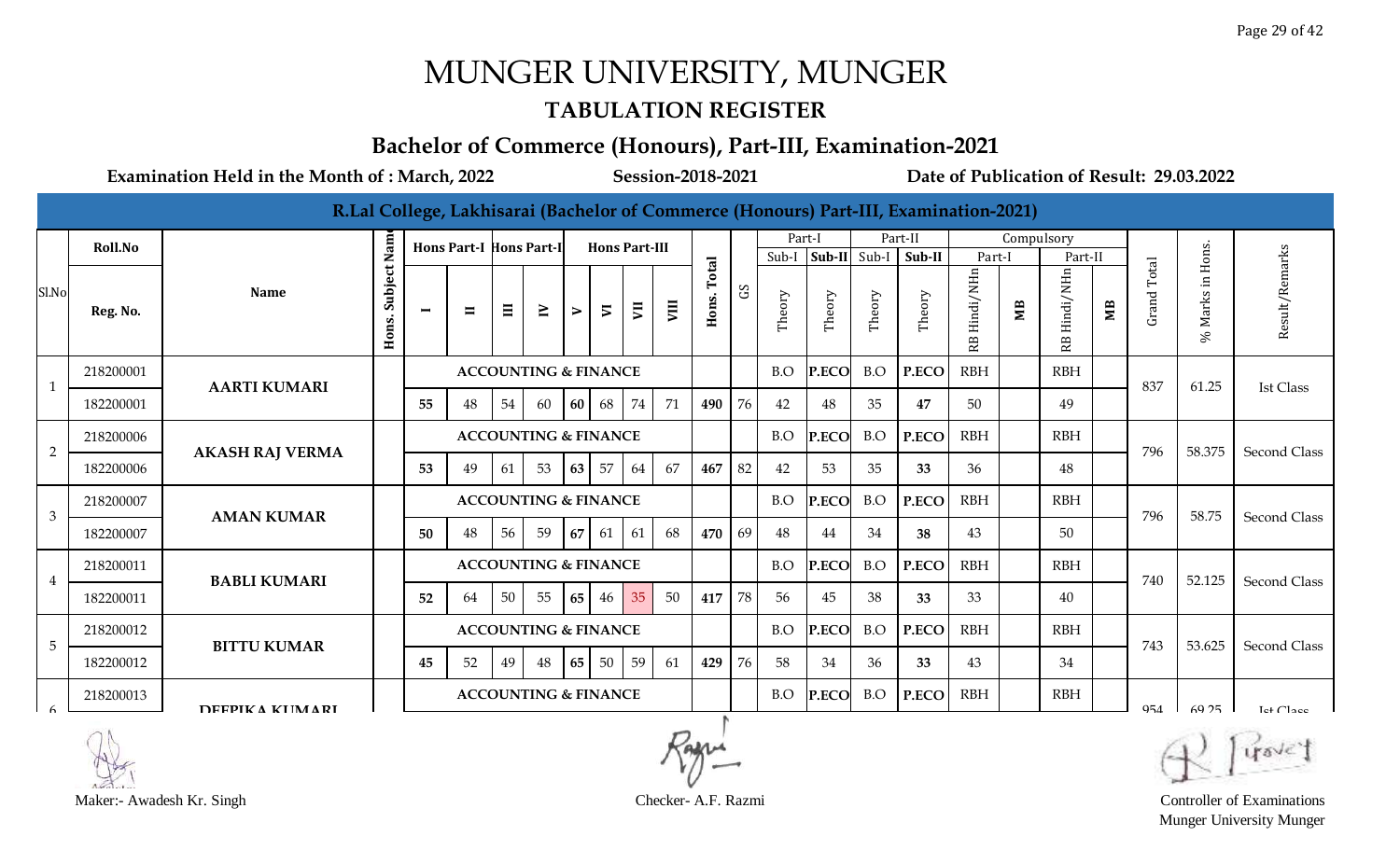#### **TABULATION REGISTER**

#### **Bachelor of Commerce (Honours), Part-III, Examination-2021**

**Examination Held in the Month of : March, 2022 Session-2018-2021 Date of Publication of Result: 29.03.2022**

|                |           |                        |                  |                |                                |          |                                 |        |                          |    |      |                |             |        |              |        | R.Lal College, Lakhisarai (Bachelor of Commerce (Honours) Part-III, Examination-2021) |                 |                |                 |                |                             |                      |                     |
|----------------|-----------|------------------------|------------------|----------------|--------------------------------|----------|---------------------------------|--------|--------------------------|----|------|----------------|-------------|--------|--------------|--------|---------------------------------------------------------------------------------------|-----------------|----------------|-----------------|----------------|-----------------------------|----------------------|---------------------|
|                | Roll.No   |                        | Nam              |                | <b>Hons Part-I Hons Part-I</b> |          |                                 |        | <b>Hons Part-III</b>     |    |      |                |             | Part-I |              |        | Part-II                                                                               |                 | Compulsory     |                 |                |                             |                      |                     |
|                |           |                        |                  |                |                                |          |                                 |        |                          |    |      |                |             | Sub-I  | $ Sub-II $   | Sub-I  | Sub-II                                                                                | Part-I          |                | Part-II         |                |                             |                      |                     |
| Sl.No          | Reg. No.  | <b>Name</b>            | Subject<br>Hons. | $\blacksquare$ | $\blacksquare$                 | $\equiv$ | $\geq$                          | $\geq$ | $\overline{\phantom{0}}$ | Ξ  | VIII | Total<br>Hons. | $_{\rm 5D}$ | Theory | Theory       | Theory | Theory                                                                                | Hindi/NHn<br>RB | M <sub>B</sub> | Hindi/NHn<br>RB | M <sub>B</sub> | Total<br>Grand <sup>-</sup> | Marks in Hons.<br>S, | Result/Remarks      |
| $\mathbf{1}$   | 218200001 | <b>AARTI KUMARI</b>    |                  |                |                                |          | <b>ACCOUNTING &amp; FINANCE</b> |        |                          |    |      |                |             | B.O    | P.ECO        | B.O    | P.ECO                                                                                 | <b>RBH</b>      |                | <b>RBH</b>      |                | 837                         | 61.25                | Ist Class           |
|                | 182200001 |                        |                  | 55             | 48                             | 54       | 60                              | 60     | 68                       | 74 | 71   | 490            | 76          | 42     | 48           | 35     | 47                                                                                    | 50              |                | 49              |                |                             |                      |                     |
| $\overline{2}$ | 218200006 | <b>AKASH RAJ VERMA</b> |                  |                |                                |          | <b>ACCOUNTING &amp; FINANCE</b> |        |                          |    |      |                |             | B.O    | P.ECO        | B.O    | P.ECO                                                                                 | <b>RBH</b>      |                | <b>RBH</b>      |                | 796                         | 58.375               | Second Class        |
|                | 182200006 |                        |                  | 53             | 49                             | 61       | 53                              | 63     | 57                       | 64 | 67   | 467            | 82          | 42     | 53           | 35     | 33                                                                                    | 36              |                | 48              |                |                             |                      |                     |
| 3              | 218200007 | <b>AMAN KUMAR</b>      |                  |                |                                |          | <b>ACCOUNTING &amp; FINANCE</b> |        |                          |    |      |                |             | B.O    | P.ECO        | B.O    | P.ECO                                                                                 | <b>RBH</b>      |                | <b>RBH</b>      |                | 796                         | 58.75                | <b>Second Class</b> |
|                | 182200007 |                        |                  | 50             | 48                             | 56       | 59                              | 67     | 61                       | 61 | 68   | 470            | 69          | 48     | 44           | 34     | 38                                                                                    | 43              |                | 50              |                |                             |                      |                     |
| $\overline{4}$ | 218200011 | <b>BABLI KUMARI</b>    |                  |                |                                |          | <b>ACCOUNTING &amp; FINANCE</b> |        |                          |    |      |                |             | B.O    | <b>P.ECO</b> | B.O    | P.ECO                                                                                 | <b>RBH</b>      |                | <b>RBH</b>      |                | 740                         | 52.125               | Second Class        |
|                | 182200011 |                        |                  | 52             | 64                             | 50       | 55                              | 65     | 46                       | 35 | 50   | 417            | 78          | 56     | 45           | 38     | 33                                                                                    | 33              |                | 40              |                |                             |                      |                     |
| 5              | 218200012 | <b>BITTU KUMAR</b>     |                  |                |                                |          | <b>ACCOUNTING &amp; FINANCE</b> |        |                          |    |      |                |             | B.O    | <b>P.ECO</b> | B.O    | P.ECO                                                                                 | <b>RBH</b>      |                | <b>RBH</b>      |                | 743                         | 53.625               | <b>Second Class</b> |
|                | 182200012 |                        |                  | 45             | 52                             | 49       | 48                              | 65     | 50                       | 59 | 61   | 429            | 76          | 58     | 34           | 36     | 33                                                                                    | 43              |                | 34              |                |                             |                      |                     |
|                | 218200013 | DEEPIKA KUMARI         |                  |                |                                |          | <b>ACCOUNTING &amp; FINANCE</b> |        |                          |    |      |                |             | B.O    | <b>P.ECO</b> | B.O    | P.ECO                                                                                 | <b>RBH</b>      |                | <b>RBH</b>      |                | 954                         | 69.25                | Let Cl <sub>2</sub> |

Munger University Munger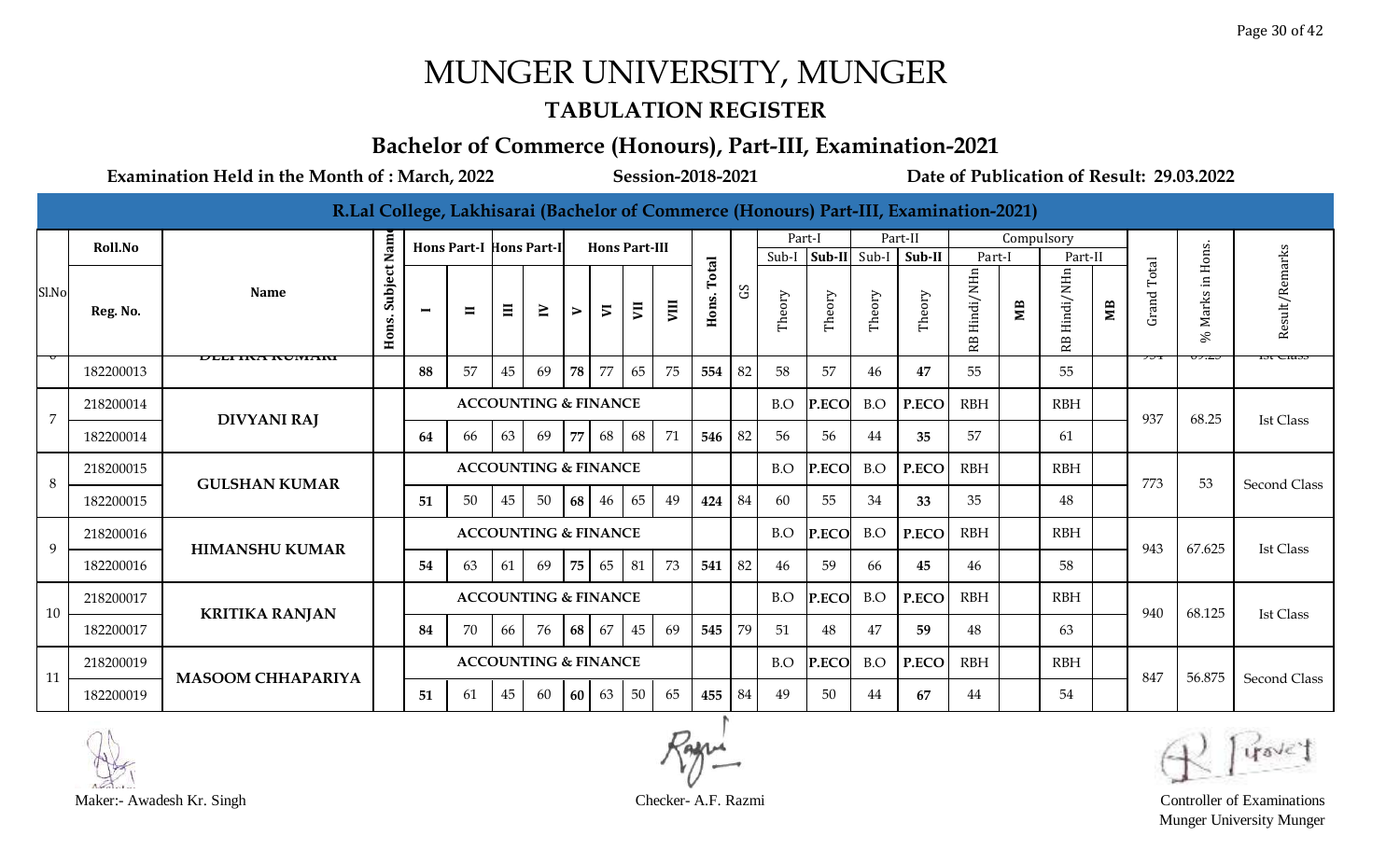#### **TABULATION REGISTER**

#### **Bachelor of Commerce (Honours), Part-III, Examination-2021**

**Examination Held in the Month of : March, 2022 Session-2018-2021 Date of Publication of Result: 29.03.2022**

|                |           |                          |                  |                          |                                |          |                                 |                       |                          |    |      |       |            |        |        |        | R.Lal College, Lakhisarai (Bachelor of Commerce (Honours) Part-III, Examination-2021) |                  |            |                  |    |             |                      |                     |
|----------------|-----------|--------------------------|------------------|--------------------------|--------------------------------|----------|---------------------------------|-----------------------|--------------------------|----|------|-------|------------|--------|--------|--------|---------------------------------------------------------------------------------------|------------------|------------|------------------|----|-------------|----------------------|---------------------|
|                | Roll.No   |                          | Nam              |                          | <b>Hons Part-I Hons Part-I</b> |          |                                 |                       | <b>Hons Part-III</b>     |    |      |       |            | Part-I |        |        | Part-II                                                                               |                  | Compulsory |                  |    |             |                      |                     |
|                |           |                          |                  |                          |                                |          |                                 |                       |                          |    |      | Total |            | Sub-I  |        |        | $ Sub-II  Sub-I  Sub-II$                                                              | Part-I           |            | Part-II          |    |             | Hons.                |                     |
| Sl.No          | Reg. No.  | <b>Name</b>              | Subject<br>Hons. | $\overline{\phantom{0}}$ | $\blacksquare$                 | $\equiv$ | $\geq$                          | $\blacktriangleright$ | $\overline{\phantom{a}}$ | JΠ | VIII | Hons. | $_{\rm G}$ | Theory | Theory | Theory | Theory                                                                                | Hindi/NHn<br>RB. | МB         | Hindi/NHn<br>RB. | ЯM | Grand Total | $\Xi$<br>Marks<br>S, | Result/Remarks      |
|                | 182200013 | DEELINA NUMAN            |                  | 88                       | 57                             | 45       | 69                              | 78                    | 77                       | 65 | 75   | 554   | 82         | 58     | 57     | 46     | 47                                                                                    | 55               |            | 55               |    |             |                      | 151 U1053           |
| $\overline{7}$ | 218200014 | <b>DIVYANI RAJ</b>       |                  |                          |                                |          | <b>ACCOUNTING &amp; FINANCE</b> |                       |                          |    |      |       |            | B.O    | P.ECO  | B.O    | P.ECO                                                                                 | <b>RBH</b>       |            | <b>RBH</b>       |    | 937         | 68.25                | <b>Ist Class</b>    |
|                | 182200014 |                          |                  | 64                       | 66                             | 63       | 69                              | 77                    | 68                       | 68 | 71   | 546   | 82         | 56     | 56     | 44     | 35                                                                                    | 57               |            | 61               |    |             |                      |                     |
| 8              | 218200015 | <b>GULSHAN KUMAR</b>     |                  |                          |                                |          | <b>ACCOUNTING &amp; FINANCE</b> |                       |                          |    |      |       |            | B.O    | P.ECO  | B.O    | P.ECO                                                                                 | <b>RBH</b>       |            | <b>RBH</b>       |    | 773         | 53                   | <b>Second Class</b> |
|                | 182200015 |                          |                  | 51                       | 50                             | 45       | 50                              | 68                    | 46                       | 65 | 49   | 424   | 84         | 60     | 55     | 34     | 33                                                                                    | 35               |            | 48               |    |             |                      |                     |
| 9              | 218200016 | <b>HIMANSHU KUMAR</b>    |                  |                          |                                |          | <b>ACCOUNTING &amp; FINANCE</b> |                       |                          |    |      |       |            | B.O    | P.ECO  | B.O    | P.ECO                                                                                 | <b>RBH</b>       |            | <b>RBH</b>       |    | 943         | 67.625               | <b>Ist Class</b>    |
|                | 182200016 |                          |                  | 54                       | 63                             | 61       | 69                              | 75                    | 65                       | 81 | 73   | 541   | 82         | 46     | 59     | 66     | 45                                                                                    | 46               |            | 58               |    |             |                      |                     |
| 10             | 218200017 | <b>KRITIKA RANJAN</b>    |                  |                          |                                |          | <b>ACCOUNTING &amp; FINANCE</b> |                       |                          |    |      |       |            | B.O    | P.ECO  | B.O    | P.ECO                                                                                 | <b>RBH</b>       |            | <b>RBH</b>       |    | 940         | 68.125               | <b>Ist Class</b>    |
|                | 182200017 |                          |                  | 84                       | 70                             | 66       | 76                              | 68 <sup>1</sup>       | 67                       | 45 | 69   | 545   | 79         | 51     | 48     | 47     | 59                                                                                    | 48               |            | 63               |    |             |                      |                     |
| 11             | 218200019 | <b>MASOOM CHHAPARIYA</b> |                  |                          |                                |          | <b>ACCOUNTING &amp; FINANCE</b> |                       |                          |    |      |       |            | B.O    | P.ECO  | B.O    | P.ECO                                                                                 | <b>RBH</b>       |            | <b>RBH</b>       |    | 847         | 56.875               | <b>Second Class</b> |
|                | 182200019 |                          |                  | 51                       | 61                             | 45       | 60                              | <b>60</b>             | 63                       | 50 | 65   | 455   | 84         | 49     | 50     | 44     | 67                                                                                    | 44               |            | 54               |    |             |                      |                     |



Munger University Munger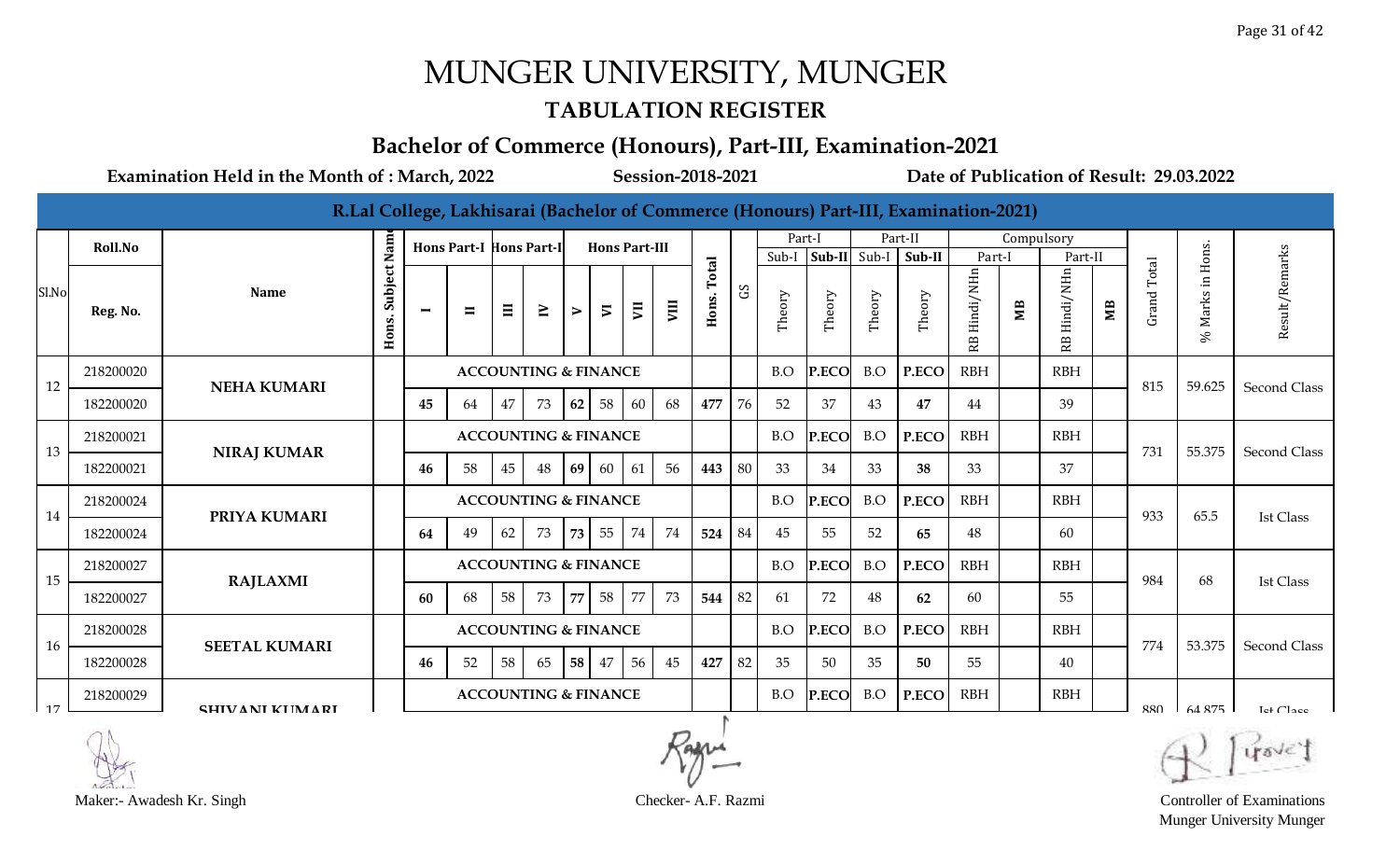#### **TABULATION REGISTER**

#### **Bachelor of Commerce (Honours), Part-III, Examination-2021**

**Examination Held in the Month of : March, 2022 Session-2018-2021 Date of Publication of Result: 29.03.2022**

|       |           |                       |                  |                |                                |          |                                 |    |                      |    |      |                |              |        |              |        | R.Lal College, Lakhisarai (Bachelor of Commerce (Honours) Part-III, Examination-2021) |                 |                |                 |                |             |                  |                     |
|-------|-----------|-----------------------|------------------|----------------|--------------------------------|----------|---------------------------------|----|----------------------|----|------|----------------|--------------|--------|--------------|--------|---------------------------------------------------------------------------------------|-----------------|----------------|-----------------|----------------|-------------|------------------|---------------------|
|       | Roll.No   |                       | Nam              |                | <b>Hons Part-I Hons Part-I</b> |          |                                 |    | <b>Hons Part-III</b> |    |      |                |              | Part-I |              |        | Part-II                                                                               |                 | Compulsory     |                 |                |             |                  |                     |
|       |           |                       |                  |                |                                |          |                                 |    |                      |    |      |                |              | Sub-I  | Sub-II       | Sub-I  | Sub-II                                                                                | Part-I          |                | Part-II         |                |             | Hons.            |                     |
| Sl.No | Reg. No.  | <b>Name</b>           | Subject<br>Hons. | $\blacksquare$ | $\blacksquare$                 | $\equiv$ | $\geq$                          | ⋗  | $\overline{v}$       | Ξ  | VIII | Total<br>Hons. | $\mathbf{S}$ | Theory | Theory       | Theory | Theory                                                                                | Hindi/NHn<br>RB | M <sub>B</sub> | Hindi/NHn<br>RB | M <sub>B</sub> | Grand Total | Marks in<br>$\%$ | Result/Remarks      |
| 12    | 218200020 | <b>NEHA KUMARI</b>    |                  |                |                                |          | <b>ACCOUNTING &amp; FINANCE</b> |    |                      |    |      |                |              | B.O    | <b>P.ECO</b> | B.O    | P.ECO                                                                                 | <b>RBH</b>      |                | <b>RBH</b>      |                | 815         | 59.625           | Second Class        |
|       | 182200020 |                       |                  | 45             | 64                             | 47       | 73                              | 62 | 58                   | 60 | 68   | 477            | 76           | 52     | 37           | 43     | 47                                                                                    | 44              |                | 39              |                |             |                  |                     |
| 13    | 218200021 | <b>NIRAJ KUMAR</b>    |                  |                |                                |          | <b>ACCOUNTING &amp; FINANCE</b> |    |                      |    |      |                |              | B.O    | P.ECO        | B.O    | P.ECO                                                                                 | <b>RBH</b>      |                | <b>RBH</b>      |                | 731         | 55.375           | Second Class        |
|       | 182200021 |                       |                  | 46             | 58                             | 45       | 48                              | 69 | 60                   | 61 | 56   | 443            | 80           | 33     | 34           | 33     | 38                                                                                    | 33              |                | 37              |                |             |                  |                     |
| 14    | 218200024 | PRIYA KUMARI          |                  |                |                                |          | <b>ACCOUNTING &amp; FINANCE</b> |    |                      |    |      |                |              | B.O    | P.ECO        | B.O    | P.ECO                                                                                 | <b>RBH</b>      |                | <b>RBH</b>      |                | 933         | 65.5             | <b>Ist Class</b>    |
|       | 182200024 |                       |                  | 64             | 49                             | 62       | 73                              | 73 | 55                   | 74 | 74   | 524            | 84           | 45     | 55           | 52     | 65                                                                                    | 48              |                | 60              |                |             |                  |                     |
| 15    | 218200027 | <b>RAJLAXMI</b>       |                  |                |                                |          | <b>ACCOUNTING &amp; FINANCE</b> |    |                      |    |      |                |              | B.O    | <b>P.ECO</b> | B.O    | P.ECO                                                                                 | <b>RBH</b>      |                | <b>RBH</b>      |                | 984         | 68               | Ist Class           |
|       | 182200027 |                       |                  | -60            | 68                             | 58       | 73                              | 77 | 58                   | 77 | 73   | 544            | 82           | 61     | 72           | 48     | 62                                                                                    | 60              |                | 55              |                |             |                  |                     |
| 16    | 218200028 | <b>SEETAL KUMARI</b>  |                  |                |                                |          | <b>ACCOUNTING &amp; FINANCE</b> |    |                      |    |      |                |              | B.O    | <b>P.ECO</b> | B.O    | P.ECO                                                                                 | <b>RBH</b>      |                | <b>RBH</b>      |                | 774         | 53.375           | Second Class        |
|       | 182200028 |                       |                  | 46             | 52                             | 58       | 65                              | 58 | 47                   | 56 | 45   | 427            | 82           | 35     | 50           | 35     | 50                                                                                    | 55              |                | 40              |                |             |                  |                     |
| 17    | 218200029 | <b>SHIVANI KUMARI</b> |                  |                |                                |          | <b>ACCOUNTING &amp; FINANCE</b> |    |                      |    |      |                |              | B.O    | <b>P.ECO</b> | B.O    | P.ECO                                                                                 | <b>RBH</b>      |                | <b>RBH</b>      |                | 880         | 64.875           | Let Cl <sub>2</sub> |



Munger University Munger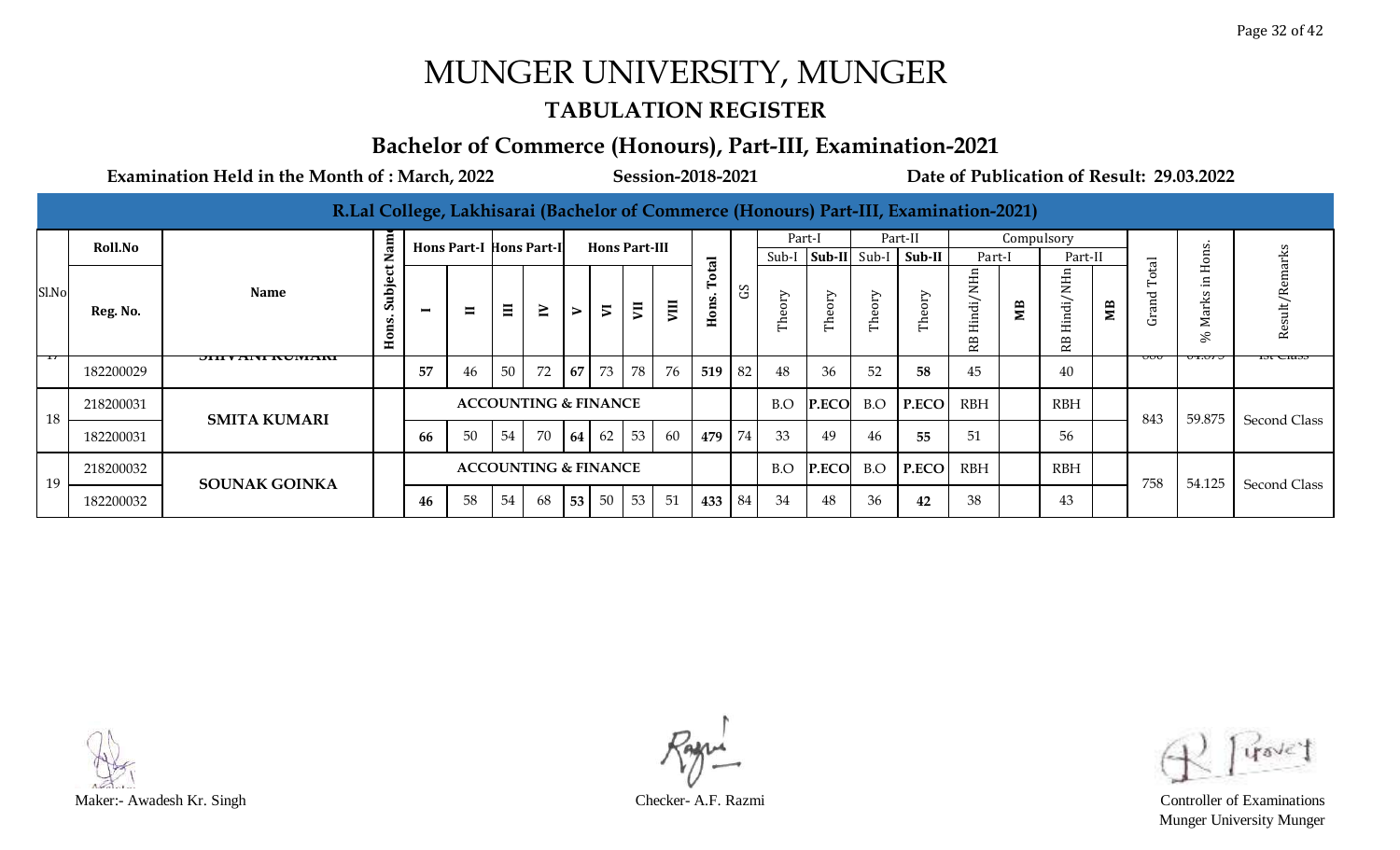#### **TABULATION REGISTER**

### **Bachelor of Commerce (Honours), Part-III, Examination-2021**

|       | Roll.No   |                           | Ē                               |                          | <b>Hons Part-I Hons Part-II</b> |       |                                 |        | <b>Hons Part-III</b>     |    |                |                             |            | Part-I<br>Sub-I   | Sub-II                       | Sub-I                                 | Part-II<br>Sub-II | Part-I         | Compulsory | Part-II                                                    |    |                       |        |                     |
|-------|-----------|---------------------------|---------------------------------|--------------------------|---------------------------------|-------|---------------------------------|--------|--------------------------|----|----------------|-----------------------------|------------|-------------------|------------------------------|---------------------------------------|-------------------|----------------|------------|------------------------------------------------------------|----|-----------------------|--------|---------------------|
| Sl.No | Reg. No.  | <b>Name</b>               | ల<br>bje<br><b>Jal</b><br>Hons. | $\overline{\phantom{0}}$ | $\blacksquare$                  | $\Xi$ | $\geq$                          | $\geq$ | $\overline{\phantom{a}}$ | ξI | $\overline{u}$ | $\overline{a}$<br>ons.<br>E | $_{\rm G}$ | Ŋ<br>$\circ$<br>ᄇ | ΟIJ<br>$\mathbf \omega$<br>É | Ŋ<br>$\circ$<br>$\mathbf \omega$<br>É | $\epsilon$<br>Ě   | Hindi/NHn<br>Æ | Яã         | ⊆<br>z<br>indi,<br>$\mathbf \Xi$<br>$\mathbf{p}$<br>$\sim$ | ÑБ | $\Xi$<br>යි           | ∽<br>∽ | Result/Remarks      |
|       | 182200029 | <b>JIII V AINI NUMANI</b> |                                 | 57                       | 46                              | 50    | 72                              |        | 67 73                    | 78 | 76             | 519                         | 82         | 48                | 36                           | 52                                    | 58                | 45             |            | 40                                                         |    | $\circ\!\circ\!\circ$ | ᡡᡂ     | 151 UI 055          |
| 18    | 218200031 | <b>SMITA KUMARI</b>       |                                 |                          |                                 |       | <b>ACCOUNTING &amp; FINANCE</b> |        |                          |    |                |                             |            | B.O               | P.ECO                        | B.O                                   | P.ECO             | <b>RBH</b>     |            | <b>RBH</b>                                                 |    | 843                   | 59.875 | <b>Second Class</b> |
|       | 182200031 |                           |                                 | 66                       | 50                              | 54    | 70                              |        | 64 62                    | 53 | 60             | 479                         | 74         | 33                | 49                           | 46                                    | 55                | 51             |            | 56                                                         |    |                       |        |                     |
| 19    | 218200032 | <b>SOUNAK GOINKA</b>      |                                 |                          |                                 |       | <b>ACCOUNTING &amp; FINANCE</b> |        |                          |    |                |                             |            | B.O               | P.ECO                        | B.O                                   | P.ECO             | <b>RBH</b>     |            | <b>RBH</b>                                                 |    | 758                   | 54.125 | <b>Second Class</b> |
|       | 182200032 |                           |                                 | 46                       | 58                              | 54    | 68                              |        | 53 50 53                 |    | 51             | 433                         | 84         | 34                | 48                           | 36                                    | 42                | 38             |            | 43                                                         |    |                       |        |                     |



Munger University Munger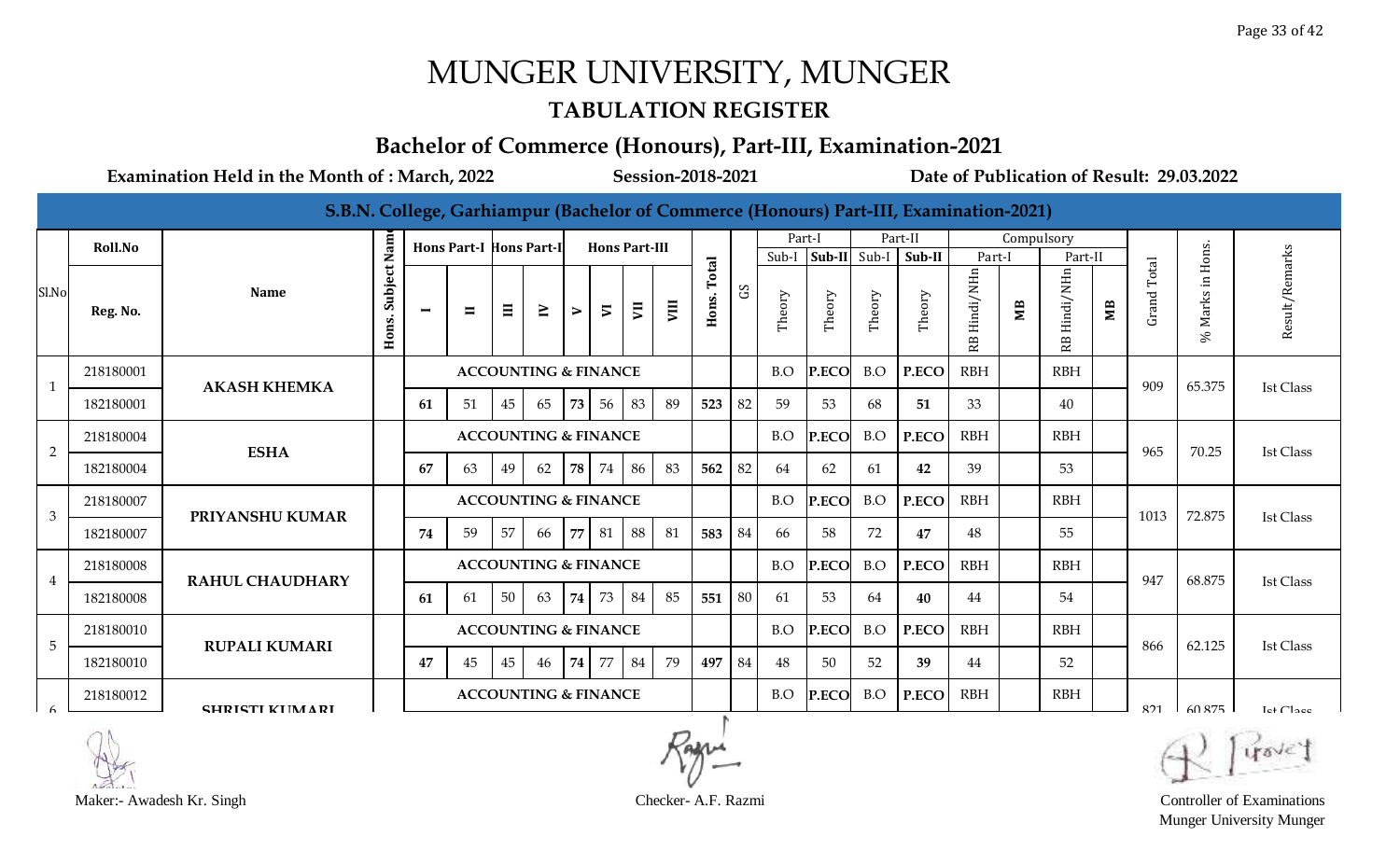#### **TABULATION REGISTER**

#### **Bachelor of Commerce (Honours), Part-III, Examination-2021**

**Examination Held in the Month of : March, 2022 Session-2018-2021 Date of Publication of Result: 29.03.2022**

**S.B.N. College, Garhiampur (Bachelor of Commerce (Honours) Part-III, Examination-2021) Hons. Subject Name** Part-I Part-II **Hons Part-I** Compulsory **Hons Part-II Hons Part-III**  $\mathcal{S}$ % Marks in Hons. Sub-I **Sub-II** Sub-I **Sub-II** Part-I | Part-II **Hons. Total** GS Grand Total RB Hindi/NHn RB Hindi/NHn **Name** Theory Theory Theory Theory **VIII VII MB MB III IV VI II V**

|       | <b>KOILNO</b> |                        | Σa               |                | HONS PATT-I HONS PATT-II |                 |                                 |   |                | <b>HONS PART-III</b> |            |               |     | Sub-I  | Sub-II | Sub-I  | Sub-II | Part-I          |    | Part-II         |    |             | Hons                |                       |
|-------|---------------|------------------------|------------------|----------------|--------------------------|-----------------|---------------------------------|---|----------------|----------------------|------------|---------------|-----|--------|--------|--------|--------|-----------------|----|-----------------|----|-------------|---------------------|-----------------------|
| Sl.No | Reg. No.      | <b>Name</b>            | Subject<br>Hons. | $\blacksquare$ | $\blacksquare$           | $\Xi$           | $\geq$                          | ⋗ | $\overline{v}$ | ξ                    | VIII       | otal<br>Hons. | SC  | Theory | Theory | Theory | Theory | Hindi/NHn<br>RB | ĴЕ | Hindi/NHn<br>RB | ЯM | Grand Total | $\Xi$<br>Marks<br>℅ | Result/Remarks        |
|       | 218180001     | <b>AKASH KHEMKA</b>    |                  |                |                          |                 | <b>ACCOUNTING &amp; FINANCE</b> |   |                |                      |            |               |     | B.O    | P.ECO  | B.O    | P.ECO  | <b>RBH</b>      |    | <b>RBH</b>      |    | 909         | 65.375              |                       |
|       | 182180001     |                        |                  | 61             | 51                       | 45              | 65                              |   | 73 56          | 83                   | 89         | 523           | 82  | 59     | 53     | 68     | 51     | 33              |    | 40              |    |             |                     | <b>Ist Class</b>      |
| 2     | 218180004     | <b>ESHA</b>            |                  |                |                          |                 | <b>ACCOUNTING &amp; FINANCE</b> |   |                |                      |            |               |     | B.O    | P.ECO  | B.O    | P.ECO  | <b>RBH</b>      |    | <b>RBH</b>      |    | 965         | 70.25               | <b>Ist Class</b>      |
|       | 182180004     |                        |                  | 67             | 63                       | 49              | 62                              |   | 78 74          | 86                   | 83         | 562           | 82  | 64     | 62     | 61     | 42     | 39              |    | 53              |    |             |                     |                       |
| 3     | 218180007     | PRIYANSHU KUMAR        |                  |                |                          |                 | <b>ACCOUNTING &amp; FINANCE</b> |   |                |                      |            |               |     | B.O    | P.ECO  | B.O    | P.ECO  | <b>RBH</b>      |    | <b>RBH</b>      |    | 1013        | 72.875              | <b>Ist Class</b>      |
|       | 182180007     |                        |                  | 74             | 59                       | 57              | 66                              |   | 77 81          | 88                   | 81         | 583           | -84 | 66     | 58     | 72     | 47     | 48              |    | 55              |    |             |                     |                       |
| 4     | 218180008     | <b>RAHUL CHAUDHARY</b> |                  |                |                          |                 | <b>ACCOUNTING &amp; FINANCE</b> |   |                |                      |            |               |     | B.O    | P.ECO  | B.O    | P.ECO  | <b>RBH</b>      |    | <b>RBH</b>      |    | 947         | 68.875              | <b>Ist Class</b>      |
|       | 182180008     |                        |                  | 61             | 61                       | 50 <sup>1</sup> | 63                              |   | 74 73          | 84                   | 85         | 551           | 80  | 61     | 53     | 64     | 40     | 44              |    | 54              |    |             |                     |                       |
| 5     | 218180010     | <b>RUPALI KUMARI</b>   |                  |                |                          |                 | <b>ACCOUNTING &amp; FINANCE</b> |   |                |                      |            |               |     | B.O    | P.ECO  | B.O    | P.ECO  | <b>RBH</b>      |    | <b>RBH</b>      |    | 866         | 62.125              | <b>Ist Class</b>      |
|       | 182180010     |                        |                  | 47             | 45                       | 45              | 46                              |   | 74 77          | 84                   | 79         | 497           | 84  | 48     | 50     | 52     | 39     | 44              |    | 52              |    |             |                     |                       |
|       | 218180012     | <b>CHRICTI KIIMARI</b> |                  |                |                          |                 | <b>ACCOUNTING &amp; FINANCE</b> |   |                |                      |            |               |     | B.O    | P.ECO  | B.O    | P.ECO  | <b>RBH</b>      |    | <b>RBH</b>      |    | 821         | 60.875              | Let Cl <sub>200</sub> |
|       | $\bigcap$     |                        |                  |                |                          |                 |                                 |   |                |                      | $\sqrt{ }$ |               |     |        |        |        |        |                 |    |                 |    |             | <b>CONTRACTOR</b>   |                       |



**Roll.No**

Munger University Munger

 $\sim$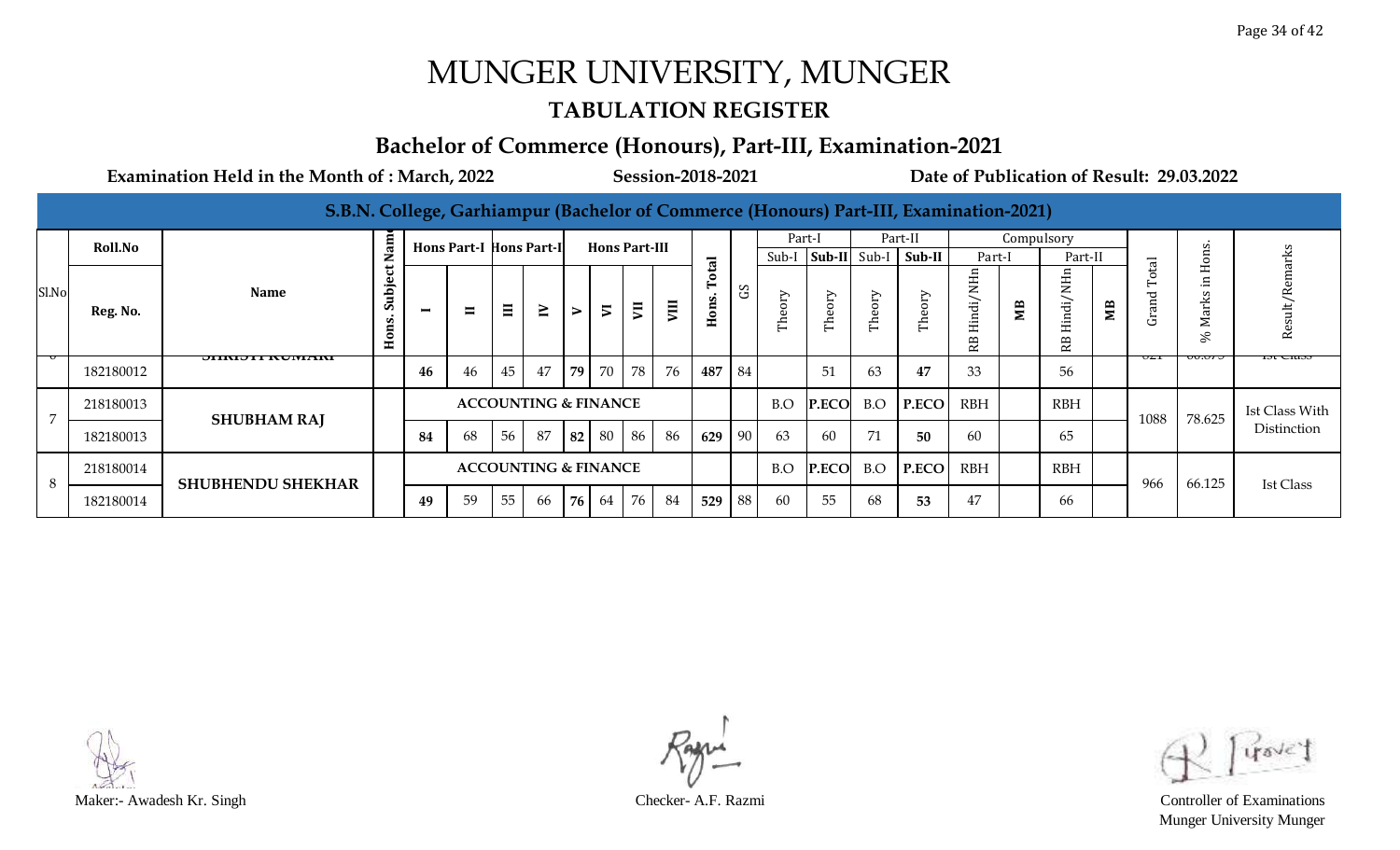#### **TABULATION REGISTER**

#### **Bachelor of Commerce (Honours), Part-III, Examination-2021**

|  |  | [S.B.N. College, Garhiampur (Bachelor of Commerce (Honours) Part-III, Examination-2021) |
|--|--|-----------------------------------------------------------------------------------------|
|  |  |                                                                                         |

|       | <b>Roll.No</b> |                          | am<br>z                         |                          | <b>Hons Part-I Hons Part-I</b> |          |                                 |    | <b>Hons Part-III</b> |       |      |                                        |                  | Part-I<br>Sub-I                 | Sub-II Sub-I     |           | Part-II<br>Sub-II                   | Part-I                               | Compulsory | Part-II          |    |                                             | S<br>$\mathfrak{g}$                                     | 군                |
|-------|----------------|--------------------------|---------------------------------|--------------------------|--------------------------------|----------|---------------------------------|----|----------------------|-------|------|----------------------------------------|------------------|---------------------------------|------------------|-----------|-------------------------------------|--------------------------------------|------------|------------------|----|---------------------------------------------|---------------------------------------------------------|------------------|
| Sl.No | Reg. No.       | Name                     | ت<br>Ò,<br>ns<br>$\blacksquare$ | $\overline{\phantom{0}}$ | $\blacksquare$                 | $\equiv$ | $\geq$                          | ⋗  | $\overline{5}$       | ξĪ    | VIII | $\mathbf{E}$<br>ons.<br>$\blacksquare$ | S                | ➢<br>5<br>$\mathbf \sigma$<br>É | ➢<br>Theor       | eory<br>É | <b>AIO</b><br>$\mathbf \omega$<br>É | H.<br>z<br>di/<br>Hin<br>R<br>$\sim$ | MВ         | ₽<br>Hindi/<br>Æ | MВ | $\overline{a}$<br>ō<br>'n<br>$\sigma$<br>යි | $\mathbf{r}$<br>$\blacksquare$<br>._<br>S<br>Mark<br>S, | <b>Res</b>       |
|       | 182180012      | <b>JIINIJII NUMIAINI</b> |                                 | 46                       | 46                             | 45       | 47                              | 79 |                      | 70 78 | 76   | 487                                    | l 84             |                                 | 51               | 63        | 47                                  | 33                                   |            | 56               |    | பட                                          | $\sigma\sigma\sigma\sigma$                              | 751 CIA5         |
|       | 218180013      | <b>SHUBHAM RAJ</b>       |                                 |                          |                                |          | <b>ACCOUNTING &amp; FINANCE</b> |    |                      |       |      |                                        |                  | B.O                             | <b>P.ECO</b> B.O |           | P.ECO                               | <b>RBH</b>                           |            | <b>RBH</b>       |    | 1088                                        | 78.625                                                  | Ist Class With   |
|       | 182180013      |                          |                                 | 84                       | 68                             | 56       | 87                              | 82 | 80                   | 86    | 86   | 629                                    | 190 <sub>1</sub> | 63                              | 60               | 71        | 50                                  | 60                                   |            | 65               |    |                                             |                                                         | Distinction      |
|       | 218180014      | <b>SHUBHENDU SHEKHAR</b> |                                 |                          |                                |          | <b>ACCOUNTING &amp; FINANCE</b> |    |                      |       |      |                                        |                  | B.O                             | P.ECO            |           | B.O P.ECO                           | <b>RBH</b>                           |            | <b>RBH</b>       |    | 966                                         | 66.125                                                  | <b>Ist Class</b> |
| 8     | 182180014      |                          |                                 | 49                       | 59                             | 55       | 66                              | 76 | 64                   | 76    | 84   | 529                                    | 88               | 60                              | 55               | 68        | 53                                  | 47                                   |            | 66               |    |                                             |                                                         |                  |



Munger University Munger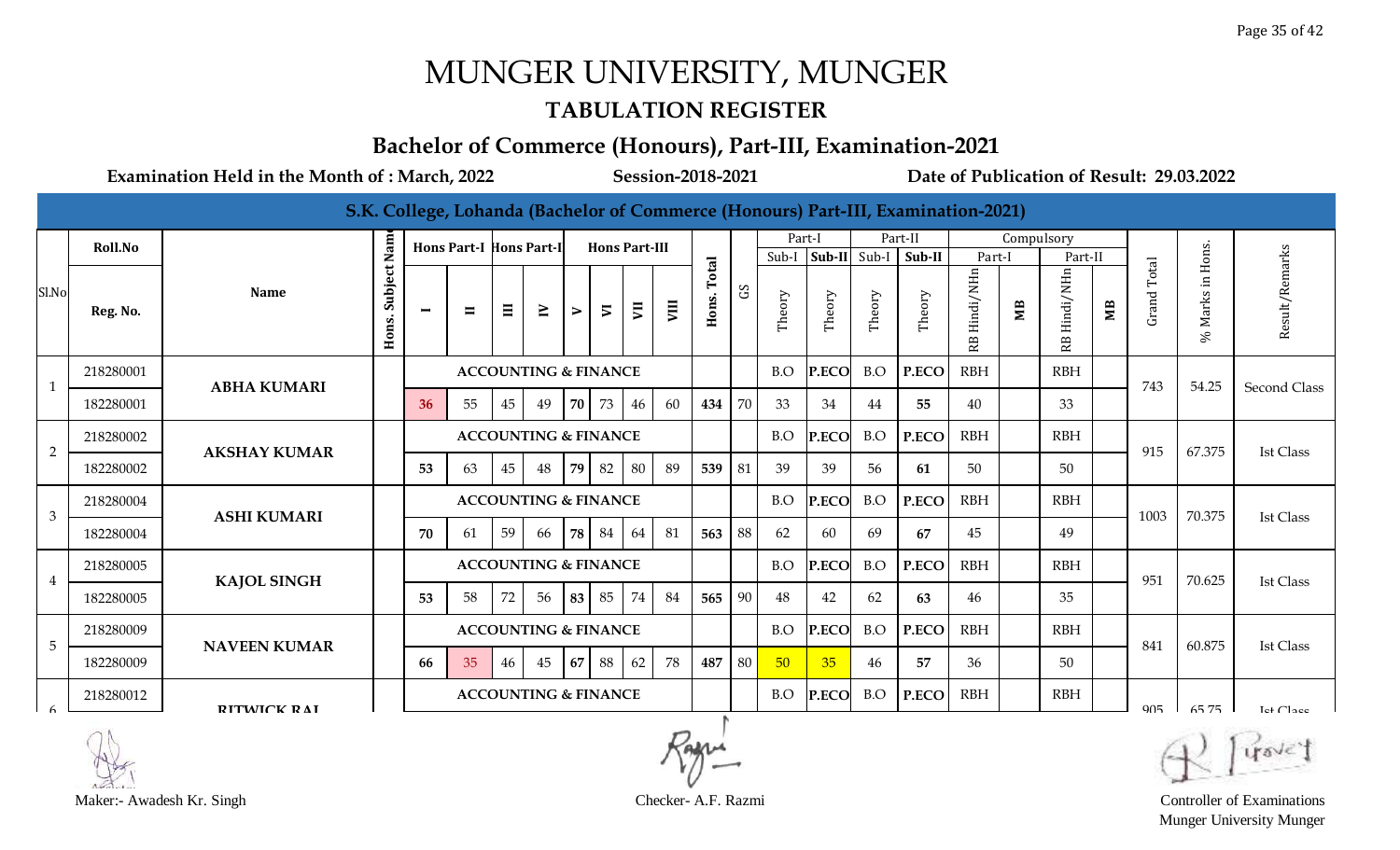#### **TABULATION REGISTER**

#### **Bachelor of Commerce (Honours), Part-III, Examination-2021**

|                 |           |                     |             |                |                                |                                 |                                 |                  |                      |    |      |       |              |        |        |        | S.K. College, Lohanda (Bachelor of Commerce (Honours) Part-III, Examination-2021) |                     |            |                      |                        |                    |                  |                       |
|-----------------|-----------|---------------------|-------------|----------------|--------------------------------|---------------------------------|---------------------------------|------------------|----------------------|----|------|-------|--------------|--------|--------|--------|-----------------------------------------------------------------------------------|---------------------|------------|----------------------|------------------------|--------------------|------------------|-----------------------|
|                 | Roll.No   |                     |             |                | <b>Hons Part-I Hons Part-I</b> |                                 |                                 |                  | <b>Hons Part-III</b> |    |      |       |              | Part-I |        |        | Part-II                                                                           |                     | Compulsory |                      |                        |                    |                  |                       |
| Sl.No           |           | <b>Name</b>         | Subject Nam |                |                                |                                 |                                 |                  |                      |    |      | Total | $\mathbf{S}$ | Sub-I  | Sub-II | Sub-I  | Sub-II                                                                            | Part-I<br>Hindi/NHn |            | Part-II<br>Hindi/NHn |                        | Total              | Marks in Hons.   | Result/Remarks        |
|                 | Reg. No.  |                     | Hons.       | $\blacksquare$ | $\blacksquare$                 | $\equiv$                        | $\geq$                          | $\triangleright$ | $\overline{v}$       | JΠ | VIII | Hons. |              | Theory | Theory | Theory | Theory                                                                            | RB                  | MВ         | RB                   | $\overline{\text{MB}}$ | Grand <sup>-</sup> | S,               |                       |
| $\mathbf{1}$    | 218280001 | <b>ABHA KUMARI</b>  |             |                |                                |                                 | <b>ACCOUNTING &amp; FINANCE</b> |                  |                      |    |      |       |              | B.O    | P.ECO  | B.O    | P.ECO                                                                             | <b>RBH</b>          |            | <b>RBH</b>           |                        | 743                | 54.25            | Second Class          |
|                 | 182280001 |                     |             | 36             | 55                             | 45                              | 49                              | <b>70</b>        | 73                   | 46 | 60   | 434   | 70           | 33     | 34     | 44     | 55                                                                                | 40                  |            | 33                   |                        |                    |                  |                       |
| $\overline{2}$  | 218280002 | <b>AKSHAY KUMAR</b> |             |                |                                |                                 | <b>ACCOUNTING &amp; FINANCE</b> |                  |                      |    |      |       |              | B.O    | P.ECO  | B.O    | P.ECO                                                                             | <b>RBH</b>          |            | <b>RBH</b>           |                        | 915                | 67.375           | <b>Ist Class</b>      |
|                 | 182280002 |                     |             | 53             | 63                             | 45                              | 48                              | 79               | 82                   | 80 | -89  | 539   | 81           | 39     | -39    | 56     | 61                                                                                | 50                  |            | 50                   |                        |                    |                  |                       |
| $\mathbf{3}$    | 218280004 |                     |             |                |                                |                                 | <b>ACCOUNTING &amp; FINANCE</b> |                  |                      |    |      |       |              | B.O    | P.ECO  | B.O    | P.ECO                                                                             | <b>RBH</b>          |            | <b>RBH</b>           |                        | 1003               | 70.375           |                       |
|                 | 182280004 | <b>ASHI KUMARI</b>  |             | 70             | 61                             | 59                              | 66                              | 78               | 84                   | 64 | 81   | 563   | 88           | 62     | -60    | 69     | 67                                                                                | 45                  |            | 49                   |                        |                    |                  | <b>Ist Class</b>      |
| $\overline{4}$  | 218280005 |                     |             |                |                                |                                 | <b>ACCOUNTING &amp; FINANCE</b> |                  |                      |    |      |       |              | B.O    | P.ECO  | B.O    | P.ECO                                                                             | <b>RBH</b>          |            | <b>RBH</b>           |                        | 951                | 70.625           | <b>Ist Class</b>      |
|                 | 182280005 | <b>KAJOL SINGH</b>  |             | 53             | 58                             | 72                              | 56                              | 83               | 85                   | 74 | 84   | 565   | 90           | 48     | 42     | 62     | 63                                                                                | 46                  |            | 35                   |                        |                    |                  |                       |
| $5\phantom{.0}$ | 218280009 | <b>NAVEEN KUMAR</b> |             |                |                                | <b>ACCOUNTING &amp; FINANCE</b> |                                 |                  |                      |    |      |       | B.O          | P.ECO  | B.O    | P.ECO  | <b>RBH</b>                                                                        |                     | <b>RBH</b> |                      | 841                    | 60.875             | <b>Ist Class</b> |                       |
|                 | 182280009 |                     |             | 66             | 35                             | 46                              | 45                              | 67               | 88                   | 62 | 78   | 487   | -80          | 50     | 35     | 46     | 57                                                                                | 36                  |            | 50                   |                        |                    |                  |                       |
|                 | 218280012 | <b>RITMICK RAI</b>  |             |                |                                |                                 | <b>ACCOUNTING &amp; FINANCE</b> |                  |                      |    |      |       |              | B.O    | P.ECO  | B.O    | P.ECO                                                                             | <b>RBH</b>          |            | <b>RBH</b>           |                        | 905                | 6575             | Let Cl <sub>200</sub> |
|                 |           |                     |             |                |                                |                                 |                                 |                  |                      |    |      |       |              |        |        |        |                                                                                   |                     |            |                      |                        |                    |                  |                       |



Maker:- Awadesh Kr. Singh Checker- A.F. Razmi Controller of Examinations

Munger University Munger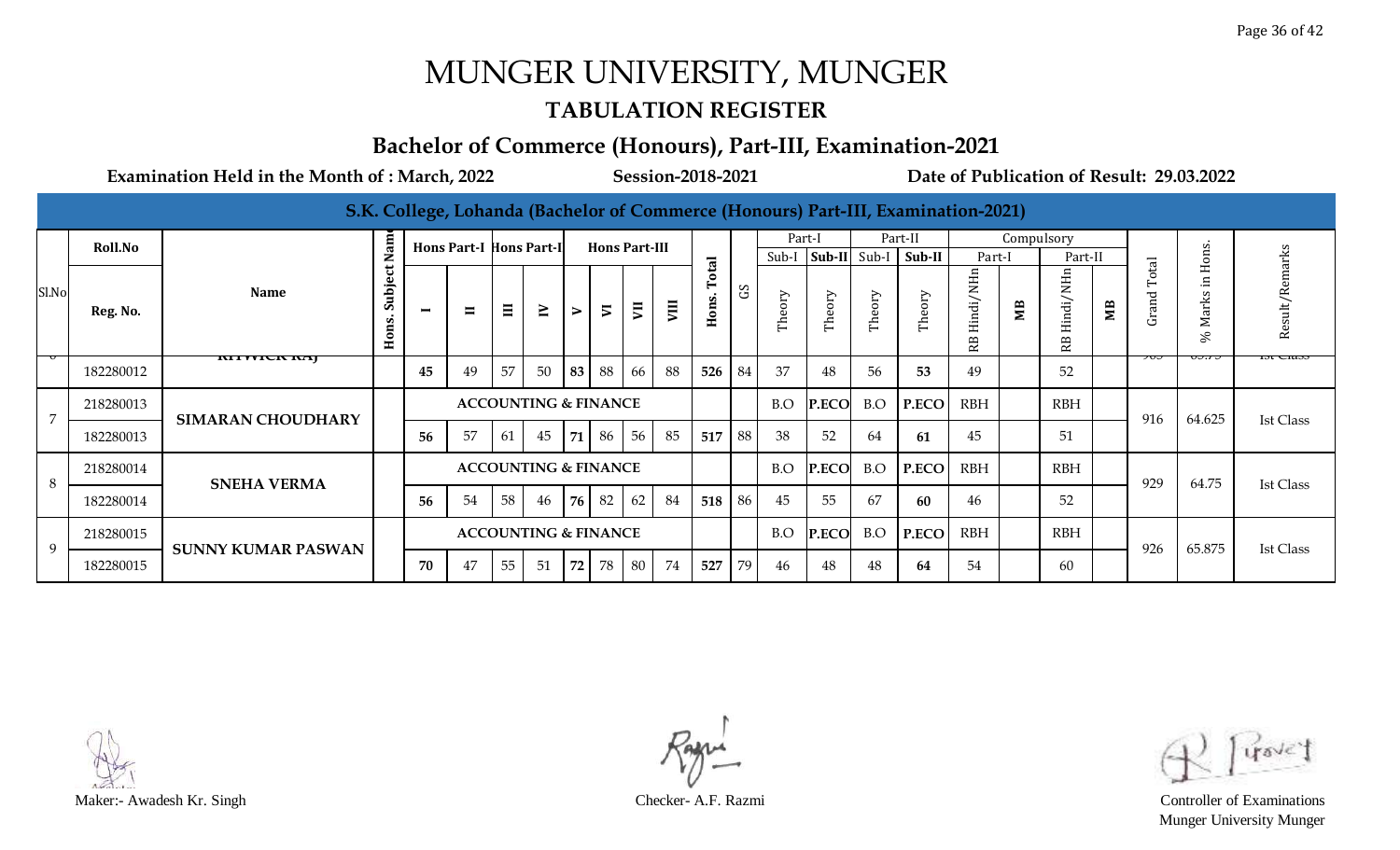#### **TABULATION REGISTER**

#### **Bachelor of Commerce (Honours), Part-III, Examination-2021**

|                |           |                           |                                |                          |                         |          |                                 |    |                          |    |      |                |    |        |              |        | S.K. College, Lohanda (Bachelor of Commerce (Honours) Part-III, Examination-2021) |               |            |                          |    |                |                    |                  |
|----------------|-----------|---------------------------|--------------------------------|--------------------------|-------------------------|----------|---------------------------------|----|--------------------------|----|------|----------------|----|--------|--------------|--------|-----------------------------------------------------------------------------------|---------------|------------|--------------------------|----|----------------|--------------------|------------------|
|                | Roll.No   |                           | am                             |                          | Hons Part-I Hons Part-I |          |                                 |    | <b>Hons Part-III</b>     |    |      |                |    | Part-I |              |        | Part-II                                                                           |               | Compulsory |                          |    |                |                    |                  |
|                |           |                           | z                              |                          |                         |          |                                 |    |                          |    |      |                |    | Sub-I  | Sub-II Sub-I |        | Sub-II                                                                            | Part-I        |            | Part-II                  |    |                | Hons.              |                  |
| Sl.No          | Reg. No.  | <b>Name</b>               | $\mathbf{t}$<br>Subje<br>Hons. | $\overline{\phantom{0}}$ | $\blacksquare$          | $\equiv$ | ≧                               | ⋗  | $\overline{\phantom{0}}$ | Ξ  | VIII | Total<br>Hons. | SC | Theory | Theory       | Theory | Theory                                                                            | Hindi/NH<br>æ | ЯM         | Hindi/NHn<br>$\mathbb R$ | ЯM | Total<br>Grand | Marks<br>%         | Result/Remarks   |
|                | 182280012 | <b>MITTLE NA</b>          |                                | 45                       | 49                      | 57       | 50                              | 83 | 88                       | 66 | 88   | 526            | 84 | 37     | 48           | 56     | 53                                                                                | 49            |            | 52                       |    |                | J <del>u</del> . T | 151 CIAS:        |
| $\overline{7}$ | 218280013 | <b>SIMARAN CHOUDHARY</b>  |                                |                          |                         |          | <b>ACCOUNTING &amp; FINANCE</b> |    |                          |    |      |                |    | B.O    | P.ECO        | B.O    | P.ECO                                                                             | <b>RBH</b>    |            | <b>RBH</b>               |    | 916            | 64.625             | <b>Ist Class</b> |
|                | 182280013 |                           |                                | 56                       | 57                      | 61       | 45                              | 71 | 86                       | 56 | 85   | 517            | 88 | 38     | 52           | 64     | 61                                                                                | 45            |            | 51                       |    |                |                    |                  |
| 8              | 218280014 | <b>SNEHA VERMA</b>        |                                |                          |                         |          | <b>ACCOUNTING &amp; FINANCE</b> |    |                          |    |      |                |    | B.O    | P.ECO        | B.O    | P.ECO                                                                             | <b>RBH</b>    |            | <b>RBH</b>               |    | 929            | 64.75              | <b>Ist Class</b> |
|                | 182280014 |                           |                                | 56                       | 54                      | 58       | 46                              | 76 | 82                       | 62 | 84   | 518            | 86 | 45     | 55           | 67     | -60                                                                               | 46            |            | 52                       |    |                |                    |                  |
| 9              | 218280015 | <b>SUNNY KUMAR PASWAN</b> |                                |                          |                         |          | <b>ACCOUNTING &amp; FINANCE</b> |    |                          |    |      |                |    | B.O    | P.ECO        | B.O    | P.ECO                                                                             | <b>RBH</b>    |            | <b>RBH</b>               |    | 926            | 65.875             | <b>Ist Class</b> |
|                | 182280015 |                           |                                | 70                       | 47                      | 55       | 51                              | 72 | 78                       | 80 | 74   | 527            | 79 | 46     | 48           | 48     | 64                                                                                | 54            |            | 60                       |    |                |                    |                  |



Munger University Munger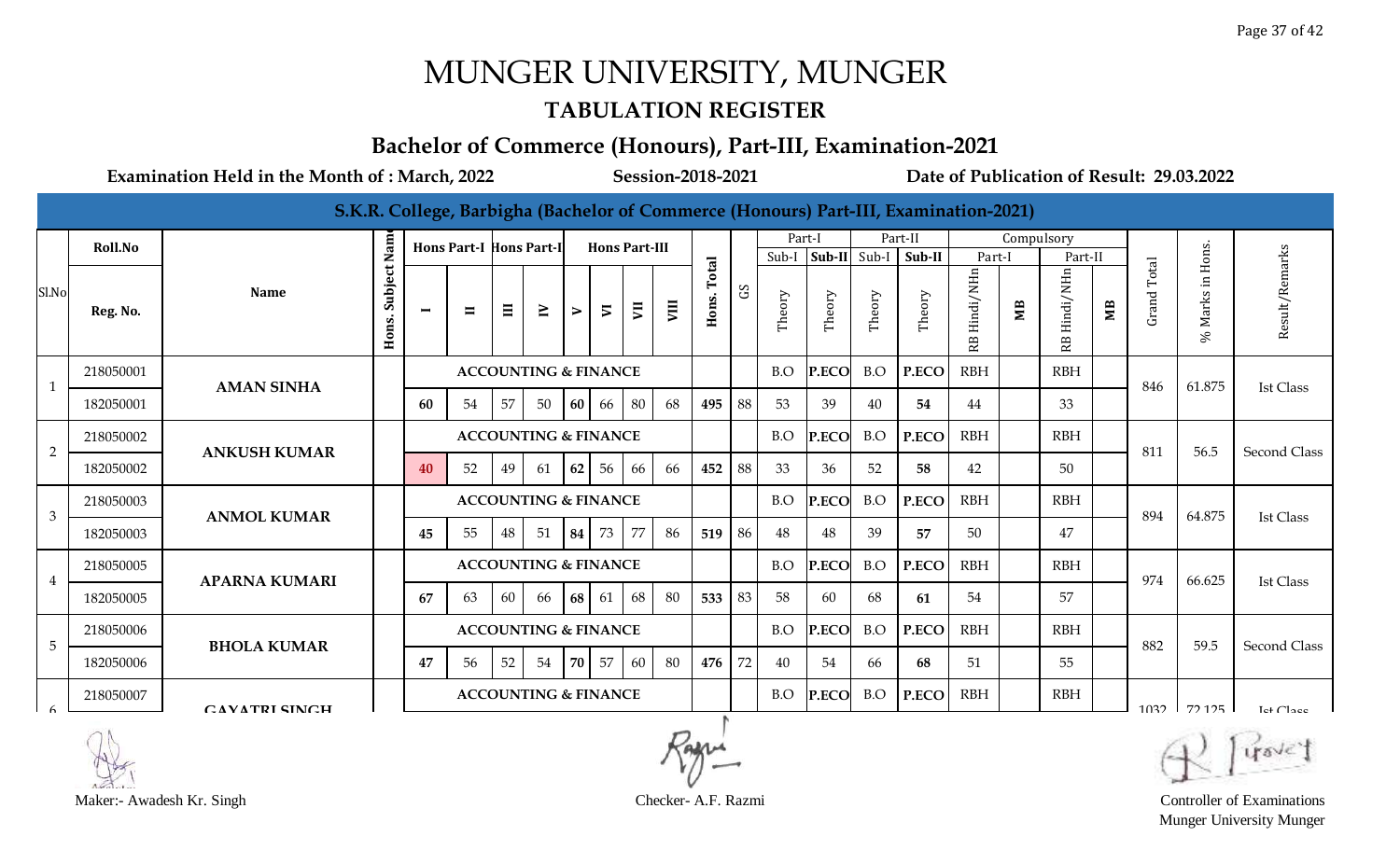#### **TABULATION REGISTER**

#### **Bachelor of Commerce (Honours), Part-III, Examination-2021**

**Examination Held in the Month of : March, 2022 Session-2018-2021 Date of Publication of Result: 29.03.2022**

|                |           |                      |                  |                          |                                |       |                                 |                       |                          |                          |      |                |              |        |              |        | S.K.R. College, Barbigha (Bachelor of Commerce (Honours) Part-III, Examination-2021) |                 |            |                             |    |             |                      |                       |
|----------------|-----------|----------------------|------------------|--------------------------|--------------------------------|-------|---------------------------------|-----------------------|--------------------------|--------------------------|------|----------------|--------------|--------|--------------|--------|--------------------------------------------------------------------------------------|-----------------|------------|-----------------------------|----|-------------|----------------------|-----------------------|
|                | Roll.No   |                      | Nam              |                          | <b>Hons Part-I Hons Part-I</b> |       |                                 |                       | <b>Hons Part-III</b>     |                          |      |                |              | Part-I |              |        | Part-II                                                                              |                 | Compulsory |                             |    |             |                      |                       |
|                |           |                      |                  |                          |                                |       |                                 |                       |                          |                          |      |                |              | Sub-I  | Sub-II Sub-I |        | Sub-II                                                                               | Part-I          |            | Part-Il                     |    |             |                      |                       |
| Sl.No          | Reg. No.  | <b>Name</b>          | Subject<br>Hons. | $\overline{\phantom{0}}$ | $\blacksquare$                 | $\Xi$ | $\geq$                          | $\blacktriangleright$ | $\overline{\phantom{a}}$ | $\overline{\phantom{0}}$ | VIII | Total<br>Hons. | $\mathbf{S}$ | Theory | Theory       | Theory | Theory                                                                               | Hindi/NHn<br>RB | MВ         | Hindi/NHn<br>R <sub>B</sub> | МB | Grand Total | Marks in Hons.<br>Se | Result/Remarks        |
| $\mathbf{1}$   | 218050001 | <b>AMAN SINHA</b>    |                  |                          |                                |       | <b>ACCOUNTING &amp; FINANCE</b> |                       |                          |                          |      |                |              | B.O    | P.ECO        | B.O    | P.ECO                                                                                | <b>RBH</b>      |            | <b>RBH</b>                  |    | 846         | 61.875               | <b>Ist Class</b>      |
|                | 182050001 |                      |                  | 60                       | 54                             | 57    | 50                              | 60                    | 66                       | 80                       | 68   | 495            | 88           | 53     | 39           | 40     | 54                                                                                   | 44              |            | 33                          |    |             |                      |                       |
| 2              | 218050002 | <b>ANKUSH KUMAR</b>  |                  |                          |                                |       | <b>ACCOUNTING &amp; FINANCE</b> |                       |                          |                          |      |                |              | B.O    | P.ECO        | B.O    | P.ECO                                                                                | <b>RBH</b>      |            | <b>RBH</b>                  |    | 811         | 56.5                 | <b>Second Class</b>   |
|                | 182050002 |                      |                  | 40                       | 52                             | 49    | 61                              | 62                    | 56                       | 66                       | 66   | 452            | 88           | 33     | 36           | 52     | 58                                                                                   | 42              |            | 50                          |    |             |                      |                       |
| $\mathfrak{Z}$ | 218050003 |                      |                  |                          |                                |       | <b>ACCOUNTING &amp; FINANCE</b> |                       |                          |                          |      |                |              | B.O    | P.ECO        | B.O    | P.ECO                                                                                | <b>RBH</b>      |            | <b>RBH</b>                  |    | 894         | 64.875               |                       |
|                | 182050003 | <b>ANMOL KUMAR</b>   |                  | 45                       | 55                             | 48    | 51                              | 84                    | 73                       | 77                       | -86  | 519            | 86           | 48     | 48           | 39     | 57                                                                                   | 50              |            | 47                          |    |             |                      | <b>Ist Class</b>      |
| $\overline{4}$ | 218050005 | <b>APARNA KUMARI</b> |                  |                          |                                |       | <b>ACCOUNTING &amp; FINANCE</b> |                       |                          |                          |      |                |              | B.O    | P.ECO        | B.O    | P.ECO                                                                                | <b>RBH</b>      |            | <b>RBH</b>                  |    | 974         | 66.625               | <b>Ist Class</b>      |
|                | 182050005 |                      |                  | 67                       | 63                             | 60    | 66                              | <b>68</b>             | 61                       | 68                       | 80   | 533            | 83           | 58     | 60           | 68     | 61                                                                                   | 54              |            | 57                          |    |             |                      |                       |
| 5              | 218050006 | <b>BHOLA KUMAR</b>   |                  |                          |                                |       | <b>ACCOUNTING &amp; FINANCE</b> |                       |                          |                          |      |                |              | B.O    | P.ECO        | B.O    | P.ECO                                                                                | <b>RBH</b>      |            | <b>RBH</b>                  |    | 882         | 59.5                 | Second Class          |
|                | 182050006 |                      |                  | 47                       | 56                             | 52    | 54                              | 70 l                  | 57                       | 60                       | -80  | 476            | 72           | 40     | 54           | 66     | 68                                                                                   | 51              |            | 55                          |    |             |                      |                       |
|                | 218050007 | <b>CAVATRI SINCH</b> |                  |                          |                                |       | <b>ACCOUNTING &amp; FINANCE</b> |                       |                          |                          |      |                |              | B.O    | P.ECO        | B.O    | P.ECO                                                                                | <b>RBH</b>      |            | <b>RBH</b>                  |    | 1032        | 72125                | Let Cl <sub>200</sub> |



Munger University Munger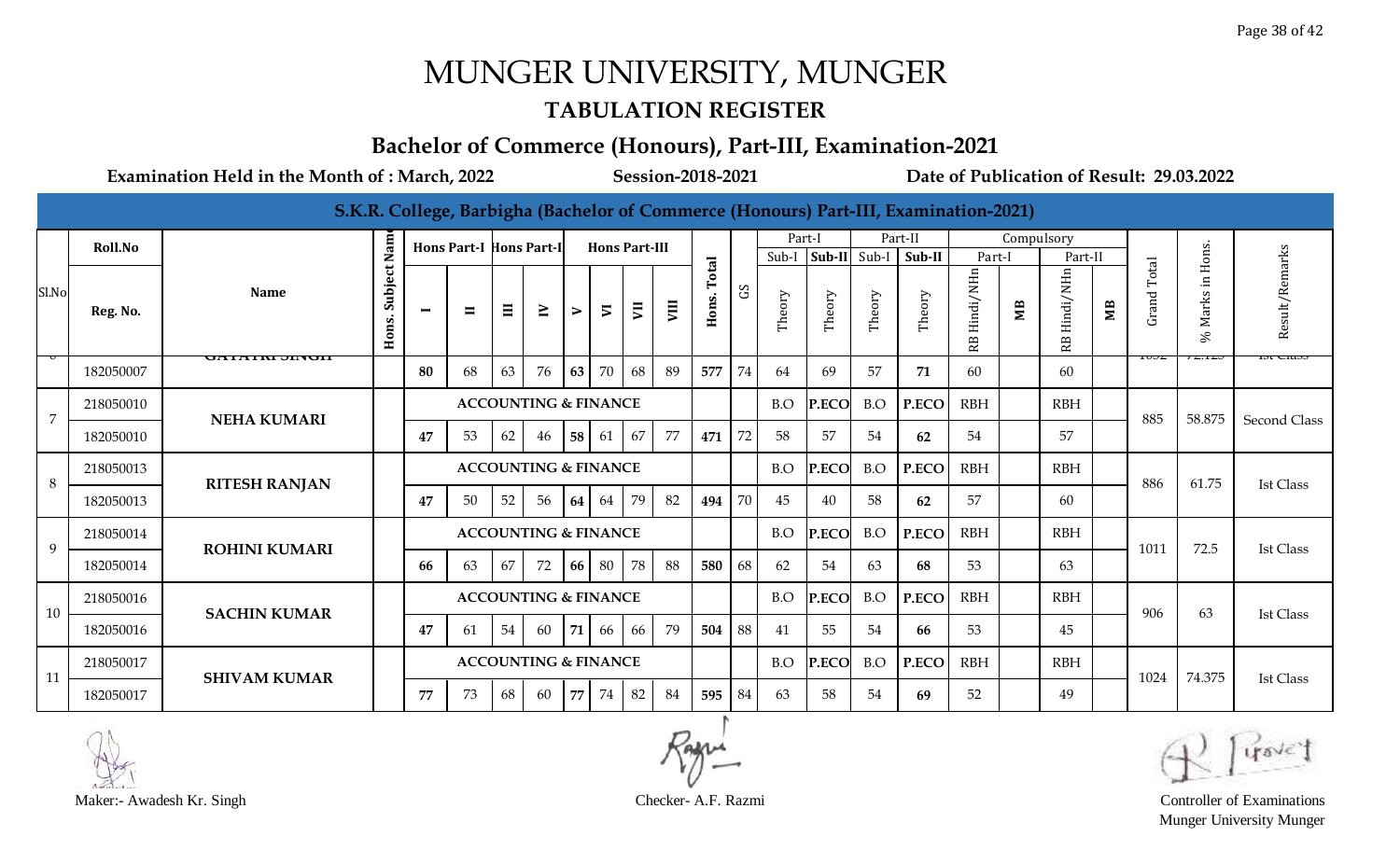#### **TABULATION REGISTER**

#### **Bachelor of Commerce (Honours), Part-III, Examination-2021**

|                |                |                      |                      |    |                                 |          |                                 |    |                          |    |      |       |                                 |        |              |        | S.K.R. College, Barbigha (Bachelor of Commerce (Honours) Part-III, Examination-2021) |                 |            |                 |   |       |                                 |                  |
|----------------|----------------|----------------------|----------------------|----|---------------------------------|----------|---------------------------------|----|--------------------------|----|------|-------|---------------------------------|--------|--------------|--------|--------------------------------------------------------------------------------------|-----------------|------------|-----------------|---|-------|---------------------------------|------------------|
|                | <b>Roll.No</b> |                      |                      |    | <b>Hons Part-I Hons Part-I</b>  |          |                                 |    | <b>Hons Part-III</b>     |    |      |       |                                 | Part-I |              |        | Part-II                                                                              |                 | Compulsory |                 |   |       |                                 |                  |
|                |                |                      |                      |    |                                 |          |                                 |    |                          |    |      | Total |                                 | Sub-I  | Sub-II Sub-I |        | Sub-II                                                                               | Part-I          |            | Part-II         |   | Total | Hons.                           |                  |
| Sl.No          | Reg. No.       | <b>Name</b>          | Subject Nam<br>Hons. | −  | $\blacksquare$                  | $\equiv$ | $\geq$                          | ⋗  | $\overline{\phantom{0}}$ | ξ  | VIII | Hons. | $\mathop{\mathrm{SO}}\nolimits$ | Theory | Theory       | Theory | Theory                                                                               | Hindi/NHn<br>RB | МB         | Hindi/NHn<br>RB | Щ | Grand | $\Xi$<br>Marks<br>S,            | Result/Remarks   |
|                | 182050007      | <b>JAHAIM JINGH</b>  |                      | 80 | 68                              | 63       | 76                              | 63 | 70                       | 68 | 89   | 577   | 74                              | 64     | 69           | 57     | 71                                                                                   | 60              |            | 60              |   | 10JZ  | $\overline{L}$ , $\overline{L}$ | 151 CIA35        |
| $\overline{7}$ | 218050010      | <b>NEHA KUMARI</b>   |                      |    |                                 |          | <b>ACCOUNTING &amp; FINANCE</b> |    |                          |    |      |       |                                 | B.O    | P.ECO        | B.O    | P.ECO                                                                                | <b>RBH</b>      |            | <b>RBH</b>      |   | 885   | 58.875                          | Second Class     |
|                | 182050010      |                      |                      | 47 | 53                              | 62       | 46                              | 58 | 61                       | 67 | 77   | 471   | 72                              | 58     | 57           | 54     | 62                                                                                   | 54              |            | 57              |   |       |                                 |                  |
| 8              | 218050013      | <b>RITESH RANJAN</b> |                      |    |                                 |          | <b>ACCOUNTING &amp; FINANCE</b> |    |                          |    |      |       |                                 | B.O    | P.ECO        | B.O    | P.ECO                                                                                | <b>RBH</b>      |            | <b>RBH</b>      |   | 886   | 61.75                           | <b>Ist Class</b> |
|                | 182050013      |                      |                      | 47 | 50                              | 52       | 56                              | 64 | 64                       | 79 | 82   | 494   | 70                              | 45     | 40           | 58     | 62                                                                                   | 57              |            | 60              |   |       |                                 |                  |
| 9              | 218050014      | <b>ROHINI KUMARI</b> |                      |    |                                 |          | <b>ACCOUNTING &amp; FINANCE</b> |    |                          |    |      |       |                                 | B.O    | P.ECO        | B.O    | P.ECO                                                                                | <b>RBH</b>      |            | <b>RBH</b>      |   | 1011  | 72.5                            | <b>Ist Class</b> |
|                | 182050014      |                      |                      | 66 | 63                              | 67       | 72                              | 66 | 80                       | 78 | 88   | 580   | 68                              | 62     | 54           | 63     | 68                                                                                   | 53              |            | 63              |   |       |                                 |                  |
| 10             | 218050016      | <b>SACHIN KUMAR</b>  |                      |    | <b>ACCOUNTING &amp; FINANCE</b> |          |                                 |    |                          |    |      |       |                                 | B.O    | P.ECO        | B.O    | P.ECO                                                                                | <b>RBH</b>      |            | <b>RBH</b>      |   | 906   | 63                              | <b>Ist Class</b> |
|                | 182050016      |                      |                      | 47 | 61                              | 54       | 60                              | 71 | 66                       | 66 | 79   | 504   | 88                              | 41     | 55           | 54     | 66                                                                                   | 53              |            | 45              |   |       |                                 |                  |
| 11             | 218050017      | <b>SHIVAM KUMAR</b>  |                      |    |                                 |          | <b>ACCOUNTING &amp; FINANCE</b> |    |                          |    |      |       |                                 | B.O    | P.ECO        | B.O    | P.ECO                                                                                | <b>RBH</b>      |            | <b>RBH</b>      |   | 1024  | 74.375                          | <b>Ist Class</b> |
|                | 182050017      |                      |                      | 77 | 73                              | 68       | 60                              | 77 | 74                       | 82 | 84   | 595   | 84                              | 63     | 58           | 54     | 69                                                                                   | 52              |            | 49              |   |       |                                 |                  |



Maker:- Awadesh Kr. Singh Checker- A.F. Razmi Controller of Examinations Munger University Munger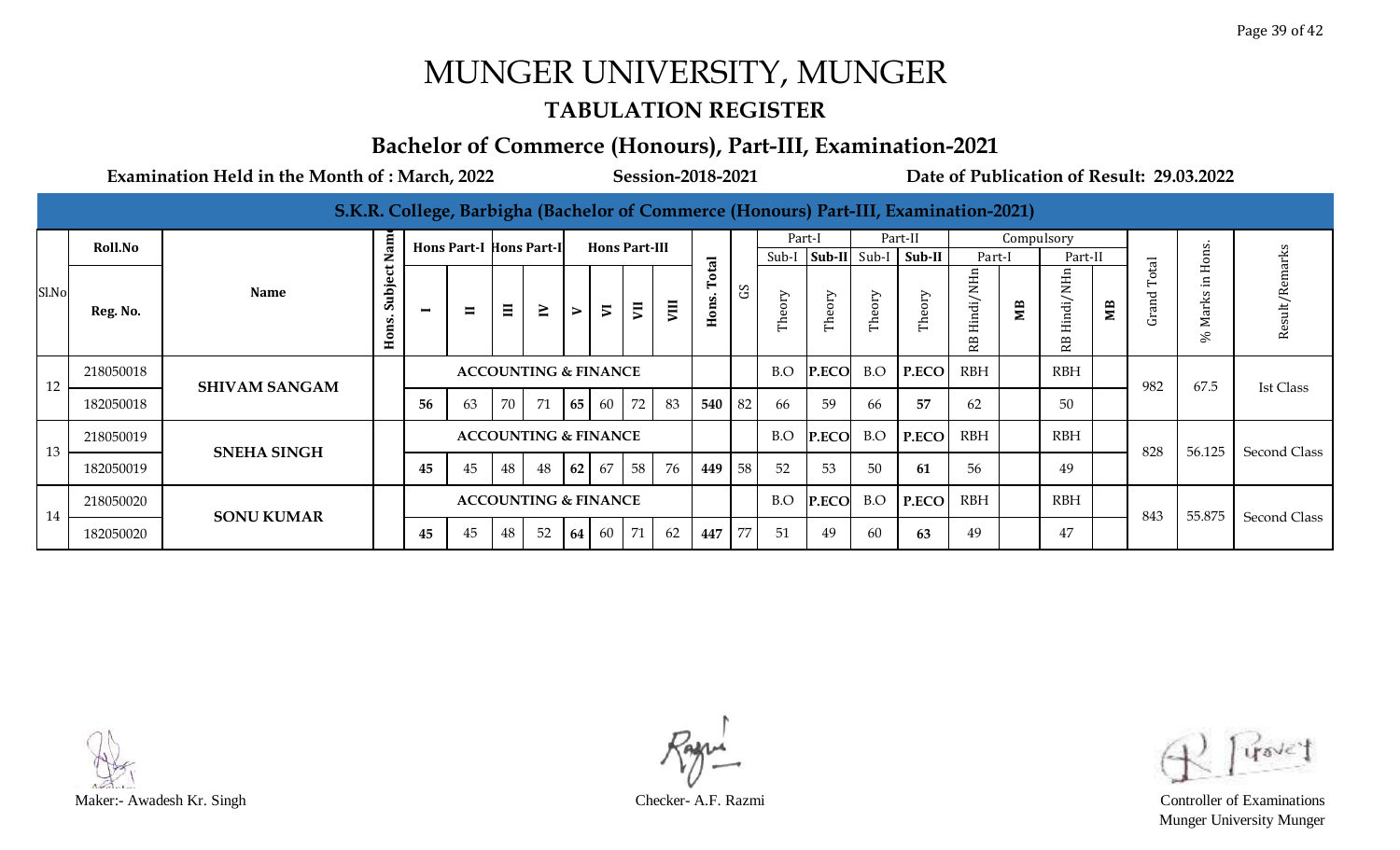#### **TABULATION REGISTER**

#### **Bachelor of Commerce (Honours), Part-III, Examination-2021**

|       |                |                      |                  |                          |                                 |    |                                 |        |                |                      |      |                                |             |        |              |        | S.K.R. College, Barbigha (Bachelor of Commerce (Honours) Part-III, Examination-2021) |                 |            |                |    |                       |                      |                |
|-------|----------------|----------------------|------------------|--------------------------|---------------------------------|----|---------------------------------|--------|----------------|----------------------|------|--------------------------------|-------------|--------|--------------|--------|--------------------------------------------------------------------------------------|-----------------|------------|----------------|----|-----------------------|----------------------|----------------|
|       | <b>Roll.No</b> |                      | $\mathbf{a}$     |                          | <b>Hons Part-I Hons Part-I</b>  |    |                                 |        |                | <b>Hons Part-III</b> |      |                                |             | Part-I |              |        | Part-II                                                                              |                 | Compulsory |                |    |                       |                      |                |
|       |                |                      | z                |                          |                                 |    |                                 |        |                |                      |      |                                |             | Sub-I  | Sub-II Sub-I |        | Sub-II                                                                               | Part-I          |            | Part-II        |    | $\overline{\text{B}}$ | ns.                  |                |
| Sl.No | Reg. No.       | <b>Name</b>          | Subject<br>Hons. | $\overline{\phantom{0}}$ | $\blacksquare$                  | Ξ  | $\geq$                          | $\geq$ | $\overline{5}$ | 買                    | VIII | otal<br>ons.<br>$\blacksquare$ | $_{\rm 5D}$ | Theory | Theory       | Theory | Theory                                                                               | Hindi/NHn<br>RB | МB         | Hindi/NH<br>RB | ЯM | ЪÒ<br>Grand           | ark<br>∑<br>$\aleph$ | Result/Remarks |
| 12    | 218050018      | <b>SHIVAM SANGAM</b> |                  |                          |                                 |    | <b>ACCOUNTING &amp; FINANCE</b> |        |                |                      |      |                                |             | B.O    | P.ECO        | B.O    | P.ECO                                                                                | <b>RBH</b>      |            | <b>RBH</b>     |    | 982                   | 67.5                 | Ist Class      |
|       | 182050018      |                      |                  | 56                       | 63                              | 70 | 71                              | 65     | 60             | 72                   | 83   | 540                            | 82          | 66     | 59           | 66     | 57                                                                                   | 62              |            | 50             |    |                       |                      |                |
| 13    | 218050019      | <b>SNEHA SINGH</b>   |                  |                          | <b>ACCOUNTING &amp; FINANCE</b> |    |                                 |        |                |                      |      |                                |             | B.O    | P.ECO        | B.O    | P.ECO                                                                                | <b>RBH</b>      |            | <b>RBH</b>     |    | 828                   | 56.125               | Second Class   |
|       | 182050019      |                      |                  | 45                       | 45                              | 48 | 48                              | 62     | 67             | 58                   | 76   | 449                            | 58          | 52     | 53           | 50     | 61                                                                                   | 56              |            | 49             |    |                       |                      |                |
| 14    | 218050020      |                      |                  |                          |                                 |    | <b>ACCOUNTING &amp; FINANCE</b> |        |                |                      |      |                                |             | B.O    | P.ECO        | B.O    | P.ECO                                                                                | <b>RBH</b>      |            | <b>RBH</b>     |    | 843                   | 55.875               |                |
|       | 182050020      | <b>SONU KUMAR</b>    |                  | 45                       | 45                              | 48 | 52                              | 64     | 60             | 71                   | 62   | 447                            | 77          | 51     | 49           | 60     | 63                                                                                   | 49              |            | 47             |    |                       |                      | Second Class   |



Munger University Munger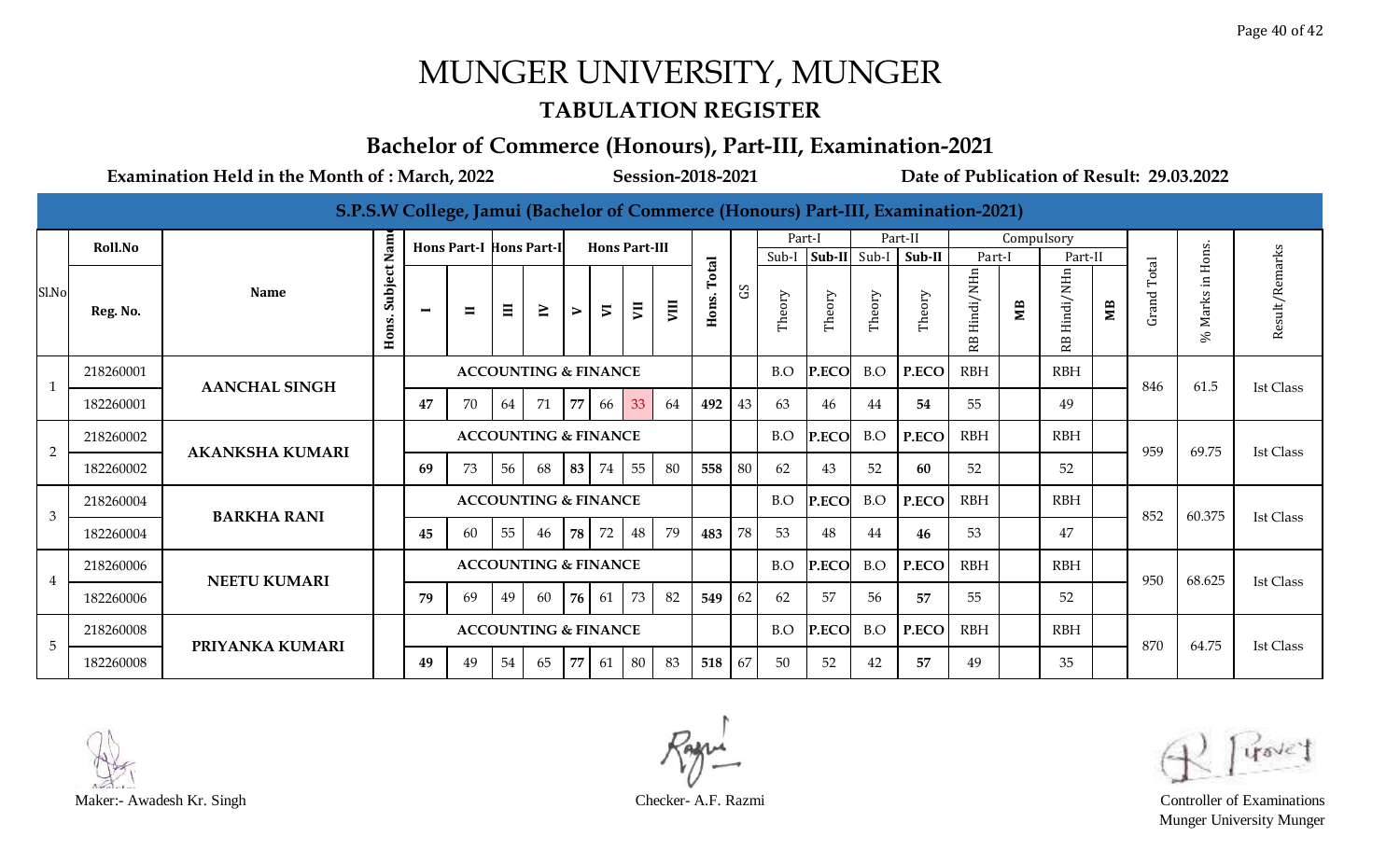#### **TABULATION REGISTER**

#### **Bachelor of Commerce (Honours), Part-III, Examination-2021**

|                |           |                        |                  |                          |                                |          |                                 |                  |                      |    |      |            |                        |        |        |        | S.P.S.W College, Jamui (Bachelor of Commerce (Honours) Part-III, Examination-2021) |                 |            |                       |    |                |                      |                  |
|----------------|-----------|------------------------|------------------|--------------------------|--------------------------------|----------|---------------------------------|------------------|----------------------|----|------|------------|------------------------|--------|--------|--------|------------------------------------------------------------------------------------|-----------------|------------|-----------------------|----|----------------|----------------------|------------------|
|                | Roll.No   |                        | Nam              |                          | <b>Hons Part-I Hons Part-I</b> |          |                                 |                  | <b>Hons Part-III</b> |    |      |            |                        | Part-I |        |        | Part-II                                                                            |                 | Compulsory |                       |    |                |                      |                  |
|                |           |                        |                  |                          |                                |          |                                 |                  |                      |    |      | otal       |                        | Sub-I  | Sub-II | Sub-I  | Sub-II                                                                             | Part-I          |            | Part-II               |    |                | Hons.                |                  |
| Sl.No          | Reg. No.  | <b>Name</b>            | Subject<br>Hons. | $\overline{\phantom{0}}$ | $\blacksquare$                 | $\equiv$ | $\geq$                          | $\triangleright$ | $\overline{v}$       | ξ  | VIII | E<br>Hons. | $\mathop{\mathrm{SO}}$ | Theory | Theory | Theory | Theory                                                                             | Hindi/NHn<br>RB | ЮB         | Hindi/NHn<br><b>段</b> | ЯW | Total<br>Grand | $\Xi$<br>Marks<br>Se | Result/Remarks   |
|                | 218260001 | <b>AANCHAL SINGH</b>   |                  |                          |                                |          | <b>ACCOUNTING &amp; FINANCE</b> |                  |                      |    |      |            |                        | B.O    | P.ECO  | B.O    | P.ECO                                                                              | <b>RBH</b>      |            | <b>RBH</b>            |    | 846            | 61.5                 | <b>Ist Class</b> |
|                | 182260001 |                        |                  | 47                       | 70                             | 64       | 71                              | 77               | 66                   | 33 | 64   | 492        | 43                     | 63     | 46     | 44     | 54                                                                                 | -55             |            | 49                    |    |                |                      |                  |
| $\overline{2}$ | 218260002 | <b>AKANKSHA KUMARI</b> |                  |                          |                                |          | <b>ACCOUNTING &amp; FINANCE</b> |                  |                      |    |      |            |                        | B.O    | P.ECO  | B.O    | P.ECO                                                                              | <b>RBH</b>      |            | <b>RBH</b>            |    | 959            | 69.75                | <b>Ist Class</b> |
|                | 182260002 |                        |                  | 69                       | 73                             | 56       | 68                              | 83               | 74                   | 55 | 80   | 558        | 80                     | 62     | 43     | 52     | 60                                                                                 | 52              |            | 52                    |    |                |                      |                  |
| 3              | 218260004 | <b>BARKHA RANI</b>     |                  |                          |                                |          | <b>ACCOUNTING &amp; FINANCE</b> |                  |                      |    |      |            |                        | B.O    | P.ECO  | B.O    | P.ECO                                                                              | <b>RBH</b>      |            | <b>RBH</b>            |    | 852            | 60.375               | <b>Ist Class</b> |
|                | 182260004 |                        |                  | 45                       | 60                             | 55       | 46                              | 78               | 72                   | 48 | 79   | 483        | 78                     | 53     | 48     | 44     | 46                                                                                 | 53              |            | 47                    |    |                |                      |                  |
| $\overline{4}$ | 218260006 | <b>NEETU KUMARI</b>    |                  |                          |                                |          | <b>ACCOUNTING &amp; FINANCE</b> |                  |                      |    |      |            |                        | B.O    | P.ECO  | B.O    | P.ECO                                                                              | <b>RBH</b>      |            | <b>RBH</b>            |    | 950            | 68.625               | <b>Ist Class</b> |
|                | 182260006 |                        |                  | 79                       | 69                             | 49       | 60                              | 76               | 61                   | 73 | 82   | 549        | 62                     | 62     | 57     | 56     | 57                                                                                 | 55              |            | 52                    |    |                |                      |                  |
| 5              | 218260008 | PRIYANKA KUMARI        |                  |                          |                                |          | <b>ACCOUNTING &amp; FINANCE</b> |                  |                      |    |      |            |                        | B.O    | P.ECO  | B.O    | P.ECO                                                                              | <b>RBH</b>      |            | <b>RBH</b>            |    | 870            | 64.75                | Ist Class        |
|                | 182260008 |                        |                  | 49                       | 49                             | 54       | 65                              | 77               | 61                   | 80 | 83   | 518        | 67                     | 50     | 52     | 42     | 57                                                                                 | 49              |            | 35                    |    |                |                      |                  |



Munger University Munger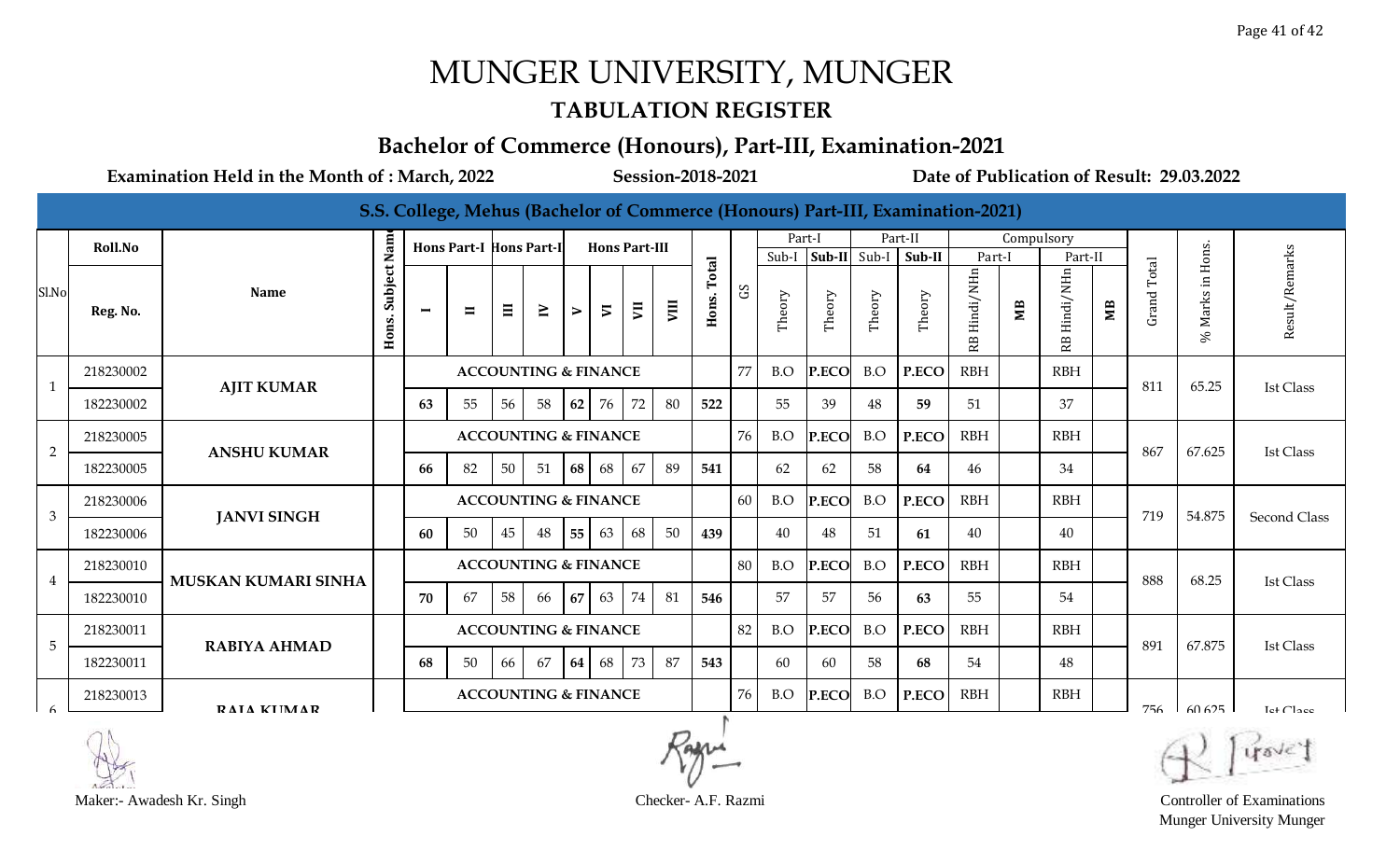#### **TABULATION REGISTER**

### **Bachelor of Commerce (Honours), Part-III, Examination-2021**

**Examination Held in the Month of : March, 2022 Session-2018-2021 Date of Publication of Result: 29.03.2022**

|                 |           |                            |                      |                |                                |                                 |                                 |                       |                          |                      |      |                |                |        |                        |        | S.S. College, Mehus (Bachelor of Commerce (Honours) Part-III, Examination-2021) |                 |            |                 |    |             |                        |                       |
|-----------------|-----------|----------------------------|----------------------|----------------|--------------------------------|---------------------------------|---------------------------------|-----------------------|--------------------------|----------------------|------|----------------|----------------|--------|------------------------|--------|---------------------------------------------------------------------------------|-----------------|------------|-----------------|----|-------------|------------------------|-----------------------|
|                 | Roll.No   |                            |                      |                | <b>Hons Part-I Hons Part-I</b> |                                 |                                 |                       |                          | <b>Hons Part-III</b> |      |                |                | Part-I |                        |        | Part-II                                                                         |                 | Compulsory |                 |    |             |                        |                       |
|                 |           |                            |                      |                |                                |                                 |                                 |                       |                          |                      |      |                |                |        | Sub-I $ Sub-II $ Sub-I |        | Sub-II                                                                          | Part-I          |            | Part-II         |    |             |                        |                       |
| Sl.No           | Reg. No.  | <b>Name</b>                | Subject Nam<br>Hons. | $\blacksquare$ | $\blacksquare$                 | $\Xi$                           | $\geq$                          | $\blacktriangleright$ | $\overline{\phantom{a}}$ | $\overline{y}$       | VIII | Total<br>Hons. | S <sub>D</sub> | Theory | Theory                 | Theory | Theory                                                                          | Hindi/NHn<br>RB | ЯW         | Hindi/NHn<br>RB | МB | Grand Total | Marks in Hons.<br>$\%$ | Result/Remarks        |
| $\mathbf{1}$    | 218230002 | <b>AJIT KUMAR</b>          |                      |                |                                |                                 | <b>ACCOUNTING &amp; FINANCE</b> |                       |                          |                      |      |                | 77             | B.O    | P.ECO                  | B.O    | P.ECO                                                                           | RBH             |            | <b>RBH</b>      |    | 811         | 65.25                  | <b>Ist Class</b>      |
|                 | 182230002 |                            |                      | 63             | 55                             | 56                              | 58                              | 62                    | 76                       | 72                   | 80   | 522            |                | 55     | 39                     | 48     | 59                                                                              | 51              |            | 37              |    |             |                        |                       |
| $\overline{2}$  | 218230005 | <b>ANSHU KUMAR</b>         |                      |                |                                |                                 | <b>ACCOUNTING &amp; FINANCE</b> |                       |                          |                      |      |                | 76             | B.O    | P.ECO                  | B.O    | P.ECO                                                                           | <b>RBH</b>      |            | <b>RBH</b>      |    | 867         | 67.625                 | <b>Ist Class</b>      |
|                 | 182230005 |                            |                      | 66             | 82                             | 50 <sup>1</sup>                 | 51                              | 68                    | 68                       | 67                   | 89   | 541            |                | 62     | 62                     | 58     | 64                                                                              | 46              |            | 34              |    |             |                        |                       |
| 3               | 218230006 | <b>JANVI SINGH</b>         |                      |                |                                |                                 | <b>ACCOUNTING &amp; FINANCE</b> |                       |                          |                      |      |                | 60             | B.O    | P.ECO                  | B.O    | P.ECO                                                                           | <b>RBH</b>      |            | <b>RBH</b>      |    | 719         | 54.875                 | <b>Second Class</b>   |
|                 | 182230006 |                            |                      | 60             | 50                             | 45                              | 48                              | 55                    | 63                       | 68                   | 50   | 439            |                | 40     | 48                     | 51     | 61                                                                              | 40              |            | 40              |    |             |                        |                       |
| $\overline{4}$  | 218230010 | <b>MUSKAN KUMARI SINHA</b> |                      |                |                                |                                 | <b>ACCOUNTING &amp; FINANCE</b> |                       |                          |                      |      |                | 80             | B.O    | P.ECO                  | B.O    | P.ECO                                                                           | <b>RBH</b>      |            | <b>RBH</b>      |    | 888         | 68.25                  | <b>Ist Class</b>      |
|                 | 182230010 |                            |                      | 70             | 67                             | 58                              | 66                              | 67                    | 63                       | 74                   | 81   | 546            |                | 57     | 57                     | 56     | 63                                                                              | 55              |            | 54              |    |             |                        |                       |
| $5\phantom{.0}$ | 218230011 | <b>RABIYA AHMAD</b>        |                      |                |                                | <b>ACCOUNTING &amp; FINANCE</b> |                                 |                       |                          |                      |      |                | 82             | B.O    | P.ECO                  | B.O    | P.ECO                                                                           | <b>RBH</b>      |            | <b>RBH</b>      |    | 891         | 67.875                 | <b>Ist Class</b>      |
|                 | 182230011 |                            |                      | 68             | 50                             | 66                              | 67                              | 64                    | 68                       | 73                   | 87   | 543            |                | -60    | 60                     | 58     | 68                                                                              | 54              |            | 48              |    |             |                        |                       |
| $\epsilon$      | 218230013 | RAIA KIIMAR                |                      |                |                                |                                 | <b>ACCOUNTING &amp; FINANCE</b> |                       |                          |                      |      |                | 76             | B.O    | P.ECO                  | B.O    | P.ECO                                                                           | <b>RBH</b>      |            | <b>RBH</b>      |    | 756         | 60.625                 | Let Cl <sub>200</sub> |

Munger University Munger